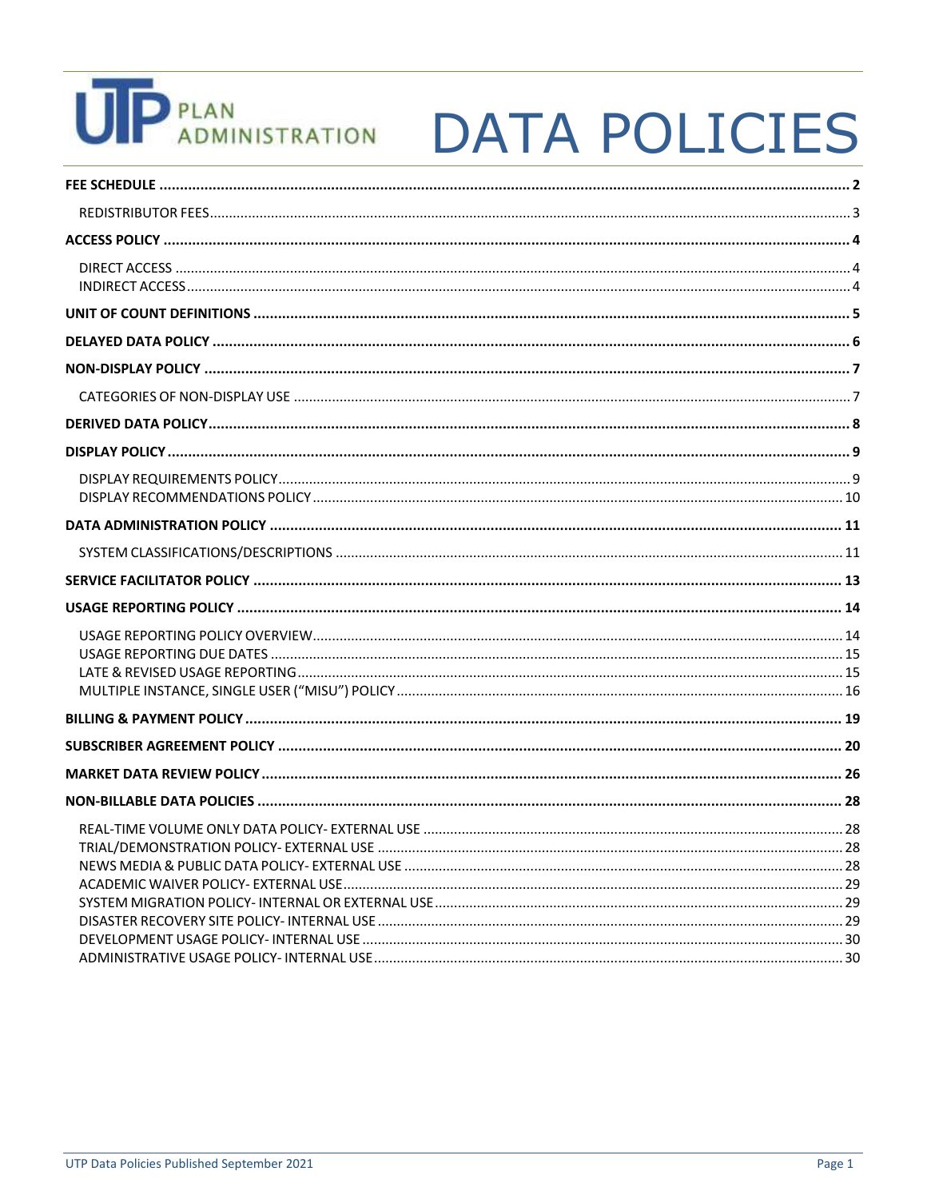# **UP** PLAN<br>ADMINISTRATION

## **DATA POLICIES**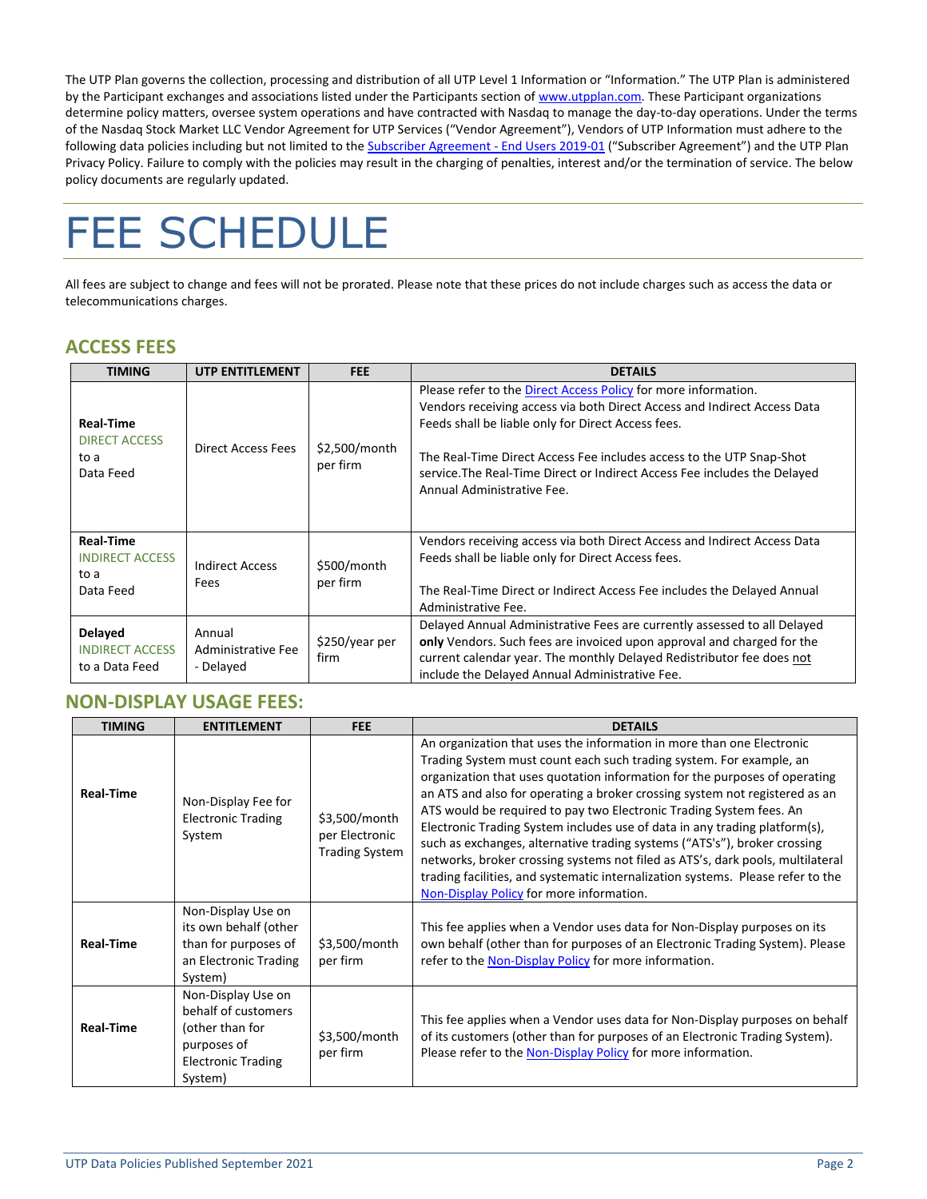The UTP Plan governs the collection, processing and distribution of all UTP Level 1 Information or "Information." The UTP Plan is administered by the Participant exchanges and associations listed under the Participants section of [www.utpplan.com.](http://www.utpplan.com/) These Participant organizations determine policy matters, oversee system operations and have contracted with Nasdaq to manage the day-to-day operations. Under the terms of the Nasdaq Stock Market LLC Vendor Agreement for UTP Services ("Vendor Agreement"), Vendors of UTP Information must adhere to the following data policies including but not limited to the **Subscriber Agreement - End Users 2019-01** ("Subscriber Agreement") and the UTP Plan Privacy Policy. Failure to comply with the policies may result in the charging of penalties, interest and/or the termination of service. The below policy documents are regularly updated.

## <span id="page-1-0"></span>FEE SCHEDULE

All fees are subject to change and fees will not be prorated. Please note that these prices do not include charges such as access the data or telecommunications charges.

### **ACCESS FEES**

| <b>TIMING</b>                                                   | <b>UTP ENTITLEMENT</b>                    | <b>FEE</b>                | <b>DETAILS</b>                                                                                                                                                                                                                                                                                                                                                                      |
|-----------------------------------------------------------------|-------------------------------------------|---------------------------|-------------------------------------------------------------------------------------------------------------------------------------------------------------------------------------------------------------------------------------------------------------------------------------------------------------------------------------------------------------------------------------|
| <b>Real-Time</b><br><b>DIRECT ACCESS</b><br>to a<br>Data Feed   | <b>Direct Access Fees</b>                 | \$2,500/month<br>per firm | Please refer to the Direct Access Policy for more information.<br>Vendors receiving access via both Direct Access and Indirect Access Data<br>Feeds shall be liable only for Direct Access fees.<br>The Real-Time Direct Access Fee includes access to the UTP Snap-Shot<br>service. The Real-Time Direct or Indirect Access Fee includes the Delayed<br>Annual Administrative Fee. |
| <b>Real-Time</b><br><b>INDIRECT ACCESS</b><br>to a<br>Data Feed | <b>Indirect Access</b><br>Fees            | \$500/month<br>per firm   | Vendors receiving access via both Direct Access and Indirect Access Data<br>Feeds shall be liable only for Direct Access fees.<br>The Real-Time Direct or Indirect Access Fee includes the Delayed Annual<br>Administrative Fee.                                                                                                                                                    |
| Delayed<br><b>INDIRECT ACCESS</b><br>to a Data Feed             | Annual<br>Administrative Fee<br>- Delayed | \$250/year per<br>firm    | Delayed Annual Administrative Fees are currently assessed to all Delayed<br>only Vendors. Such fees are invoiced upon approval and charged for the<br>current calendar year. The monthly Delayed Redistributor fee does not<br>include the Delayed Annual Administrative Fee.                                                                                                       |

### **NON-DISPLAY USAGE FEES:**

| <b>TIMING</b>    | <b>ENTITLEMENT</b>                                                                                                  | <b>FEE</b>                                               | <b>DETAILS</b>                                                                                                                                                                                                                                                                                                                                                                                                                                                                                                                                                                                                                                                                                                                                               |  |
|------------------|---------------------------------------------------------------------------------------------------------------------|----------------------------------------------------------|--------------------------------------------------------------------------------------------------------------------------------------------------------------------------------------------------------------------------------------------------------------------------------------------------------------------------------------------------------------------------------------------------------------------------------------------------------------------------------------------------------------------------------------------------------------------------------------------------------------------------------------------------------------------------------------------------------------------------------------------------------------|--|
| <b>Real-Time</b> | Non-Display Fee for<br><b>Electronic Trading</b><br>System                                                          | \$3,500/month<br>per Electronic<br><b>Trading System</b> | An organization that uses the information in more than one Electronic<br>Trading System must count each such trading system. For example, an<br>organization that uses quotation information for the purposes of operating<br>an ATS and also for operating a broker crossing system not registered as an<br>ATS would be required to pay two Electronic Trading System fees. An<br>Electronic Trading System includes use of data in any trading platform(s),<br>such as exchanges, alternative trading systems ("ATS's"), broker crossing<br>networks, broker crossing systems not filed as ATS's, dark pools, multilateral<br>trading facilities, and systematic internalization systems. Please refer to the<br>Non-Display Policy for more information. |  |
| <b>Real-Time</b> | Non-Display Use on<br>its own behalf (other<br>than for purposes of<br>an Electronic Trading<br>System)             | \$3,500/month<br>per firm                                | This fee applies when a Vendor uses data for Non-Display purposes on its<br>own behalf (other than for purposes of an Electronic Trading System). Please<br>refer to the Non-Display Policy for more information.                                                                                                                                                                                                                                                                                                                                                                                                                                                                                                                                            |  |
| <b>Real-Time</b> | Non-Display Use on<br>behalf of customers<br>(other than for<br>purposes of<br><b>Electronic Trading</b><br>System) | \$3,500/month<br>per firm                                | This fee applies when a Vendor uses data for Non-Display purposes on behalf<br>of its customers (other than for purposes of an Electronic Trading System).<br>Please refer to the Non-Display Policy for more information.                                                                                                                                                                                                                                                                                                                                                                                                                                                                                                                                   |  |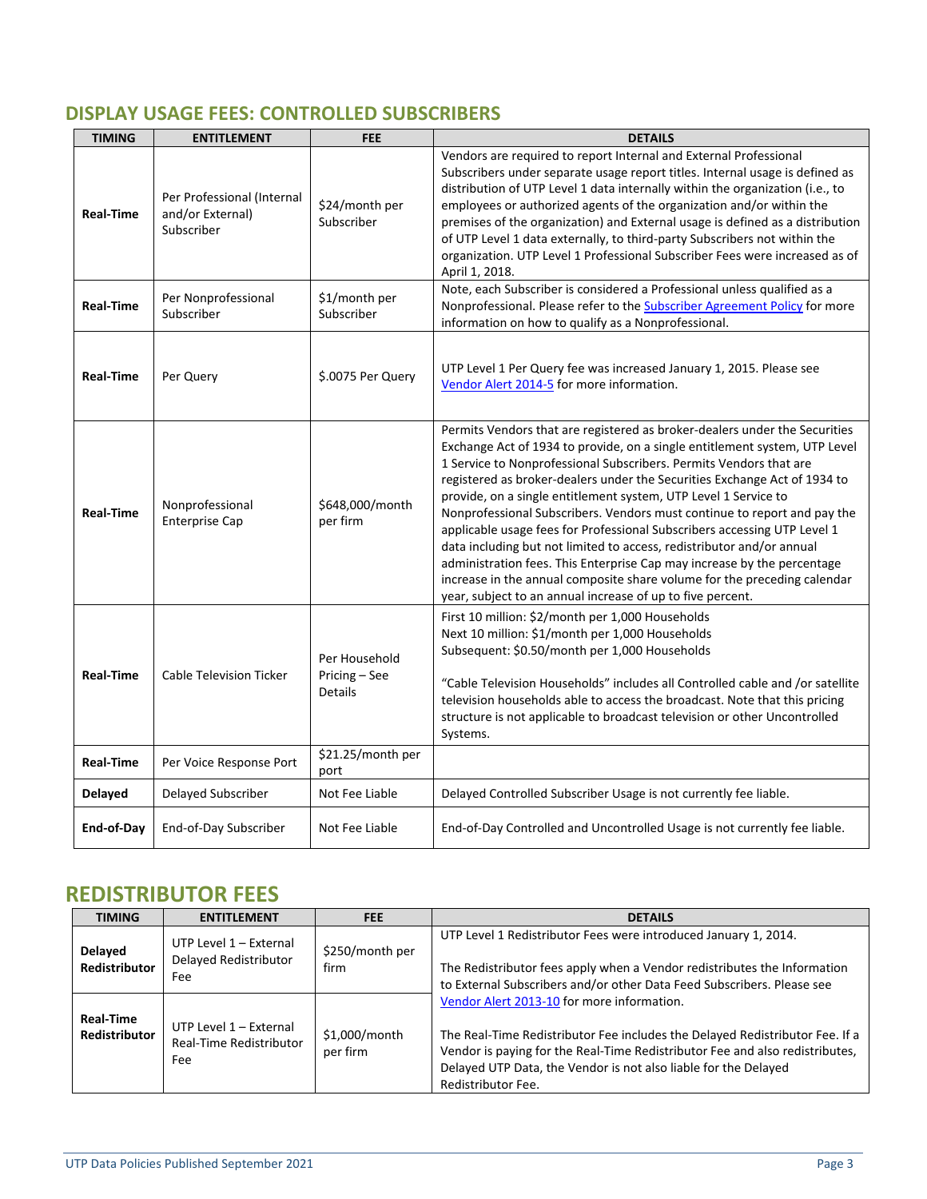## **DISPLAY USAGE FEES: CONTROLLED SUBSCRIBERS**

| <b>TIMING</b>    | <b>ENTITLEMENT</b>                                           | <b>FEE</b>                                       | <b>DETAILS</b>                                                                                                                                                                                                                                                                                                                                                                                                                                                                                                                                                                                                                                                                                                                                                                                                                       |  |
|------------------|--------------------------------------------------------------|--------------------------------------------------|--------------------------------------------------------------------------------------------------------------------------------------------------------------------------------------------------------------------------------------------------------------------------------------------------------------------------------------------------------------------------------------------------------------------------------------------------------------------------------------------------------------------------------------------------------------------------------------------------------------------------------------------------------------------------------------------------------------------------------------------------------------------------------------------------------------------------------------|--|
| Real-Time        | Per Professional (Internal<br>and/or External)<br>Subscriber | \$24/month per<br>Subscriber                     | Vendors are required to report Internal and External Professional<br>Subscribers under separate usage report titles. Internal usage is defined as<br>distribution of UTP Level 1 data internally within the organization (i.e., to<br>employees or authorized agents of the organization and/or within the<br>premises of the organization) and External usage is defined as a distribution<br>of UTP Level 1 data externally, to third-party Subscribers not within the<br>organization. UTP Level 1 Professional Subscriber Fees were increased as of<br>April 1, 2018.                                                                                                                                                                                                                                                            |  |
| Real-Time        | Per Nonprofessional<br>Subscriber                            | \$1/month per<br>Subscriber                      | Note, each Subscriber is considered a Professional unless qualified as a<br>Nonprofessional. Please refer to the <b>Subscriber Agreement Policy</b> for more<br>information on how to qualify as a Nonprofessional.                                                                                                                                                                                                                                                                                                                                                                                                                                                                                                                                                                                                                  |  |
| Real-Time        | Per Query                                                    | \$.0075 Per Query                                | UTP Level 1 Per Query fee was increased January 1, 2015. Please see<br>Vendor Alert 2014-5 for more information.                                                                                                                                                                                                                                                                                                                                                                                                                                                                                                                                                                                                                                                                                                                     |  |
| <b>Real-Time</b> | Nonprofessional<br><b>Enterprise Cap</b>                     | \$648,000/month<br>per firm                      | Permits Vendors that are registered as broker-dealers under the Securities<br>Exchange Act of 1934 to provide, on a single entitlement system, UTP Level<br>1 Service to Nonprofessional Subscribers. Permits Vendors that are<br>registered as broker-dealers under the Securities Exchange Act of 1934 to<br>provide, on a single entitlement system, UTP Level 1 Service to<br>Nonprofessional Subscribers. Vendors must continue to report and pay the<br>applicable usage fees for Professional Subscribers accessing UTP Level 1<br>data including but not limited to access, redistributor and/or annual<br>administration fees. This Enterprise Cap may increase by the percentage<br>increase in the annual composite share volume for the preceding calendar<br>year, subject to an annual increase of up to five percent. |  |
| Real-Time        | <b>Cable Television Ticker</b>                               | Per Household<br>Pricing - See<br><b>Details</b> | First 10 million: \$2/month per 1,000 Households<br>Next 10 million: \$1/month per 1,000 Households<br>Subsequent: \$0.50/month per 1,000 Households<br>"Cable Television Households" includes all Controlled cable and /or satellite<br>television households able to access the broadcast. Note that this pricing<br>structure is not applicable to broadcast television or other Uncontrolled<br>Systems.                                                                                                                                                                                                                                                                                                                                                                                                                         |  |
| Real-Time        | Per Voice Response Port                                      | \$21.25/month per<br>port                        |                                                                                                                                                                                                                                                                                                                                                                                                                                                                                                                                                                                                                                                                                                                                                                                                                                      |  |
| <b>Delayed</b>   | Delayed Subscriber                                           | Not Fee Liable                                   | Delayed Controlled Subscriber Usage is not currently fee liable.                                                                                                                                                                                                                                                                                                                                                                                                                                                                                                                                                                                                                                                                                                                                                                     |  |
| End-of-Day       | End-of-Day Subscriber                                        | Not Fee Liable                                   | End-of-Day Controlled and Uncontrolled Usage is not currently fee liable.                                                                                                                                                                                                                                                                                                                                                                                                                                                                                                                                                                                                                                                                                                                                                            |  |

## <span id="page-2-0"></span>**REDISTRIBUTOR FEES**

| <b>TIMING</b>                     | <b>ENTITLEMENT</b>                                       | <b>FEE</b>                | <b>DETAILS</b>                                                                                                                                                                                                                                                                                      |
|-----------------------------------|----------------------------------------------------------|---------------------------|-----------------------------------------------------------------------------------------------------------------------------------------------------------------------------------------------------------------------------------------------------------------------------------------------------|
| <b>Delayed</b><br>Redistributor   | UTP Level 1 - External<br>Delayed Redistributor<br>Fee   | \$250/month per<br>firm   | UTP Level 1 Redistributor Fees were introduced January 1, 2014.<br>The Redistributor fees apply when a Vendor redistributes the Information<br>to External Subscribers and/or other Data Feed Subscribers. Please see                                                                               |
| <b>Real-Time</b><br>Redistributor | UTP Level 1 - External<br>Real-Time Redistributor<br>Fee | \$1,000/month<br>per firm | Vendor Alert 2013-10 for more information.<br>The Real-Time Redistributor Fee includes the Delayed Redistributor Fee. If a<br>Vendor is paying for the Real-Time Redistributor Fee and also redistributes,<br>Delayed UTP Data, the Vendor is not also liable for the Delayed<br>Redistributor Fee. |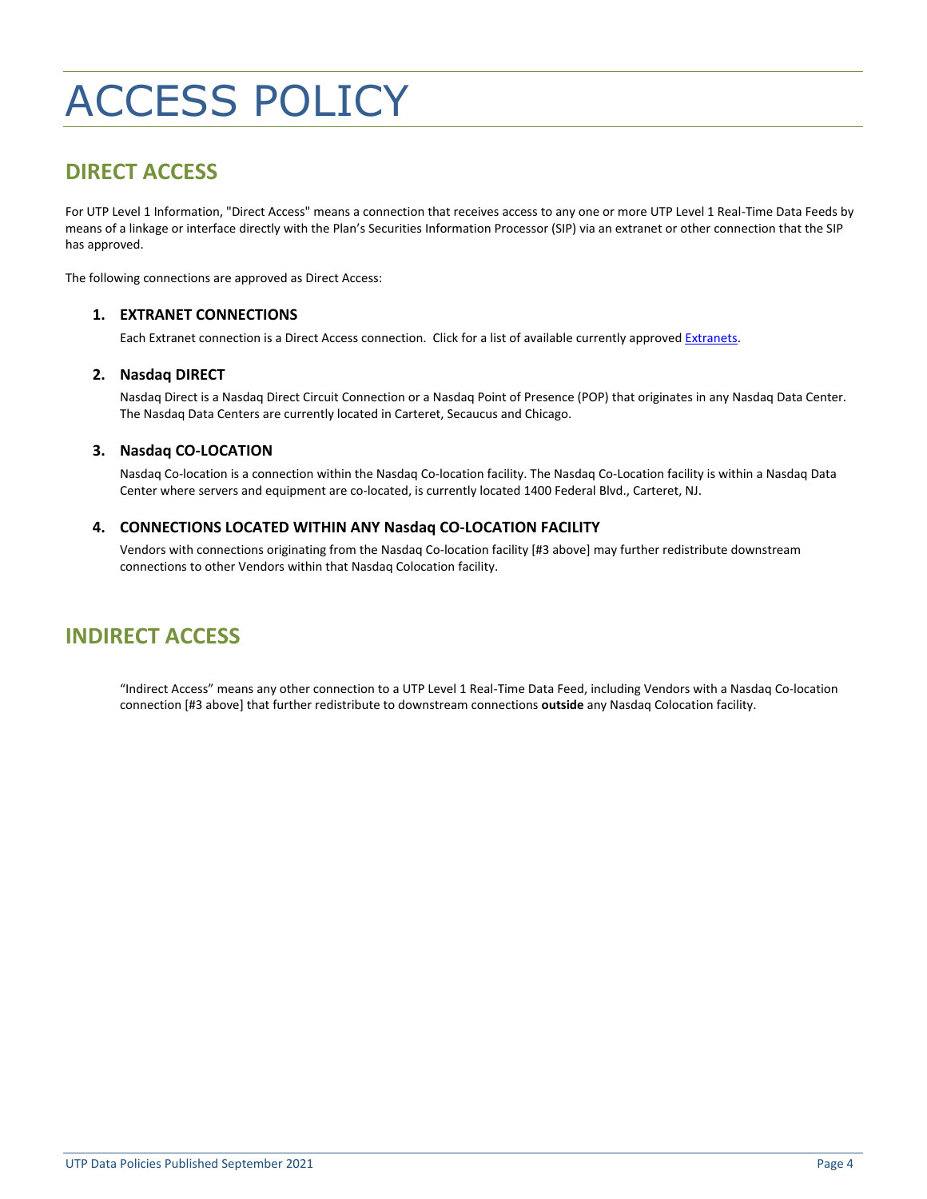## <span id="page-3-0"></span>ACCESS POLICY

## <span id="page-3-1"></span>**DIRECT ACCESS**

For UTP Level 1 Information, "Direct Access" means a connection that receives access to any one or more UTP Level 1 Real-Time Data Feeds by means of a linkage or interface directly with the Plan's Securities Information Processor (SIP) via an extranet or other connection that the SIP has approved.

<span id="page-3-3"></span>The following connections are approved as Direct Access:

#### **1. EXTRANET CONNECTIONS**

Each Extranet connection is a Direct Access connection. Click for a list of available currently approve[d Extranets.](http://www.utpplan.com/DOC/Extranetlist.pdf)

#### **2. Nasdaq DIRECT**

Nasdaq Direct is a Nasdaq Direct Circuit Connection or a Nasdaq Point of Presence (POP) that originates in any Nasdaq Data Center. The Nasdaq Data Centers are currently located in Carteret, Secaucus and Chicago.

#### **3. Nasdaq CO-LOCATION**

Nasdaq Co-location is a connection within the Nasdaq Co-location facility. The Nasdaq Co-Location facility is within a Nasdaq Data Center where servers and equipment are co-located, is currently located 1400 Federal Blvd., Carteret, NJ.

#### **4. CONNECTIONS LOCATED WITHIN ANY Nasdaq CO-LOCATION FACILITY**

Vendors with connections originating from the Nasdaq Co-location facility [#3 above] may further redistribute downstream connections to other Vendors within that Nasdaq Colocation facility.

## <span id="page-3-2"></span>**INDIRECT ACCESS**

"Indirect Access" means any other connection to a UTP Level 1 Real-Time Data Feed, including Vendors with a Nasdaq Co-location connection [#3 above] that further redistribute to downstream connections **outside** any Nasdaq Colocation facility.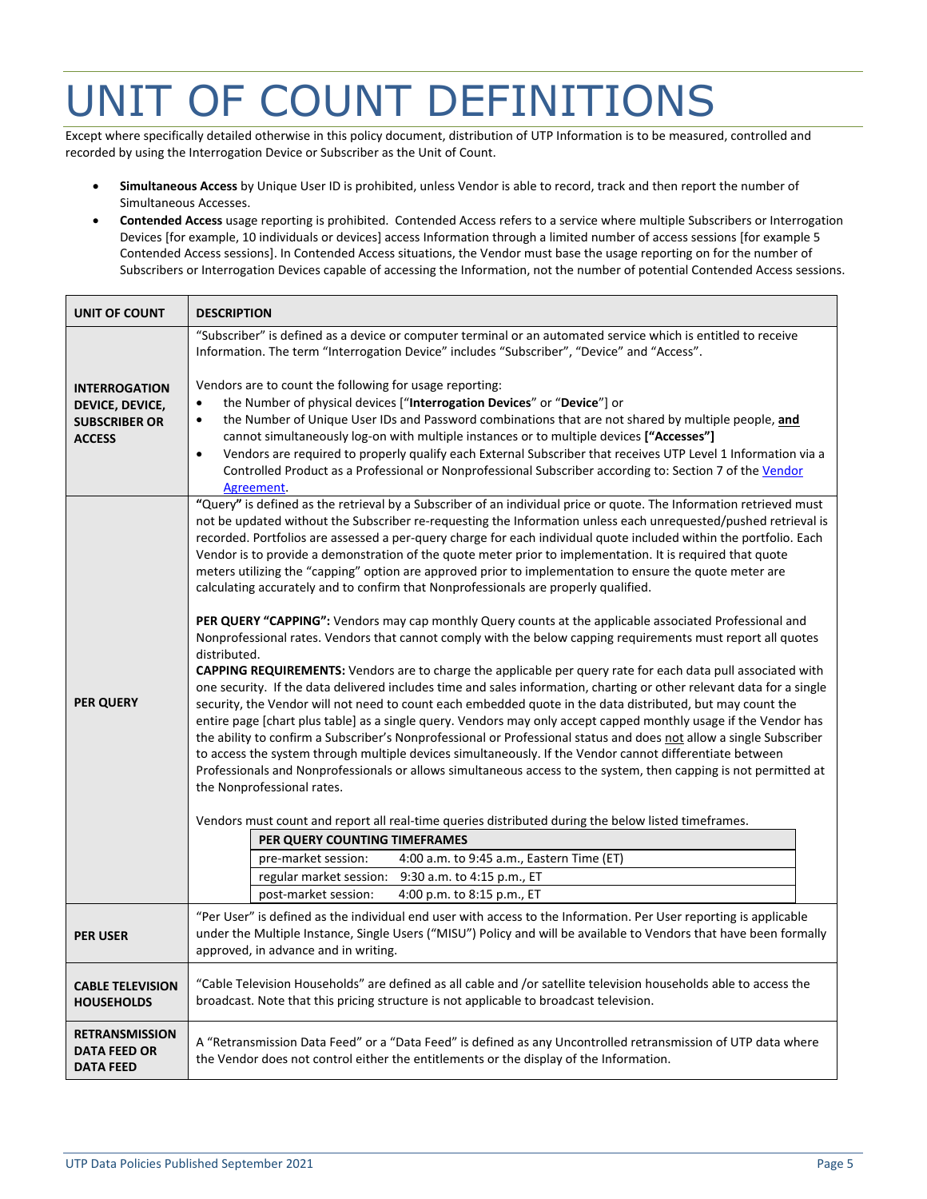## <span id="page-4-0"></span>UNIT OF COUNT DEFINITIONS

Except where specifically detailed otherwise in this policy document, distribution of UTP Information is to be measured, controlled and recorded by using the Interrogation Device or Subscriber as the Unit of Count.

- **Simultaneous Access** by Unique User ID is prohibited, unless Vendor is able to record, track and then report the number of Simultaneous Accesses.
- **Contended Access** usage reporting is prohibited. Contended Access refers to a service where multiple Subscribers or Interrogation Devices [for example, 10 individuals or devices] access Information through a limited number of access sessions [for example 5 Contended Access sessions]. In Contended Access situations, the Vendor must base the usage reporting on for the number of Subscribers or Interrogation Devices capable of accessing the Information, not the number of potential Contended Access sessions.

| <b>UNIT OF COUNT</b>    | <b>DESCRIPTION</b>                                                                                                                                                                                                                                   |  |  |  |
|-------------------------|------------------------------------------------------------------------------------------------------------------------------------------------------------------------------------------------------------------------------------------------------|--|--|--|
|                         | "Subscriber" is defined as a device or computer terminal or an automated service which is entitled to receive<br>Information. The term "Interrogation Device" includes "Subscriber", "Device" and "Access".                                          |  |  |  |
| <b>INTERROGATION</b>    | Vendors are to count the following for usage reporting:                                                                                                                                                                                              |  |  |  |
| DEVICE, DEVICE,         | the Number of physical devices ["Interrogation Devices" or "Device"] or<br>$\bullet$                                                                                                                                                                 |  |  |  |
| <b>SUBSCRIBER OR</b>    | the Number of Unique User IDs and Password combinations that are not shared by multiple people, and<br>$\bullet$                                                                                                                                     |  |  |  |
| <b>ACCESS</b>           | cannot simultaneously log-on with multiple instances or to multiple devices ["Accesses"]                                                                                                                                                             |  |  |  |
|                         | Vendors are required to properly qualify each External Subscriber that receives UTP Level 1 Information via a<br>$\bullet$<br>Controlled Product as a Professional or Nonprofessional Subscriber according to: Section 7 of the Vendor<br>Agreement. |  |  |  |
|                         | "Query" is defined as the retrieval by a Subscriber of an individual price or quote. The Information retrieved must                                                                                                                                  |  |  |  |
|                         | not be updated without the Subscriber re-requesting the Information unless each unrequested/pushed retrieval is                                                                                                                                      |  |  |  |
|                         | recorded. Portfolios are assessed a per-query charge for each individual quote included within the portfolio. Each<br>Vendor is to provide a demonstration of the quote meter prior to implementation. It is required that quote                     |  |  |  |
|                         | meters utilizing the "capping" option are approved prior to implementation to ensure the quote meter are                                                                                                                                             |  |  |  |
|                         | calculating accurately and to confirm that Nonprofessionals are properly qualified.                                                                                                                                                                  |  |  |  |
|                         |                                                                                                                                                                                                                                                      |  |  |  |
|                         | PER QUERY "CAPPING": Vendors may cap monthly Query counts at the applicable associated Professional and                                                                                                                                              |  |  |  |
|                         | Nonprofessional rates. Vendors that cannot comply with the below capping requirements must report all quotes<br>distributed.                                                                                                                         |  |  |  |
|                         | <b>CAPPING REQUIREMENTS:</b> Vendors are to charge the applicable per query rate for each data pull associated with                                                                                                                                  |  |  |  |
|                         | one security. If the data delivered includes time and sales information, charting or other relevant data for a single                                                                                                                                |  |  |  |
| <b>PER QUERY</b>        | security, the Vendor will not need to count each embedded quote in the data distributed, but may count the                                                                                                                                           |  |  |  |
|                         | entire page [chart plus table] as a single query. Vendors may only accept capped monthly usage if the Vendor has<br>the ability to confirm a Subscriber's Nonprofessional or Professional status and does not allow a single Subscriber              |  |  |  |
|                         | to access the system through multiple devices simultaneously. If the Vendor cannot differentiate between                                                                                                                                             |  |  |  |
|                         | Professionals and Nonprofessionals or allows simultaneous access to the system, then capping is not permitted at                                                                                                                                     |  |  |  |
|                         | the Nonprofessional rates.                                                                                                                                                                                                                           |  |  |  |
|                         | Vendors must count and report all real-time queries distributed during the below listed timeframes.                                                                                                                                                  |  |  |  |
|                         | PER QUERY COUNTING TIMEFRAMES                                                                                                                                                                                                                        |  |  |  |
|                         | pre-market session:<br>4:00 a.m. to 9:45 a.m., Eastern Time (ET)                                                                                                                                                                                     |  |  |  |
|                         | regular market session:<br>9:30 a.m. to 4:15 p.m., ET                                                                                                                                                                                                |  |  |  |
|                         | 4:00 p.m. to 8:15 p.m., ET<br>post-market session:                                                                                                                                                                                                   |  |  |  |
|                         | "Per User" is defined as the individual end user with access to the Information. Per User reporting is applicable                                                                                                                                    |  |  |  |
| <b>PER USER</b>         | under the Multiple Instance, Single Users ("MISU") Policy and will be available to Vendors that have been formally<br>approved, in advance and in writing.                                                                                           |  |  |  |
|                         |                                                                                                                                                                                                                                                      |  |  |  |
| <b>CABLE TELEVISION</b> | "Cable Television Households" are defined as all cable and /or satellite television households able to access the                                                                                                                                    |  |  |  |
| <b>HOUSEHOLDS</b>       | broadcast. Note that this pricing structure is not applicable to broadcast television.                                                                                                                                                               |  |  |  |
| <b>RETRANSMISSION</b>   |                                                                                                                                                                                                                                                      |  |  |  |
| <b>DATA FEED OR</b>     | A "Retransmission Data Feed" or a "Data Feed" is defined as any Uncontrolled retransmission of UTP data where<br>the Vendor does not control either the entitlements or the display of the Information.                                              |  |  |  |
| <b>DATA FEED</b>        |                                                                                                                                                                                                                                                      |  |  |  |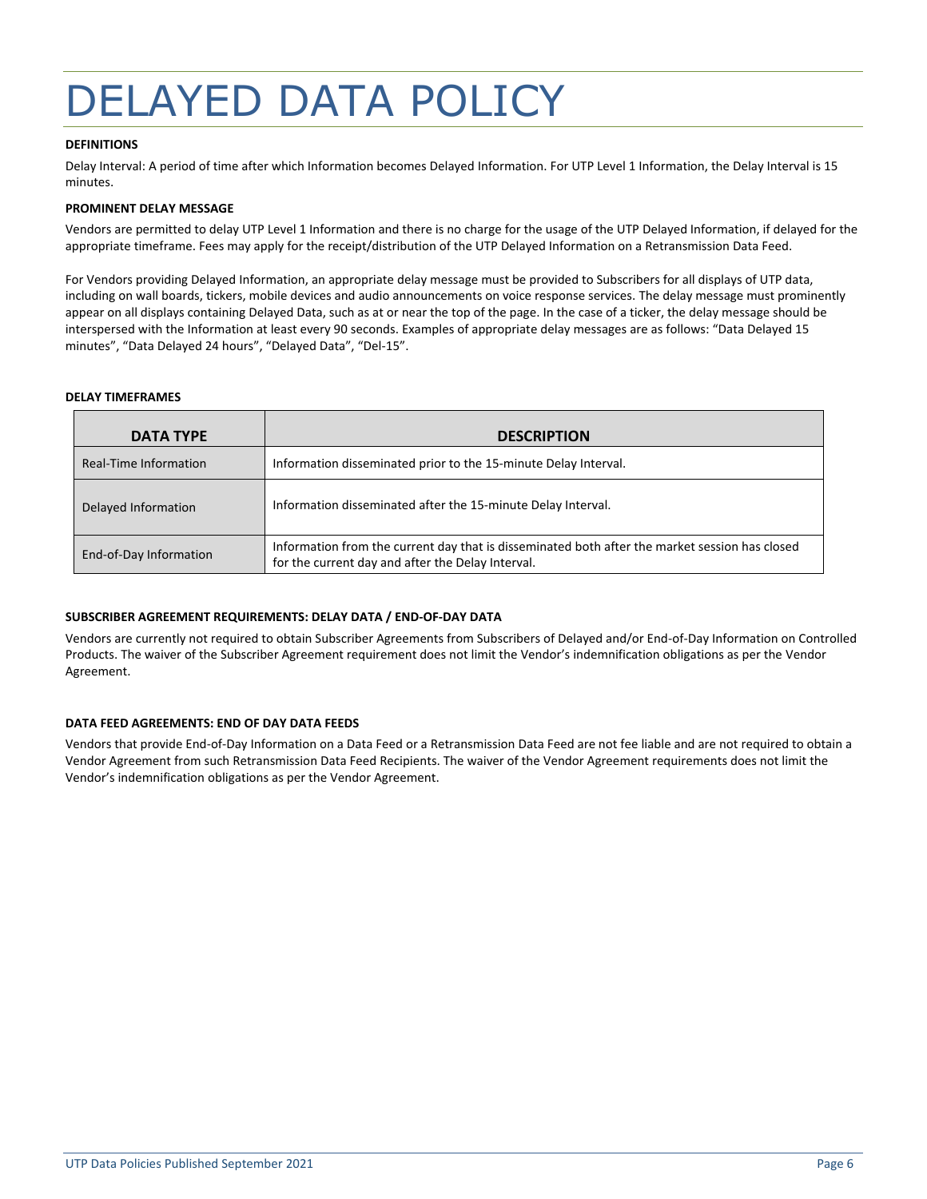## <span id="page-5-0"></span>DELAYED DATA POLICY

#### **DEFINITIONS**

Delay Interval: A period of time after which Information becomes Delayed Information. For UTP Level 1 Information, the Delay Interval is 15 minutes.

#### **PROMINENT DELAY MESSAGE**

Vendors are permitted to delay UTP Level 1 Information and there is no charge for the usage of the UTP Delayed Information, if delayed for the appropriate timeframe. Fees may apply for the receipt/distribution of the UTP Delayed Information on a Retransmission Data Feed.

For Vendors providing Delayed Information, an appropriate delay message must be provided to Subscribers for all displays of UTP data, including on wall boards, tickers, mobile devices and audio announcements on voice response services. The delay message must prominently appear on all displays containing Delayed Data, such as at or near the top of the page. In the case of a ticker, the delay message should be interspersed with the Information at least every 90 seconds. Examples of appropriate delay messages are as follows: "Data Delayed 15 minutes", "Data Delayed 24 hours", "Delayed Data", "Del-15".

#### **DELAY TIMEFRAMES**

| <b>DATA TYPE</b>       | <b>DESCRIPTION</b>                                                                                                                                  |
|------------------------|-----------------------------------------------------------------------------------------------------------------------------------------------------|
| Real-Time Information  | Information disseminated prior to the 15-minute Delay Interval.                                                                                     |
| Delayed Information    | Information disseminated after the 15-minute Delay Interval.                                                                                        |
| End-of-Day Information | Information from the current day that is disseminated both after the market session has closed<br>for the current day and after the Delay Interval. |

#### **SUBSCRIBER AGREEMENT REQUIREMENTS: DELAY DATA / END-OF-DAY DATA**

Vendors are currently not required to obtain Subscriber Agreements from Subscribers of Delayed and/or End-of-Day Information on Controlled Products. The waiver of the Subscriber Agreement requirement does not limit the Vendor's indemnification obligations as per the [Vendor](http://www.nasdaqtrader.com/content/AdministrationSupport/AgreementsData/globaldataagreement.pdf)  [Agreement.](http://www.nasdaqtrader.com/content/AdministrationSupport/AgreementsData/globaldataagreement.pdf)

#### **DATA FEED AGREEMENTS: END OF DAY DATA FEEDS**

Vendors that provide End-of-Day Information on a Data Feed or a Retransmission Data Feed are not fee liable and are not required to obtain a Vendor Agreement from such Retransmission Data Feed Recipients. The waiver of the Vendor Agreement requirements does not limit the Vendor's indemnification obligations as per the Vendor Agreement.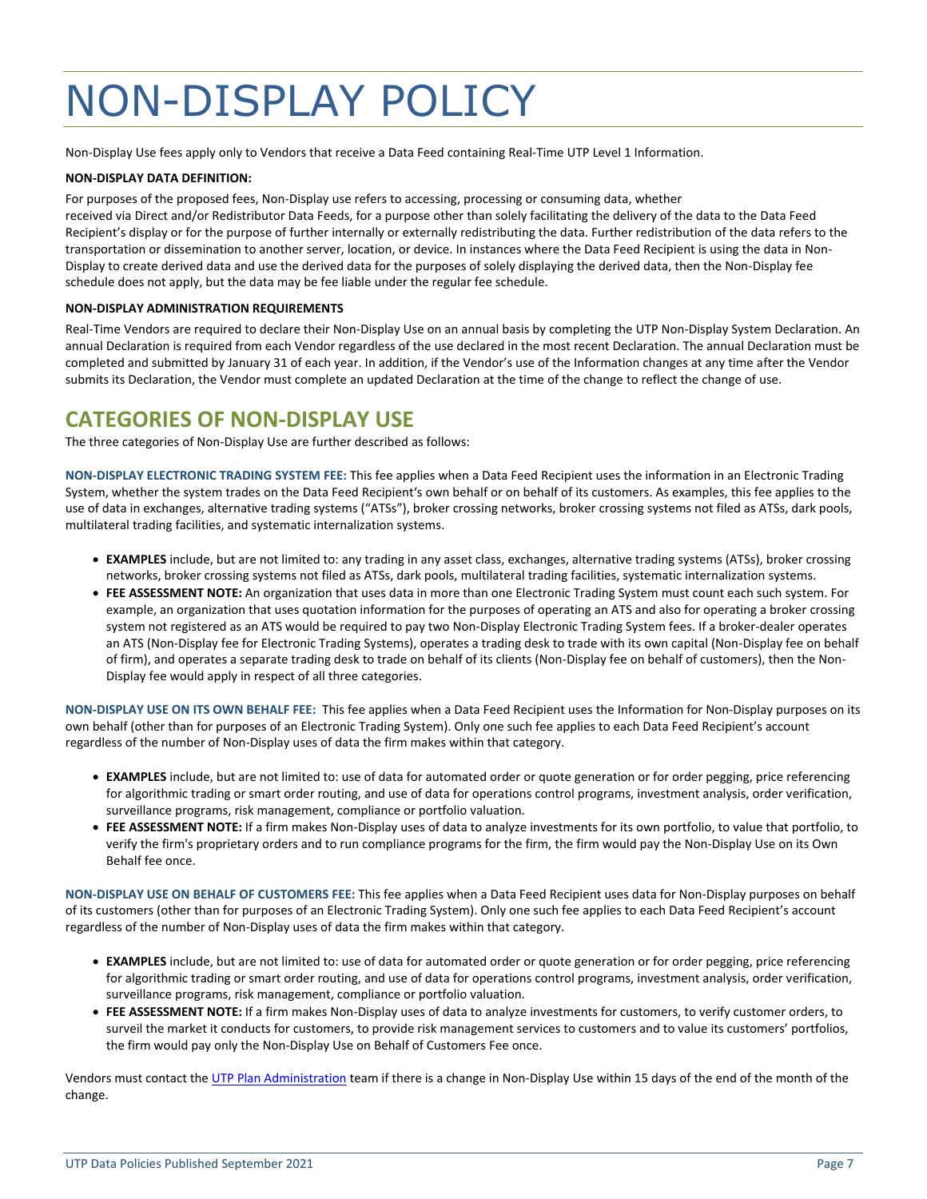## <span id="page-6-0"></span>NON-DISPLAY POLICY

Non-Display Use fees apply only to Vendors that receive a Data Feed containing Real-Time UTP Level 1 Information.

#### **NON-DISPLAY DATA DEFINITION:**

For purposes of the proposed fees, Non-Display use refers to accessing, processing or consuming data, whether

received via Direct and/or Redistributor Data Feeds, for a purpose other than solely facilitating the delivery of the data to the Data Feed Recipient's display or for the purpose of further internally or externally redistributing the data. Further redistribution of the data refers to the transportation or dissemination to another server, location, or device. In instances where the Data Feed Recipient is using the data in Non-Display to create derived data and use the derived data for the purposes of solely displaying the derived data, then the Non-Display fee schedule does not apply, but the data may be fee liable under the regular fee schedule.

#### **NON-DISPLAY ADMINISTRATION REQUIREMENTS**

Real-Time Vendors are required to declare their Non-Display Use on an annual basis by completing the UTP Non-Display System Declaration. An annual Declaration is required from each Vendor regardless of the use declared in the most recent Declaration. The annual Declaration must be completed and submitted by January 31 of each year. In addition, if the Vendor's use of the Information changes at any time after the Vendor submits its Declaration, the Vendor must complete an updated Declaration at the time of the change to reflect the change of use.

## <span id="page-6-1"></span>**CATEGORIES OF NON-DISPLAY USE**

The three categories of Non-Display Use are further described as follows:

**NON-DISPLAY ELECTRONIC TRADING SYSTEM FEE:** This fee applies when a Data Feed Recipient uses the information in an Electronic Trading System, whether the system trades on the Data Feed Recipient's own behalf or on behalf of its customers. As examples, this fee applies to the use of data in exchanges, alternative trading systems ("ATSs"), broker crossing networks, broker crossing systems not filed as ATSs, dark pools, multilateral trading facilities, and systematic internalization systems.

- **EXAMPLES** include, but are not limited to: any trading in any asset class, exchanges, alternative trading systems (ATSs), broker crossing networks, broker crossing systems not filed as ATSs, dark pools, multilateral trading facilities, systematic internalization systems.
- **FEE ASSESSMENT NOTE:** An organization that uses data in more than one Electronic Trading System must count each such system. For example, an organization that uses quotation information for the purposes of operating an ATS and also for operating a broker crossing system not registered as an ATS would be required to pay two Non-Display Electronic Trading System fees. If a broker-dealer operates an ATS (Non-Display fee for Electronic Trading Systems), operates a trading desk to trade with its own capital (Non-Display fee on behalf of firm), and operates a separate trading desk to trade on behalf of its clients (Non-Display fee on behalf of customers), then the Non-Display fee would apply in respect of all three categories.

**NON-DISPLAY USE ON ITS OWN BEHALF FEE:** This fee applies when a Data Feed Recipient uses the Information for Non-Display purposes on its own behalf (other than for purposes of an Electronic Trading System). Only one such fee applies to each Data Feed Recipient's account regardless of the number of Non-Display uses of data the firm makes within that category.

- **EXAMPLES** include, but are not limited to: use of data for automated order or quote generation or for order pegging, price referencing for algorithmic trading or smart order routing, and use of data for operations control programs, investment analysis, order verification, surveillance programs, risk management, compliance or portfolio valuation.
- **FEE ASSESSMENT NOTE:** If a firm makes Non-Display uses of data to analyze investments for its own portfolio, to value that portfolio, to verify the firm's proprietary orders and to run compliance programs for the firm, the firm would pay the Non-Display Use on its Own Behalf fee once.

**NON-DISPLAY USE ON BEHALF OF CUSTOMERS FEE:** This fee applies when a Data Feed Recipient uses data for Non-Display purposes on behalf of its customers (other than for purposes of an Electronic Trading System). Only one such fee applies to each Data Feed Recipient's account regardless of the number of Non-Display uses of data the firm makes within that category.

- **EXAMPLES** include, but are not limited to: use of data for automated order or quote generation or for order pegging, price referencing for algorithmic trading or smart order routing, and use of data for operations control programs, investment analysis, order verification, surveillance programs, risk management, compliance or portfolio valuation.
- **FEE ASSESSMENT NOTE:** If a firm makes Non-Display uses of data to analyze investments for customers, to verify customer orders, to surveil the market it conducts for customers, to provide risk management services to customers and to value its customers' portfolios, the firm would pay only the Non-Display Use on Behalf of Customers Fee once.

Vendors must contact the [UTP Plan Administration](mailto:admin@utpplan.com) team if there is a change in Non-Display Use within 15 days of the end of the month of the change.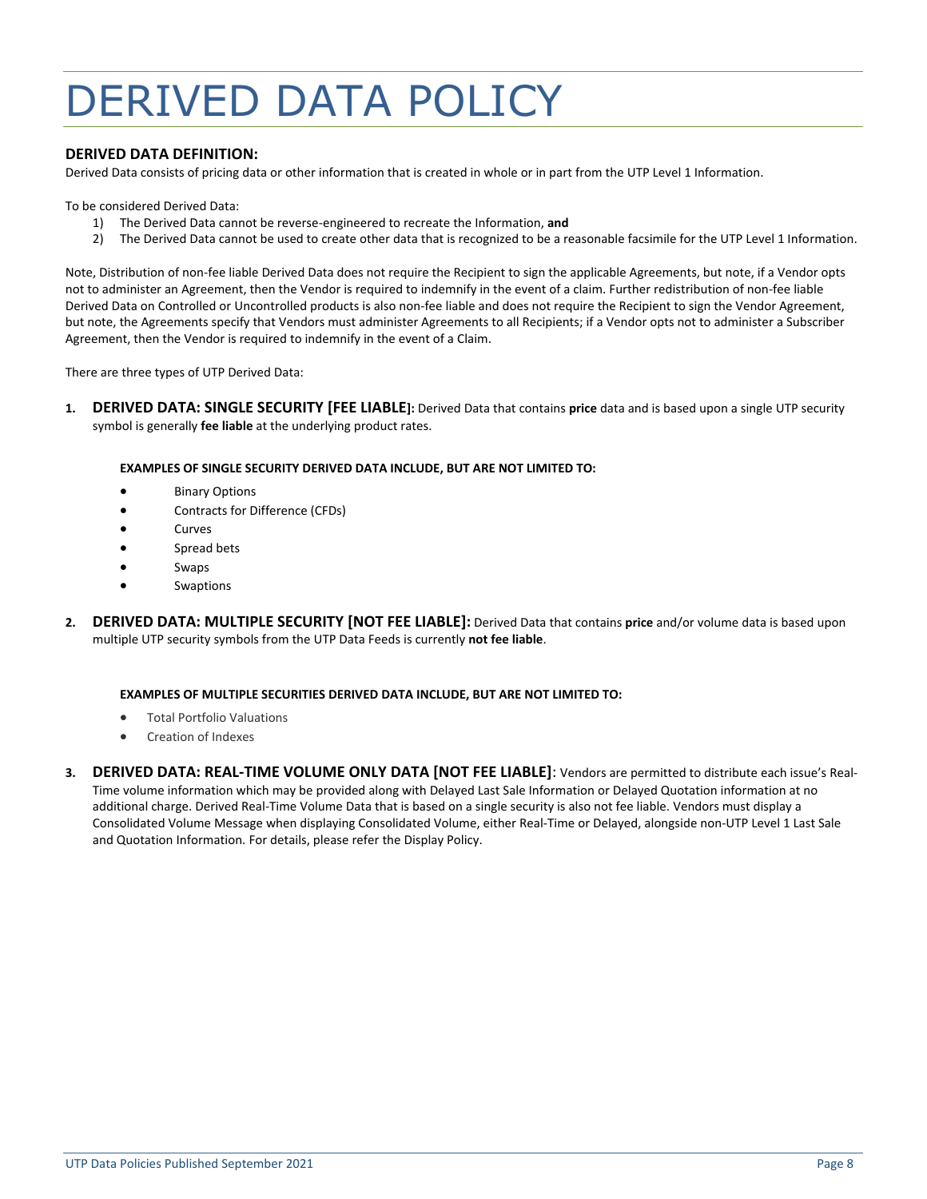## <span id="page-7-0"></span>DERIVED DATA POLICY

#### **DERIVED DATA DEFINITION:**

Derived Data consists of pricing data or other information that is created in whole or in part from the UTP Level 1 Information.

To be considered Derived Data:

- 1) The Derived Data cannot be reverse-engineered to recreate the Information, **and**
- 2) The Derived Data cannot be used to create other data that is recognized to be a reasonable facsimile for the UTP Level 1 Information.

Note, Distribution of non-fee liable Derived Data does not require the Recipient to sign the applicable Agreements, but note, if a Vendor opts not to administer an Agreement, then the Vendor is required to indemnify in the event of a claim. Further redistribution of non-fee liable Derived Data on Controlled or Uncontrolled products is also non-fee liable and does not require the Recipient to sign the Vendor Agreement, but note, the Agreements specify that Vendors must administer Agreements to all Recipients; if a Vendor opts not to administer a Subscriber Agreement, then the Vendor is required to indemnify in the event of a Claim.

There are three types of UTP Derived Data:

**1. DERIVED DATA: SINGLE SECURITY [FEE LIABLE]:** Derived Data that contains **price** data and is based upon a single UTP security symbol is generally **fee liable** at the underlying product rates.

#### **EXAMPLES OF SINGLE SECURITY DERIVED DATA INCLUDE, BUT ARE NOT LIMITED TO:**

- **Binary Options**
- Contracts for Difference (CFDs)
- **Curves**
- Spread bets
- **Swaps**
- **Swaptions**
- **2. DERIVED DATA: MULTIPLE SECURITY [NOT FEE LIABLE]:** Derived Data that contains **price** and/or volume data is based upon multiple UTP security symbols from the UTP Data Feeds is currently **not fee liable**.

#### **EXAMPLES OF MULTIPLE SECURITIES DERIVED DATA INCLUDE, BUT ARE NOT LIMITED TO:**

- Total Portfolio Valuations
- Creation of Indexes
- **3. DERIVED DATA: REAL-TIME VOLUME ONLY DATA [NOT FEE LIABLE]**: Vendors are permitted to distribute each issue's Real-Time volume information which may be provided along with Delayed Last Sale Information or Delayed Quotation information at no additional charge. Derived Real-Time Volume Data that is based on a single security is also not fee liable. Vendors must display a Consolidated Volume Message when displaying Consolidated Volume, either Real-Time or Delayed, alongside non-UTP Level 1 Last Sale and Quotation Information. For details, please refer the Display Policy.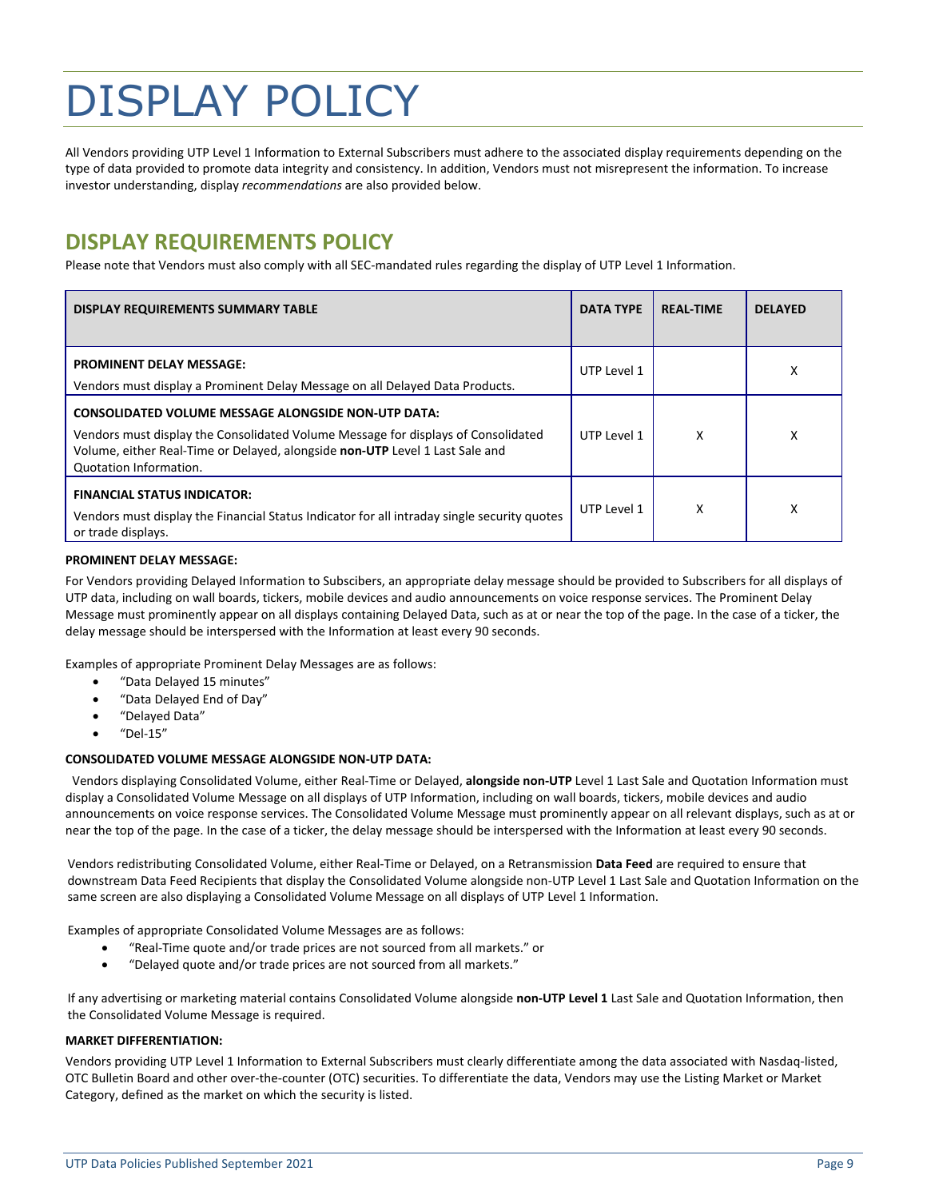## <span id="page-8-0"></span>DISPLAY POLICY

All Vendors providing UTP Level 1 Information to External Subscribers must adhere to the associated display requirements depending on the type of data provided to promote data integrity and consistency. In addition, Vendors must not misrepresent the information. To increase investor understanding, display *recommendations* are also provided below.

## <span id="page-8-1"></span>**DISPLAY REQUIREMENTS POLICY**

Please note that Vendors must also comply with all SEC-mandated rules regarding the display of UTP Level 1 Information.

| <b>DISPLAY REQUIREMENTS SUMMARY TABLE</b>                                                                                                                                                                                                                 | <b>DATA TYPE</b> | <b>REAL-TIME</b> | <b>DELAYED</b> |
|-----------------------------------------------------------------------------------------------------------------------------------------------------------------------------------------------------------------------------------------------------------|------------------|------------------|----------------|
| <b>PROMINENT DELAY MESSAGE:</b><br>Vendors must display a Prominent Delay Message on all Delayed Data Products.                                                                                                                                           | UTP Level 1      |                  | x              |
| <b>CONSOLIDATED VOLUME MESSAGE ALONGSIDE NON-UTP DATA:</b><br>Vendors must display the Consolidated Volume Message for displays of Consolidated<br>Volume, either Real-Time or Delayed, alongside non-UTP Level 1 Last Sale and<br>Quotation Information. | UTP Level 1      | x                | χ              |
| <b>FINANCIAL STATUS INDICATOR:</b><br>Vendors must display the Financial Status Indicator for all intraday single security quotes<br>or trade displays.                                                                                                   | UTP Level 1      | x                | χ              |

#### **PROMINENT DELAY MESSAGE:**

For Vendors providing Delayed Information to Subscibers, an appropriate delay message should be provided to Subscribers for all displays of UTP data, including on wall boards, tickers, mobile devices and audio announcements on voice response services. The Prominent Delay Message must prominently appear on all displays containing Delayed Data, such as at or near the top of the page. In the case of a ticker, the delay message should be interspersed with the Information at least every 90 seconds.

Examples of appropriate Prominent Delay Messages are as follows:

- "Data Delayed 15 minutes"
- "Data Delayed End of Day"
- "Delayed Data"
- $"$ Del-15"

#### **CONSOLIDATED VOLUME MESSAGE ALONGSIDE NON-UTP DATA:**

Vendors displaying Consolidated Volume, either Real-Time or Delayed, **alongside non-UTP** Level 1 Last Sale and Quotation Information must display a Consolidated Volume Message on all displays of UTP Information, including on wall boards, tickers, mobile devices and audio announcements on voice response services. The Consolidated Volume Message must prominently appear on all relevant displays, such as at or near the top of the page. In the case of a ticker, the delay message should be interspersed with the Information at least every 90 seconds.

Vendors redistributing Consolidated Volume, either Real-Time or Delayed, on a Retransmission **Data Feed** are required to ensure that downstream Data Feed Recipients that display the Consolidated Volume alongside non-UTP Level 1 Last Sale and Quotation Information on the same screen are also displaying a Consolidated Volume Message on all displays of UTP Level 1 Information.

Examples of appropriate Consolidated Volume Messages are as follows:

- "Real-Time quote and/or trade prices are not sourced from all markets." or
- "Delayed quote and/or trade prices are not sourced from all markets."

If any advertising or marketing material contains Consolidated Volume alongside **non-UTP Level 1** Last Sale and Quotation Information, then the Consolidated Volume Message is required.

#### **MARKET DIFFERENTIATION:**

Vendors providing UTP Level 1 Information to External Subscribers must clearly differentiate among the data associated with Nasdaq-listed, OTC Bulletin Board and other over-the-counter (OTC) securities. To differentiate the data, Vendors may use the Listing Market or Market Category, defined as the market on which the security is listed.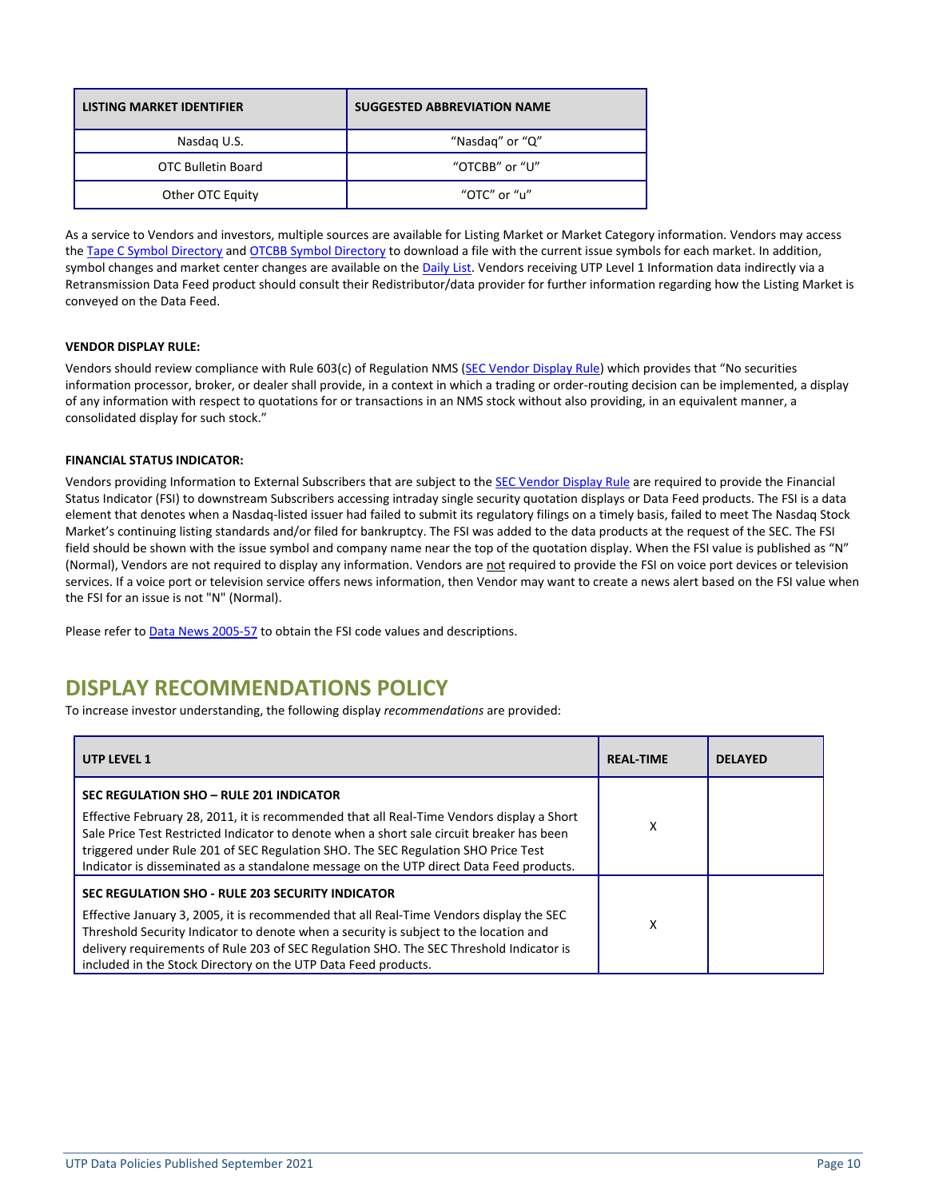| <b>LISTING MARKET IDENTIFIER</b> | <b>SUGGESTED ABBREVIATION NAME</b> |
|----------------------------------|------------------------------------|
| Nasdag U.S.                      | "Nasdag" or "Q"                    |
| OTC Bulletin Board               | "OTCBB" or "U"                     |
| Other OTC Equity                 | "OTC" or "u"                       |

As a service to Vendors and investors, multiple sources are available for Listing Market or Market Category information. Vendors may access th[e Tape C Symbol Directory](http://www.nasdaqtrader.com/Trader.aspx?id=symbollookup) and [OTCBB Symbol Directory](http://www.otcbb.com/) to download a file with the current issue symbols for each market. In addition, symbol changes and market center changes are available on the **Daily List**. Vendors receiving UTP Level 1 Information data indirectly via a Retransmission Data Feed product should consult their Redistributor/data provider for further information regarding how the Listing Market is conveyed on the Data Feed.

#### **VENDOR DISPLAY RULE:**

Vendors should review compliance with Rule 603(c) of Regulation NMS [\(SEC Vendor Display Rule](http://www.sec.gov/rules/final/34-51808fr.pdf)) which provides that "No securities information processor, broker, or dealer shall provide, in a context in which a trading or order-routing decision can be implemented, a display of any information with respect to quotations for or transactions in an NMS stock without also providing, in an equivalent manner, a consolidated display for such stock."

#### **FINANCIAL STATUS INDICATOR:**

Vendors providing Information to External Subscribers that are subject to the **SEC Vendor Display Rule** are required to provide the Financial Status Indicator (FSI) to downstream Subscribers accessing intraday single security quotation displays or Data Feed products. The FSI is a data element that denotes when a Nasdaq-listed issuer had failed to submit its regulatory filings on a timely basis, failed to meet The Nasdaq Stock Market's continuing listing standards and/or filed for bankruptcy. The FSI was added to the data products at the request of the SEC. The FSI field should be shown with the issue symbol and company name near the top of the quotation display. When the FSI value is published as "N" (Normal), Vendors are not required to display any information. Vendors are not required to provide the FSI on voice port devices or television services. If a voice port or television service offers news information, then Vendor may want to create a news alert based on the FSI value when the FSI for an issue is not "N" (Normal).

Please refer to [Data News](http://www.nasdaqtrader.com/TraderNews.aspx?id=nva2005-057) 2005-57 to obtain the FSI code values and descriptions.

## <span id="page-9-0"></span>**DISPLAY RECOMMENDATIONS POLICY**

To increase investor understanding, the following display *recommendations* are provided:

| UTP LEVEL 1                                                                                                                                                                                                                                                                                                                                                                                                       | <b>REAL-TIME</b> | <b>DELAYED</b> |
|-------------------------------------------------------------------------------------------------------------------------------------------------------------------------------------------------------------------------------------------------------------------------------------------------------------------------------------------------------------------------------------------------------------------|------------------|----------------|
| SEC REGULATION SHO - RULE 201 INDICATOR<br>Effective February 28, 2011, it is recommended that all Real-Time Vendors display a Short<br>Sale Price Test Restricted Indicator to denote when a short sale circuit breaker has been<br>triggered under Rule 201 of SEC Regulation SHO. The SEC Regulation SHO Price Test<br>Indicator is disseminated as a standalone message on the UTP direct Data Feed products. | χ                |                |
| SEC REGULATION SHO - RULE 203 SECURITY INDICATOR<br>Effective January 3, 2005, it is recommended that all Real-Time Vendors display the SEC<br>Threshold Security Indicator to denote when a security is subject to the location and<br>delivery requirements of Rule 203 of SEC Regulation SHO. The SEC Threshold Indicator is<br>included in the Stock Directory on the UTP Data Feed products.                 | х                |                |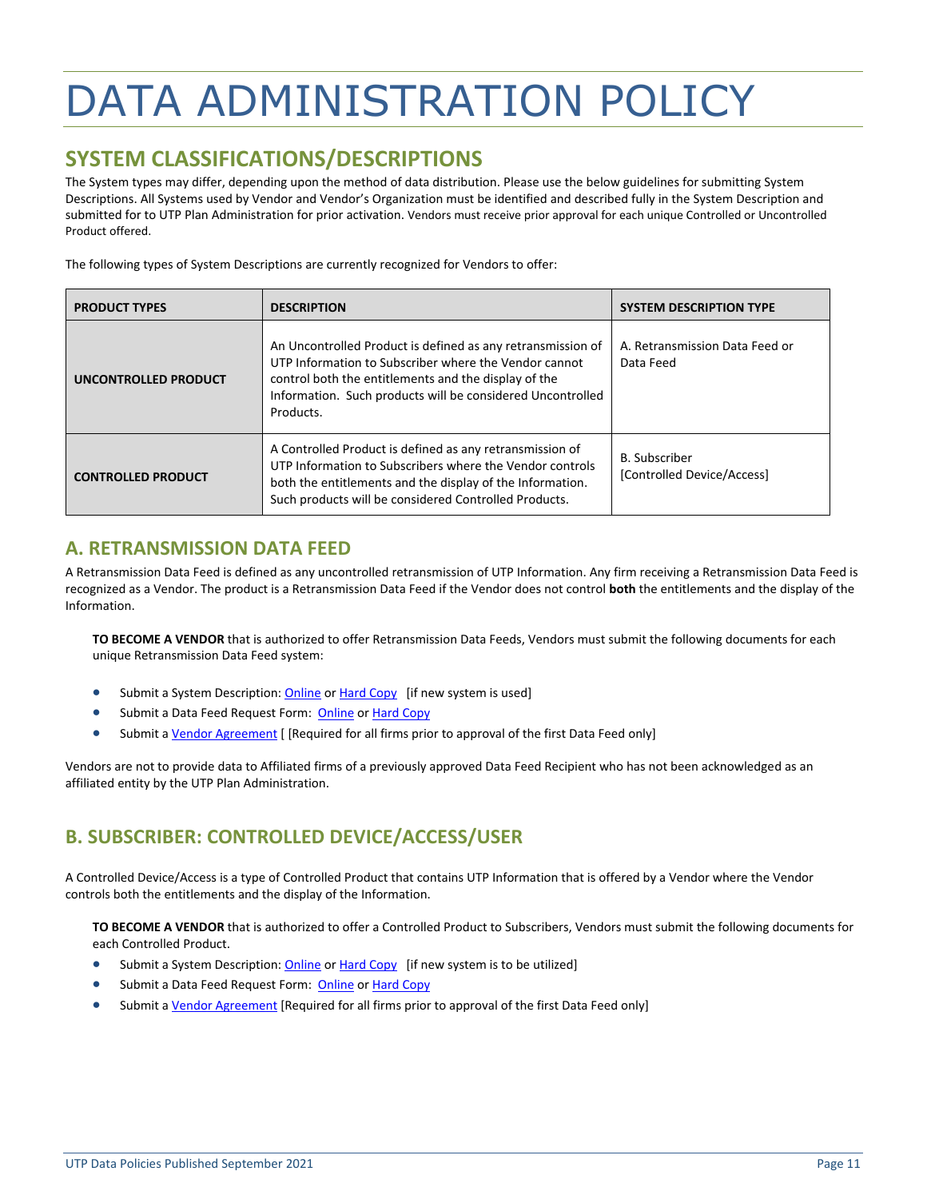## <span id="page-10-0"></span>DATA ADMINISTRATION POLICY

## <span id="page-10-1"></span>**SYSTEM CLASSIFICATIONS/DESCRIPTIONS**

The System types may differ, depending upon the method of data distribution. Please use the below guidelines for submitting System Descriptions. All Systems used by Vendor and Vendor's Organization must be identified and described fully in the [System Description](http://www.utpplan.com/DOC/SYSTEM%20APPLICATION-UTP%20V1%20FINAL.pdf) and submitted for to UTP Plan Administration for prior activation. Vendors must receive prior approval for each unique Controlled or Uncontrolled Product offered.

The following types of System Descriptions are currently recognized for Vendors to offer:

| <b>PRODUCT TYPES</b>      | <b>DESCRIPTION</b>                                                                                                                                                                                                                                      | <b>SYSTEM DESCRIPTION TYPE</b>                     |
|---------------------------|---------------------------------------------------------------------------------------------------------------------------------------------------------------------------------------------------------------------------------------------------------|----------------------------------------------------|
| UNCONTROLLED PRODUCT      | An Uncontrolled Product is defined as any retransmission of<br>UTP Information to Subscriber where the Vendor cannot<br>control both the entitlements and the display of the<br>Information. Such products will be considered Uncontrolled<br>Products. | A. Retransmission Data Feed or<br>Data Feed        |
| <b>CONTROLLED PRODUCT</b> | A Controlled Product is defined as any retransmission of<br>UTP Information to Subscribers where the Vendor controls<br>both the entitlements and the display of the Information.<br>Such products will be considered Controlled Products.              | <b>B.</b> Subscriber<br>[Controlled Device/Access] |

## **A. RETRANSMISSION DATA FEED**

A Retransmission Data Feed is defined as any uncontrolled retransmission of UTP Information. Any firm receiving a Retransmission Data Feed is recognized as a Vendor. The product is a Retransmission Data Feed if the Vendor does not control **both** the entitlements and the display of the Information.

**TO BECOME A VENDOR** that is authorized to offer Retransmission Data Feeds, Vendors must submit the following documents for each unique Retransmission Data Feed system:

- Submit a System Description: [Online](http://www.utpplan.com/system_application) or Hard [Copy](http://www.utpplan.com/DOC/SYSTEM%20APPLICATION-UTP%20V1%20FINAL.pdf) [if new system is used]
- Submit a Data Feed Request Form: [Online](http://www.utpplan.com/datafeed_approval) o[r Hard Copy](http://www.utpplan.com/DOC/UTP_Data_Feed_Request.pdf)
- Submit [a Vendor Agreement](http://www.utpplan.com/DOC/VendorAgreement.pdf) [ [Required for all firms prior to approval of the first Data Feed only]

Vendors are not to provide data to Affiliated firms of a previously approved Data Feed Recipient who has not been acknowledged as an affiliated entity by the UTP Plan Administration.

## **B. SUBSCRIBER: CONTROLLED DEVICE/ACCESS/USER**

A Controlled Device/Access is a type of Controlled Product that contains UTP Information that is offered by a Vendor where the Vendor controls both the entitlements and the display of the Information.

**TO BECOME A VENDOR** that is authorized to offer a Controlled Product to Subscribers, Vendors must submit the following documents for each Controlled Product.

- Submit a System Description: [Online](http://www.utpplan.com/system_application) or Hard [Copy](http://www.utpplan.com/DOC/SYSTEM%20APPLICATION-UTP%20V1%20FINAL.pdf) [if new system is to be utilized]
- Submit a Data Feed Request Form: [Online](http://www.utpplan.com/datafeed_approval) o[r Hard Copy](http://www.utpplan.com/DOC/UTP_Data_Feed_Request.pdf)
- Submit [a Vendor Agreement](http://www.utpplan.com/DOC/VendorAgreement.pdf) [Required for all firms prior to approval of the first Data Feed only]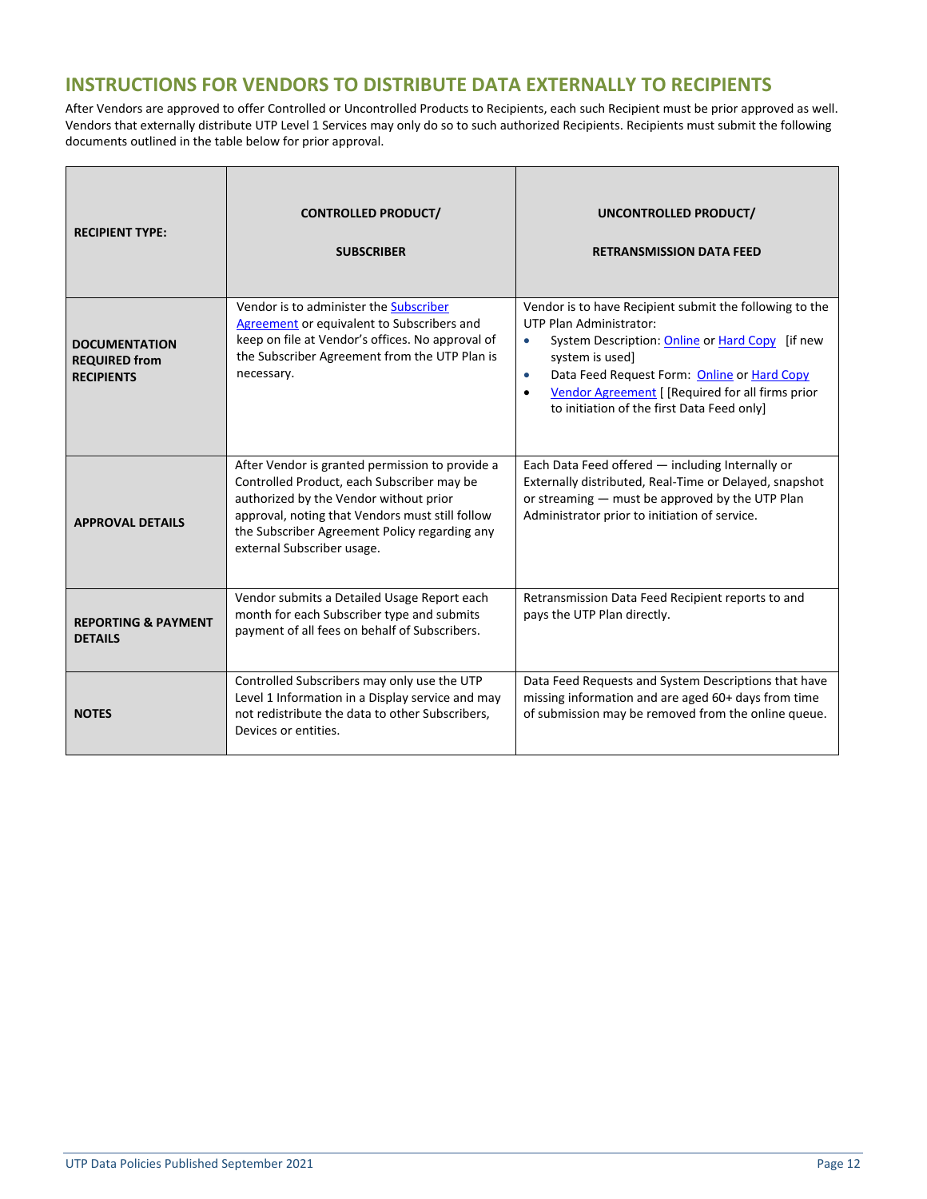## **INSTRUCTIONS FOR VENDORS TO DISTRIBUTE DATA EXTERNALLY TO RECIPIENTS**

After Vendors are approved to offer Controlled or Uncontrolled Products to Recipients, each such Recipient must be prior approved as well. Vendors that externally distribute UTP Level 1 Services may only do so to such authorized Recipients. Recipients must submit the following documents outlined in the table below for prior approval.

| <b>RECIPIENT TYPE:</b>                                            | <b>CONTROLLED PRODUCT/</b><br><b>SUBSCRIBER</b>                                                                                                                                                                                                                           | UNCONTROLLED PRODUCT/<br><b>RETRANSMISSION DATA FEED</b>                                                                                                                                                                                                                                                                                         |
|-------------------------------------------------------------------|---------------------------------------------------------------------------------------------------------------------------------------------------------------------------------------------------------------------------------------------------------------------------|--------------------------------------------------------------------------------------------------------------------------------------------------------------------------------------------------------------------------------------------------------------------------------------------------------------------------------------------------|
| <b>DOCUMENTATION</b><br><b>REQUIRED from</b><br><b>RECIPIENTS</b> | Vendor is to administer the Subscriber<br>Agreement or equivalent to Subscribers and<br>keep on file at Vendor's offices. No approval of<br>the Subscriber Agreement from the UTP Plan is<br>necessary.                                                                   | Vendor is to have Recipient submit the following to the<br>UTP Plan Administrator:<br>System Description: Online or Hard Copy [if new<br>$\bullet$<br>system is used]<br>Data Feed Request Form: Online or Hard Copy<br>$\bullet$<br>Vendor Agreement [ [Required for all firms prior<br>$\bullet$<br>to initiation of the first Data Feed only] |
| <b>APPROVAL DETAILS</b>                                           | After Vendor is granted permission to provide a<br>Controlled Product, each Subscriber may be<br>authorized by the Vendor without prior<br>approval, noting that Vendors must still follow<br>the Subscriber Agreement Policy regarding any<br>external Subscriber usage. | Each Data Feed offered - including Internally or<br>Externally distributed, Real-Time or Delayed, snapshot<br>or streaming - must be approved by the UTP Plan<br>Administrator prior to initiation of service.                                                                                                                                   |
| <b>REPORTING &amp; PAYMENT</b><br><b>DETAILS</b>                  | Vendor submits a Detailed Usage Report each<br>month for each Subscriber type and submits<br>payment of all fees on behalf of Subscribers.                                                                                                                                | Retransmission Data Feed Recipient reports to and<br>pays the UTP Plan directly.                                                                                                                                                                                                                                                                 |
| <b>NOTES</b>                                                      | Controlled Subscribers may only use the UTP<br>Level 1 Information in a Display service and may<br>not redistribute the data to other Subscribers,<br>Devices or entities.                                                                                                | Data Feed Requests and System Descriptions that have<br>missing information and are aged 60+ days from time<br>of submission may be removed from the online queue.                                                                                                                                                                               |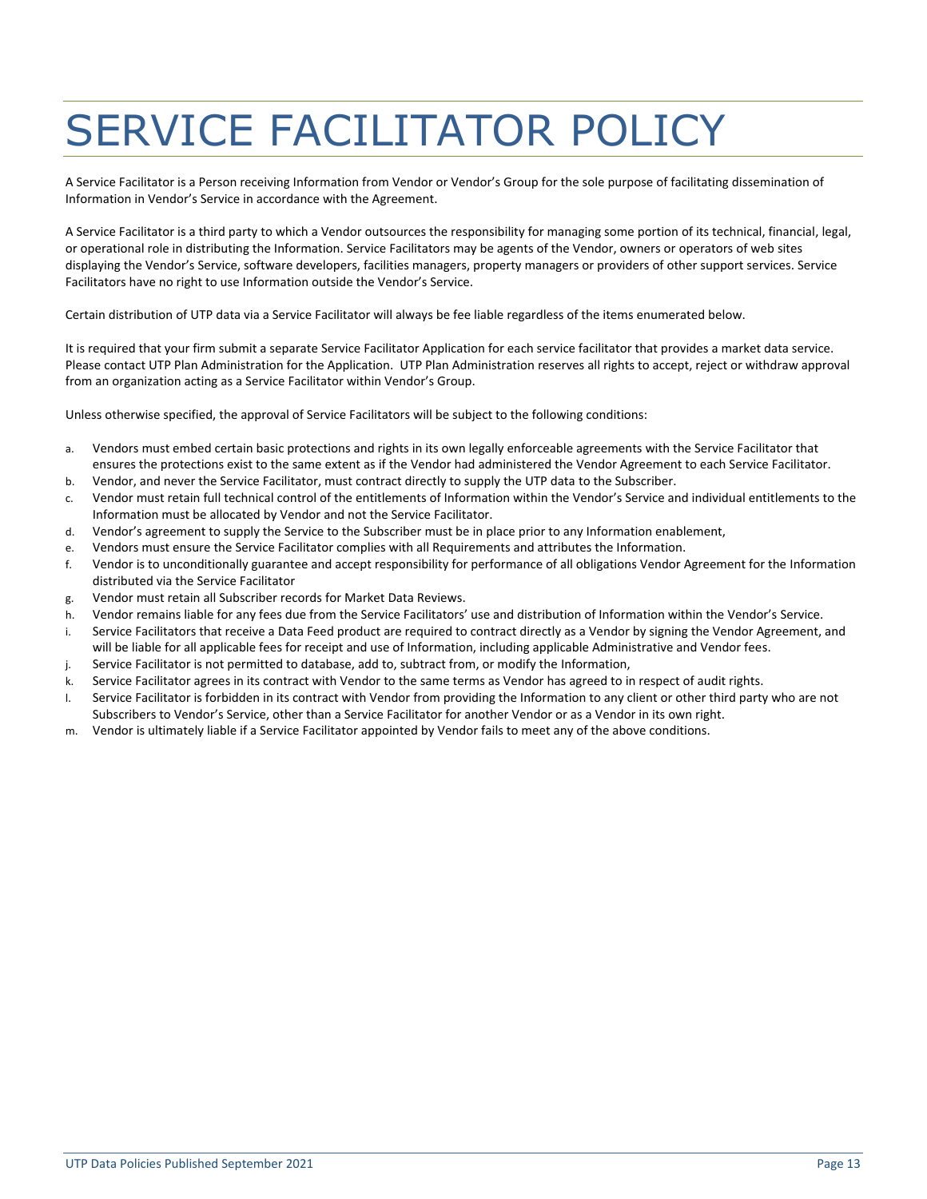## <span id="page-12-0"></span>SERVICE FACILITATOR POLICY

A Service Facilitator is a Person receiving Information from Vendor or Vendor's Group for the sole purpose of facilitating dissemination of Information in Vendor's Service in accordance with the Agreement.

A Service Facilitator is a third party to which a Vendor outsources the responsibility for managing some portion of its technical, financial, legal, or operational role in distributing the Information. Service Facilitators may be agents of the Vendor, owners or operators of web sites displaying the Vendor's Service, software developers, facilities managers, property managers or providers of other support services. Service Facilitators have no right to use Information outside the Vendor's Service.

Certain distribution of UTP data via a Service Facilitator will always be fee liable regardless of the items enumerated below.

It is required that your firm submit a separate Service Facilitator Application for each service facilitator that provides a market data service. Please contact UTP Plan Administration for the Application. UTP Plan Administration reserves all rights to accept, reject or withdraw approval from an organization acting as a Service Facilitator within Vendor's Group.

Unless otherwise specified, the approval of Service Facilitators will be subject to the following conditions:

- a. Vendors must embed certain basic protections and rights in its own legally enforceable agreements with the Service Facilitator that ensures the protections exist to the same extent as if the Vendor had administered the Vendor Agreement to each Service Facilitator.
- b. Vendor, and never the Service Facilitator, must contract directly to supply the UTP data to the Subscriber.
- c. Vendor must retain full technical control of the entitlements of Information within the Vendor's Service and individual entitlements to the Information must be allocated by Vendor and not the Service Facilitator.
- d. Vendor's agreement to supply the Service to the Subscriber must be in place prior to any Information enablement,
- e. Vendors must ensure the Service Facilitator complies with all Requirements and attributes the Information.
- f. Vendor is to unconditionally guarantee and accept responsibility for performance of all obligations Vendor Agreement for the Information distributed via the Service Facilitator
- g. Vendor must retain all Subscriber records for Market Data Reviews.
- h. Vendor remains liable for any fees due from the Service Facilitators' use and distribution of Information within the Vendor's Service.
- i. Service Facilitators that receive a Data Feed product are required to contract directly as a Vendor by signing the Vendor Agreement, and will be liable for all applicable fees for receipt and use of Information, including applicable Administrative and Vendor fees.
- j. Service Facilitator is not permitted to database, add to, subtract from, or modify the Information,
- k. Service Facilitator agrees in its contract with Vendor to the same terms as Vendor has agreed to in respect of audit rights.
- l. Service Facilitator is forbidden in its contract with Vendor from providing the Information to any client or other third party who are not Subscribers to Vendor's Service, other than a Service Facilitator for another Vendor or as a Vendor in its own right.
- m. Vendor is ultimately liable if a Service Facilitator appointed by Vendor fails to meet any of the above conditions.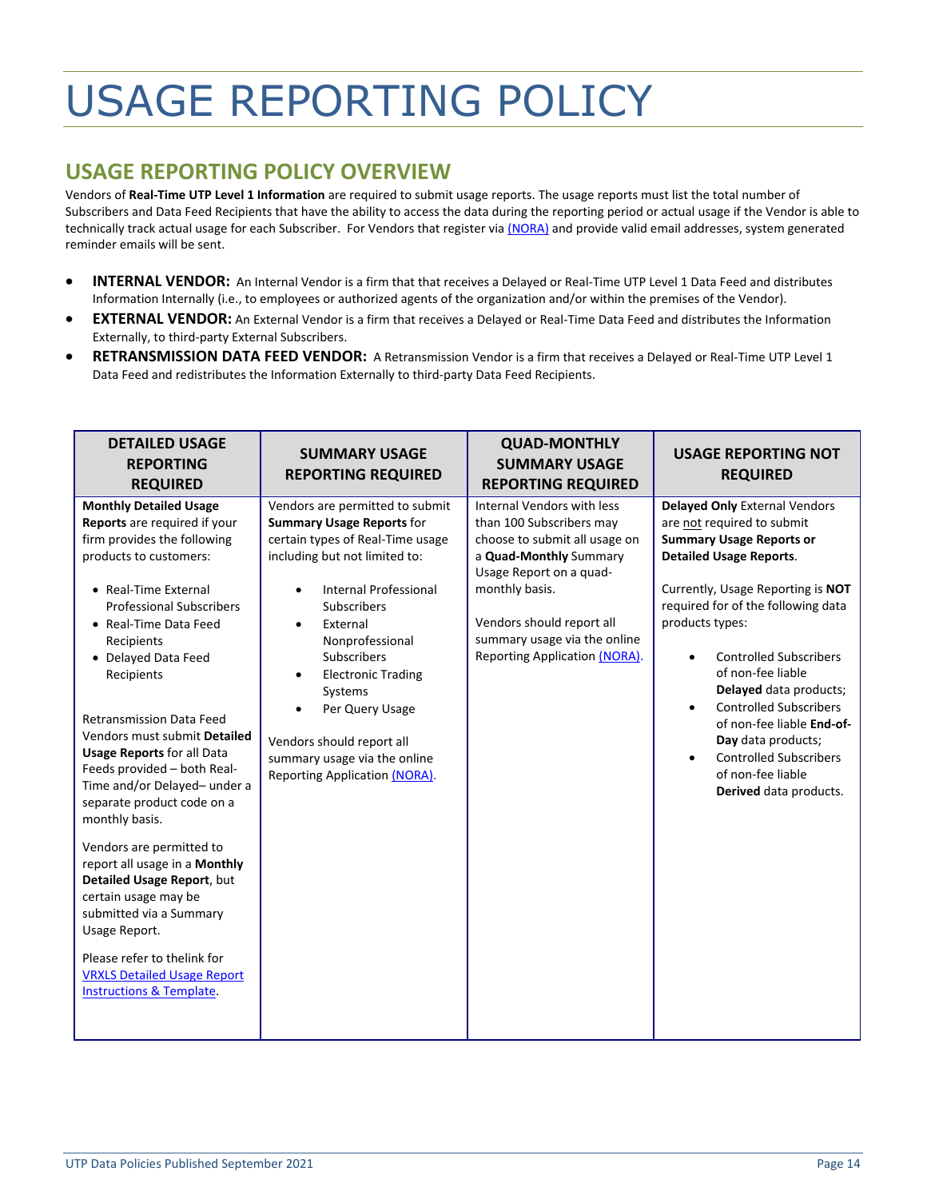## <span id="page-13-0"></span>USAGE REPORTING POLICY

## <span id="page-13-1"></span>**USAGE REPORTING POLICY OVERVIEW**

Vendors of **Real-Time UTP Level 1 Information** are required to submit usage reports. The usage reports must list the total number of Subscribers and Data Feed Recipients that have the ability to access the data during the reporting period or actual usage if the Vendor is able to technically track actual usage for each Subscriber. For Vendors that register via [\(NORA\)](https://nora.nasdaq.com/) and provide valid email addresses, system generated reminder emails will be sent.

- **INTERNAL VENDOR:** An Internal Vendor is a firm that that receives a Delayed or Real-Time UTP Level 1 Data Feed and distributes Information Internally (i.e., to employees or authorized agents of the organization and/or within the premises of the Vendor).
- **EXTERNAL VENDOR:** An External Vendor is a firm that receives a Delayed or Real-Time Data Feed and distributes the Information Externally, to third-party External Subscribers.
- **RETRANSMISSION DATA FEED VENDOR:** A Retransmission Vendor is a firm that receives a Delayed or Real-Time UTP Level 1 Data Feed and redistributes the Information Externally to third-party Data Feed Recipients.

| <b>DETAILED USAGE</b><br><b>REPORTING</b><br><b>REQUIRED</b>                                                                                                                                                                                                                                                                                                                                                                                                                                                                                                                                                                                                                                                                                                    | <b>SUMMARY USAGE</b><br><b>REPORTING REQUIRED</b>                                                                                                                                                                                                                                                                                                                                                                  | <b>QUAD-MONTHLY</b><br><b>SUMMARY USAGE</b><br><b>REPORTING REQUIRED</b>                                                                                                                                                                                            | <b>USAGE REPORTING NOT</b><br><b>REQUIRED</b>                                                                                                                                                                                                                                                                                                                                                                                                                                                                                    |
|-----------------------------------------------------------------------------------------------------------------------------------------------------------------------------------------------------------------------------------------------------------------------------------------------------------------------------------------------------------------------------------------------------------------------------------------------------------------------------------------------------------------------------------------------------------------------------------------------------------------------------------------------------------------------------------------------------------------------------------------------------------------|--------------------------------------------------------------------------------------------------------------------------------------------------------------------------------------------------------------------------------------------------------------------------------------------------------------------------------------------------------------------------------------------------------------------|---------------------------------------------------------------------------------------------------------------------------------------------------------------------------------------------------------------------------------------------------------------------|----------------------------------------------------------------------------------------------------------------------------------------------------------------------------------------------------------------------------------------------------------------------------------------------------------------------------------------------------------------------------------------------------------------------------------------------------------------------------------------------------------------------------------|
| <b>Monthly Detailed Usage</b><br>Reports are required if your<br>firm provides the following<br>products to customers:<br>• Real-Time External<br><b>Professional Subscribers</b><br>• Real-Time Data Feed<br>Recipients<br>• Delayed Data Feed<br>Recipients<br><b>Retransmission Data Feed</b><br>Vendors must submit Detailed<br><b>Usage Reports for all Data</b><br>Feeds provided - both Real-<br>Time and/or Delayed- under a<br>separate product code on a<br>monthly basis.<br>Vendors are permitted to<br>report all usage in a Monthly<br>Detailed Usage Report, but<br>certain usage may be<br>submitted via a Summary<br>Usage Report.<br>Please refer to thelink for<br><b>VRXLS Detailed Usage Report</b><br><b>Instructions &amp; Template.</b> | Vendors are permitted to submit<br><b>Summary Usage Reports for</b><br>certain types of Real-Time usage<br>including but not limited to:<br><b>Internal Professional</b><br>$\bullet$<br>Subscribers<br>External<br>Nonprofessional<br><b>Subscribers</b><br><b>Electronic Trading</b><br>Systems<br>Per Query Usage<br>Vendors should report all<br>summary usage via the online<br>Reporting Application (NORA). | Internal Vendors with less<br>than 100 Subscribers may<br>choose to submit all usage on<br>a Quad-Monthly Summary<br>Usage Report on a quad-<br>monthly basis.<br>Vendors should report all<br>summary usage via the online<br><b>Reporting Application (NORA).</b> | <b>Delayed Only External Vendors</b><br>are not required to submit<br><b>Summary Usage Reports or</b><br><b>Detailed Usage Reports.</b><br>Currently, Usage Reporting is NOT<br>required for of the following data<br>products types:<br><b>Controlled Subscribers</b><br>$\bullet$<br>of non-fee liable<br>Delayed data products;<br><b>Controlled Subscribers</b><br>$\bullet$<br>of non-fee liable End-of-<br>Day data products;<br><b>Controlled Subscribers</b><br>$\bullet$<br>of non-fee liable<br>Derived data products. |
|                                                                                                                                                                                                                                                                                                                                                                                                                                                                                                                                                                                                                                                                                                                                                                 |                                                                                                                                                                                                                                                                                                                                                                                                                    |                                                                                                                                                                                                                                                                     |                                                                                                                                                                                                                                                                                                                                                                                                                                                                                                                                  |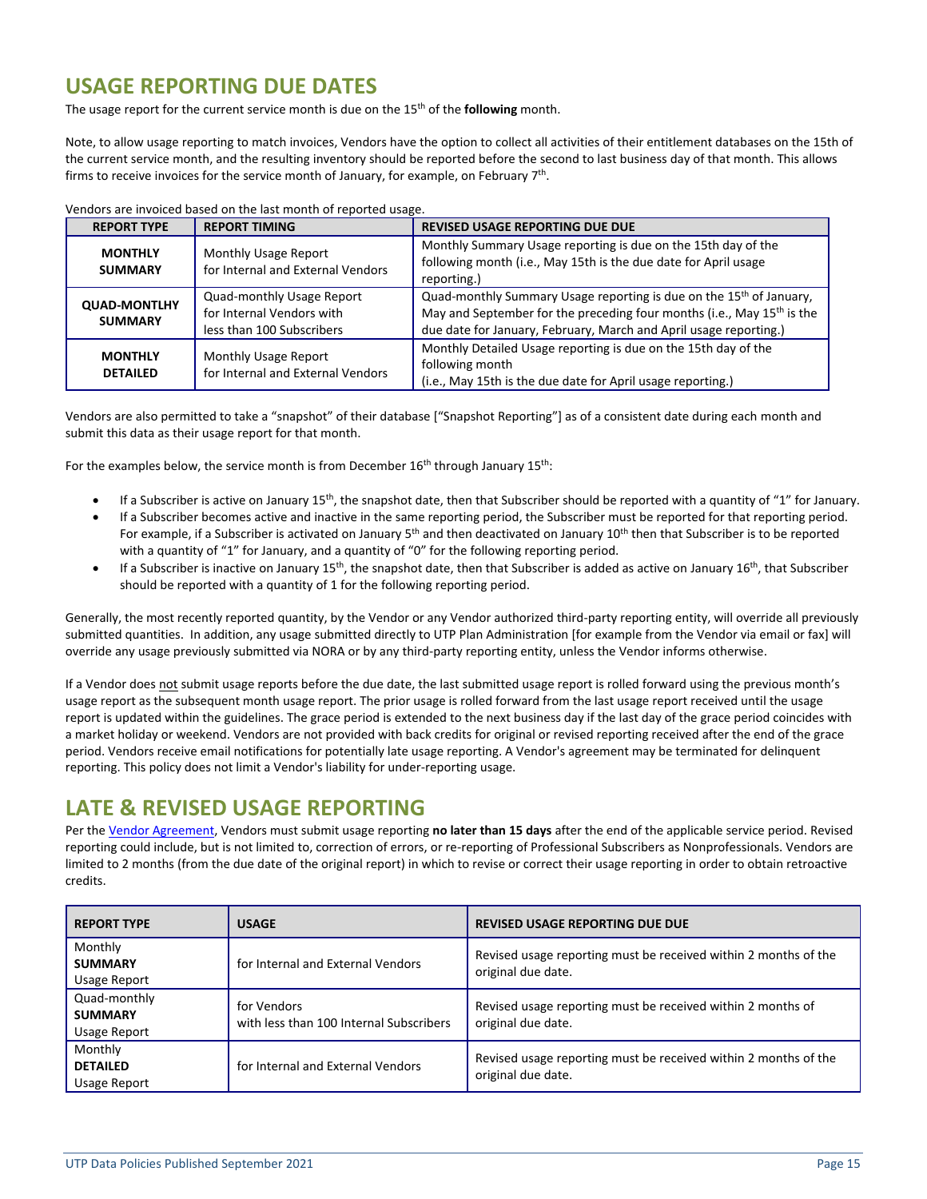## <span id="page-14-0"></span>**USAGE REPORTING DUE DATES**

The usage report for the current service month is due on the 15<sup>th</sup> of the **following** month.

Note, to allow usage reporting to match invoices, Vendors have the option to collect all activities of their entitlement databases on the 15th of the current service month, and the resulting inventory should be reported before the second to last business day of that month. This allows firms to receive invoices for the service month of January, for example, on February 7<sup>th</sup>.

| <b>REPORT TYPE</b>                    | <b>REPORT TIMING</b>                                                                | <b>REVISED USAGE REPORTING DUE DUE</b>                                                                                                                                                                                                     |  |  |  |
|---------------------------------------|-------------------------------------------------------------------------------------|--------------------------------------------------------------------------------------------------------------------------------------------------------------------------------------------------------------------------------------------|--|--|--|
| <b>MONTHLY</b><br><b>SUMMARY</b>      | <b>Monthly Usage Report</b><br>for Internal and External Vendors                    | Monthly Summary Usage reporting is due on the 15th day of the<br>following month (i.e., May 15th is the due date for April usage<br>reporting.)                                                                                            |  |  |  |
| <b>QUAD-MONTLHY</b><br><b>SUMMARY</b> | Quad-monthly Usage Report<br>for Internal Vendors with<br>less than 100 Subscribers | Quad-monthly Summary Usage reporting is due on the 15 <sup>th</sup> of January,<br>May and September for the preceding four months (i.e., May 15 <sup>th</sup> is the<br>due date for January, February, March and April usage reporting.) |  |  |  |
| <b>MONTHLY</b><br><b>DETAILED</b>     | <b>Monthly Usage Report</b><br>for Internal and External Vendors                    | Monthly Detailed Usage reporting is due on the 15th day of the<br>following month<br>(i.e., May 15th is the due date for April usage reporting.)                                                                                           |  |  |  |

Vendors are invoiced based on the last month of reported usage.

Vendors are also permitted to take a "snapshot" of their database ["Snapshot Reporting"] as of a consistent date during each month and submit this data as their usage report for that month.

For the examples below, the service month is from December 16<sup>th</sup> through January 15<sup>th</sup>:

- If a Subscriber is active on January 15<sup>th</sup>, the snapshot date, then that Subscriber should be reported with a quantity of "1" for January.
- If a Subscriber becomes active and inactive in the same reporting period, the Subscriber must be reported for that reporting period. For example, if a Subscriber is activated on January  $5<sup>th</sup>$  and then deactivated on January  $10<sup>th</sup>$  then that Subscriber is to be reported with a quantity of "1" for January, and a quantity of "0" for the following reporting period.
- If a Subscriber is inactive on January  $15<sup>th</sup>$ , the snapshot date, then that Subscriber is added as active on January  $16<sup>th</sup>$ , that Subscriber should be reported with a quantity of 1 for the following reporting period.

Generally, the most recently reported quantity, by the Vendor or any Vendor authorized third-party reporting entity, will override all previously submitted quantities. In addition, any usage submitted directly to UTP Plan Administration [for example from the Vendor via email or fax] will override any usage previously submitted via NORA or by any third-party reporting entity, unless the Vendor informs otherwise.

If a Vendor does not submit usage reports before the due date, the last submitted usage report is rolled forward using the previous month's usage report as the subsequent month usage report. The prior usage is rolled forward from the last usage report received until the usage report is updated within the guidelines. The grace period is extended to the next business day if the last day of the grace period coincides with a market holiday or weekend. Vendors are not provided with back credits for original or revised reporting received after the end of the grace period. Vendors receive email notifications for potentially late usage reporting. A Vendor's agreement may be terminated for delinquent reporting. This policy does not limit a Vendor's liability for under-reporting usage.

## <span id="page-14-1"></span>**LATE & REVISED USAGE REPORTING**

Per the [Vendor Agreement,](http://www.utpplan.com/DOC/VendorAgreement.pdf) Vendors must submit usage reporting **no later than 15 days** after the end of the applicable service period. Revised reporting could include, but is not limited to, correction of errors, or re-reporting of Professional Subscribers as Nonprofessionals. Vendors are limited to 2 months (from the due date of the original report) in which to revise or correct their usage reporting in order to obtain retroactive credits.

| <b>REPORT TYPE</b>                             | <b>USAGE</b>                                           | <b>REVISED USAGE REPORTING DUE DUE</b>                                                |
|------------------------------------------------|--------------------------------------------------------|---------------------------------------------------------------------------------------|
| Monthly<br><b>SUMMARY</b><br>Usage Report      | for Internal and External Vendors                      | Revised usage reporting must be received within 2 months of the<br>original due date. |
| Quad-monthly<br><b>SUMMARY</b><br>Usage Report | for Vendors<br>with less than 100 Internal Subscribers | Revised usage reporting must be received within 2 months of<br>original due date.     |
| Monthly<br><b>DETAILED</b><br>Usage Report     | for Internal and External Vendors                      | Revised usage reporting must be received within 2 months of the<br>original due date. |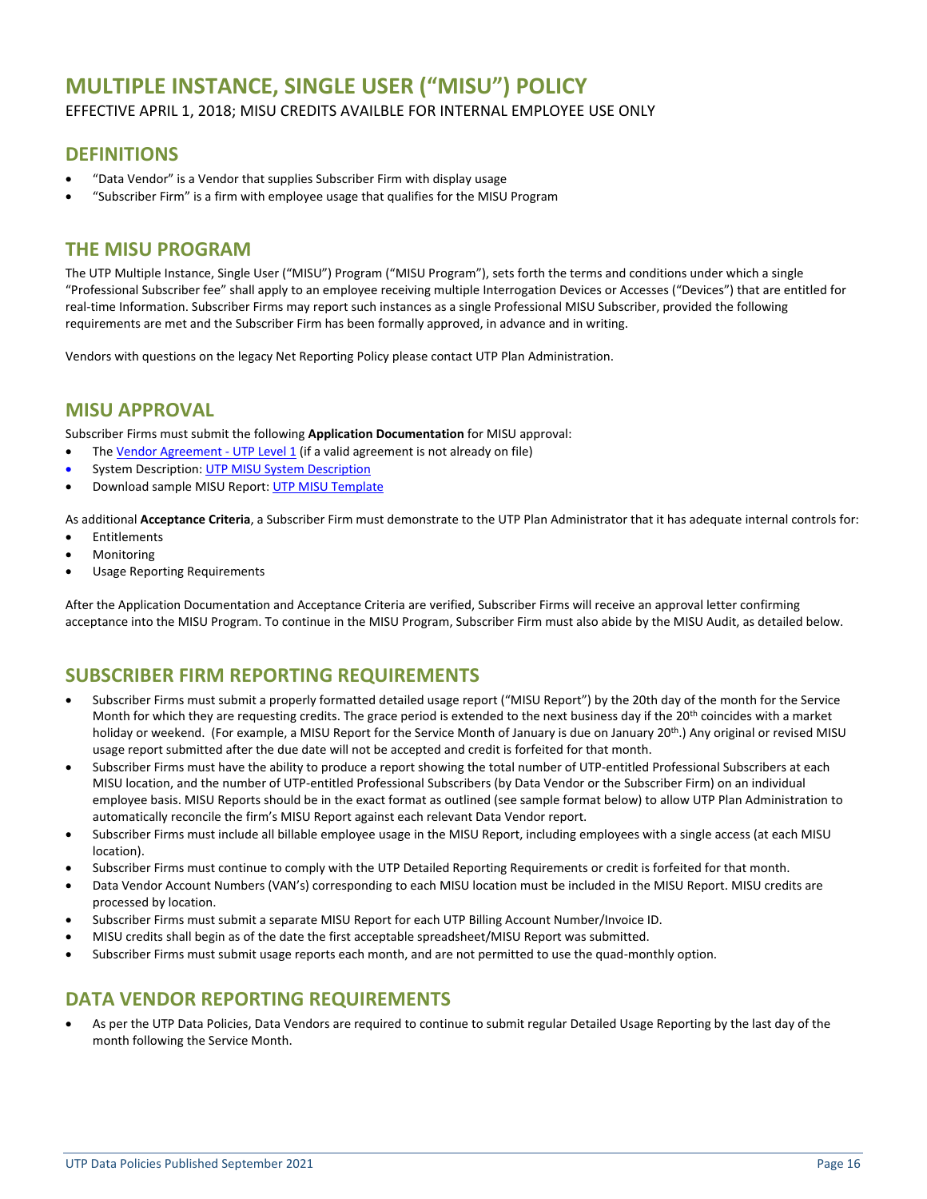## <span id="page-15-0"></span>**MULTIPLE INSTANCE, SINGLE USER ("MISU") POLICY**

#### EFFECTIVE APRIL 1, 2018; MISU CREDITS AVAILBLE FOR INTERNAL EMPLOYEE USE ONLY

### **DEFINITIONS**

- "Data Vendor" is a Vendor that supplies Subscriber Firm with display usage
- "Subscriber Firm" is a firm with employee usage that qualifies for the MISU Program

## **THE MISU PROGRAM**

The UTP Multiple Instance, Single User ("MISU") Program ("MISU Program"), sets forth the terms and conditions under which a single "Professional Subscriber fee" shall apply to an employee receiving multiple Interrogation Devices or Accesses ("Devices") that are entitled for real-time Information. Subscriber Firms may report such instances as a single Professional MISU Subscriber, provided the following requirements are met and the Subscriber Firm has been formally approved, in advance and in writing.

Vendors with questions on the legacy Net Reporting Policy please contact UTP Plan Administration.

## **MISU APPROVAL**

Subscriber Firms must submit the following **Application Documentation** for MISU approval:

- The Vendor [Agreement](http://www.utpplan.com/DOC/VendorAgreement.pdf) UTP Level 1 (if a valid agreement is not already on file)
- System [Description](http://www.utpplan.com/DOC/UTP_MISU_System_Description.pdf): UTP MISU System Description
- Download sample MISU Report[: UTP MISU Template](http://www.utpplan.com/DOC/UTP_MISU_Template.xlsx)

As additional **Acceptance Criteria**, a Subscriber Firm must demonstrate to the UTP Plan Administrator that it has adequate internal controls for:

- Entitlements
- **Monitoring**
- Usage Reporting Requirements

After the Application Documentation and Acceptance Criteria are verified, Subscriber Firms will receive an approval letter confirming acceptance into the MISU Program. To continue in the MISU Program, Subscriber Firm must also abide by the MISU Audit, as detailed below.

## **SUBSCRIBER FIRM REPORTING REQUIREMENTS**

- Subscriber Firms must submit a properly formatted detailed usage report ("MISU Report") by the 20th day of the month for the Service Month for which they are requesting credits. The grace period is extended to the next business day if the 20<sup>th</sup> coincides with a market holiday or weekend. (For example, a MISU Report for the Service Month of January is due on January 20<sup>th</sup>.) Any original or revised MISU usage report submitted after the due date will not be accepted and credit is forfeited for that month.
- Subscriber Firms must have the ability to produce a report showing the total number of UTP-entitled Professional Subscribers at each MISU location, and the number of UTP-entitled Professional Subscribers (by Data Vendor or the Subscriber Firm) on an individual employee basis. MISU Reports should be in the exact format as outlined (see sample format below) to allow UTP Plan Administration to automatically reconcile the firm's MISU Report against each relevant Data Vendor report.
- Subscriber Firms must include all billable employee usage in the MISU Report, including employees with a single access (at each MISU location).
- Subscriber Firms must continue to comply with the UTP Detailed Reporting Requirements or credit is forfeited for that month.
- Data Vendor Account Numbers (VAN's) corresponding to each MISU location must be included in the MISU Report. MISU credits are processed by location.
- Subscriber Firms must submit a separate MISU Report for each UTP Billing Account Number/Invoice ID.
- MISU credits shall begin as of the date the first acceptable spreadsheet/MISU Report was submitted.
- Subscriber Firms must submit usage reports each month, and are not permitted to use the quad-monthly option.

## **DATA VENDOR REPORTING REQUIREMENTS**

• As per the UTP Data Policies, Data Vendors are required to continue to submit regular Detailed Usage Reporting by the last day of the month following the Service Month.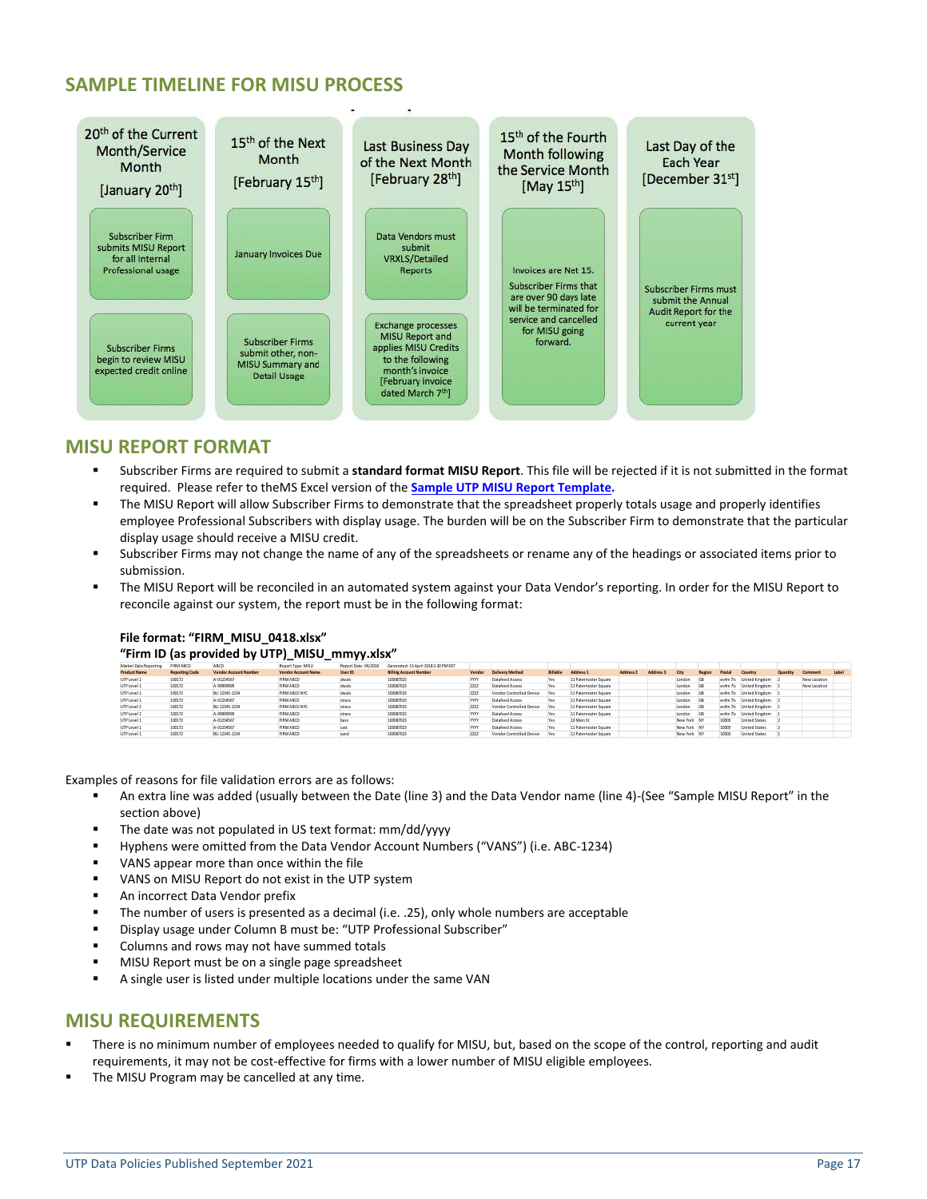## **SAMPLE TIMELINE FOR MISU PROCESS**



### **MISU REPORT FORMAT**

- Subscriber Firms are required to submit a standard format MISU Report. This file will be rejected if it is not submitted in the format required. Please refer to theMS Excel version of the **[Sample UTP MISU Report](http://www.utpplan.com/DOC/UTP_MISU_Template.xlsx) Template.**
- The MISU Report will allow Subscriber Firms to demonstrate that the spreadsheet properly totals usage and properly identifies employee Professional Subscribers with display usage. The burden will be on the Subscriber Firm to demonstrate that the particular display usage should receive a MISU credit.
- Subscriber Firms may not change the name of any of the spreadsheets or rename any of the headings or associated items prior to submission.
- The MISU Report will be reconciled in an automated system against your Data Vendor's reporting. In order for the MISU Report to reconcile against our system, the report must be in the following format:

#### **File format: "FIRM\_MISU\_0418.xlsx"**

#### **"Firm ID (as provided by UTP)\_MISU\_mmyy.xlsx"**

|                       |                       |                       |                            | --                   |                                      |             |                          |                 |                       |                      |           |             |            |          |                      |          |              |              |
|-----------------------|-----------------------|-----------------------|----------------------------|----------------------|--------------------------------------|-------------|--------------------------|-----------------|-----------------------|----------------------|-----------|-------------|------------|----------|----------------------|----------|--------------|--------------|
| Market Data Reporting | <b>FIRM ABCD</b>      | ABCD                  | Report Type: MISU          | Report Date: 04/2018 | Generated: 13 April 2018 2:30 PM EDT |             |                          |                 |                       |                      |           |             |            |          |                      |          |              |              |
| <b>Product Name</b>   | <b>Reporting Code</b> | Vendor Account Number | <b>Vendor Account Name</b> | <b>User ID</b>       | <b>Billing Account Number</b>        | Vendor      | <b>Delivery Method</b>   | <b>Billable</b> | Address <sub>1</sub>  | Address <sub>2</sub> | Address 3 | City        | Region     | Postal   | <b>Country</b>       | Quantity | Comment      | <b>Label</b> |
| UTP Level 1           | 100172                | A-01234567            | FIRMABCD                   | dwals                | 100087023                            | YYYY        | Datafeed Access          | Yes             | 11 Paternoster Square |                      |           | London      | <b>GB</b>  | ec4m 7ls | United Kingdom       |          | New Location |              |
| UTP Level 1           | 100172                | A-99999999            | FIRMABCD                   | dwals                | 100087023                            | 2222        | Datafeed Access          | Yes             | 11 Paternoster Square |                      |           | London      | <b>IGB</b> | ec4m 7ls | United Kingdom       |          | New Location |              |
| UTP Level 1           | 100172                | BU 12345-1234         | FIRM ABCD NYC              | dwals                | 100087023                            | 2222        | Vendor Controlled Device |                 | 11 Paternoster Square |                      |           | London      | <b>IGB</b> | ec4m 7ls | United Kingdom       |          |              |              |
| UTP Level 1           | 100172                | A-01234567            | FIRMABCD                   | strass               | 100087023                            | <b>YYYY</b> | Datafeed Access          | Yes             | 11 Paternoster Square |                      |           | London      |            | ec4m 7ls | United Kingdom       |          |              |              |
| UTP Level 1           | 100172                | BU 12345-1234         | FIRM ABCD NYC              | strass               | 100087023                            | 2222        | Vendor Controlled Device | Yes             | 11 Paternoster Square |                      |           | London      | <b>GB</b>  | ec4m 7ls | United Kingdom       |          |              |              |
| UTP Level 1           | 100172                | A-99999999            | FIRMABCD                   | strass               | 100087023                            | YYYY        | Datafeed Access          | Yes             | 11 Paternoster Square |                      |           | London      | <b>IGB</b> | ec4m 7ls | United Kingdom       |          |              |              |
| UTP Level 1           | 100172                | A-01234567            | FIRMABCD                   | bass                 | 100087023                            | YYYY        | Datafeed Access          | Yes             | 10 Main St            |                      |           | New York NY |            | 10003    | <b>United States</b> |          |              |              |
| UTP Level 1           | 100172                | A-01234567            | FIRMABCD                   |                      | 100087023                            | YYYY        | Datafeed Access          | Yes             | 11 Paternoster Square |                      |           | New York NY |            | 10003    | <b>United States</b> |          |              |              |
| UTP Level 1           | 100172                | BU 12345-1234         | FIRMABCD                   |                      | 100087023                            | 7777        | Vendor Controlled Device |                 | 11 Paternoster Square |                      |           | New York NY |            | 10003    | <b>United States</b> |          |              |              |

Examples of reasons for file validation errors are as follows:

- An extra line was added (usually between the Date (line 3) and the Data Vendor name (line 4)-(See "Sample MISU Report" in the section above)
- The date was not populated in US text format: mm/dd/yyyy
- Hyphens were omitted from the Data Vendor Account Numbers ("VANS") (i.e. ABC-1234)
- VANS appear more than once within the file
- VANS on MISU Report do not exist in the UTP system
- An incorrect Data Vendor prefix
- The number of users is presented as a decimal (i.e. .25), only whole numbers are acceptable
- Display usage under Column B must be: "UTP Professional Subscriber"
- Columns and rows may not have summed totals
- MISU Report must be on a single page spreadsheet
- A single user is listed under multiple locations under the same VAN

#### **MISU REQUIREMENTS**

- There is no minimum number of employees needed to qualify for MISU, but, based on the scope of the control, reporting and audit requirements, it may not be cost-effective for firms with a lower number of MISU eligible employees.
- The MISU Program may be cancelled at any time.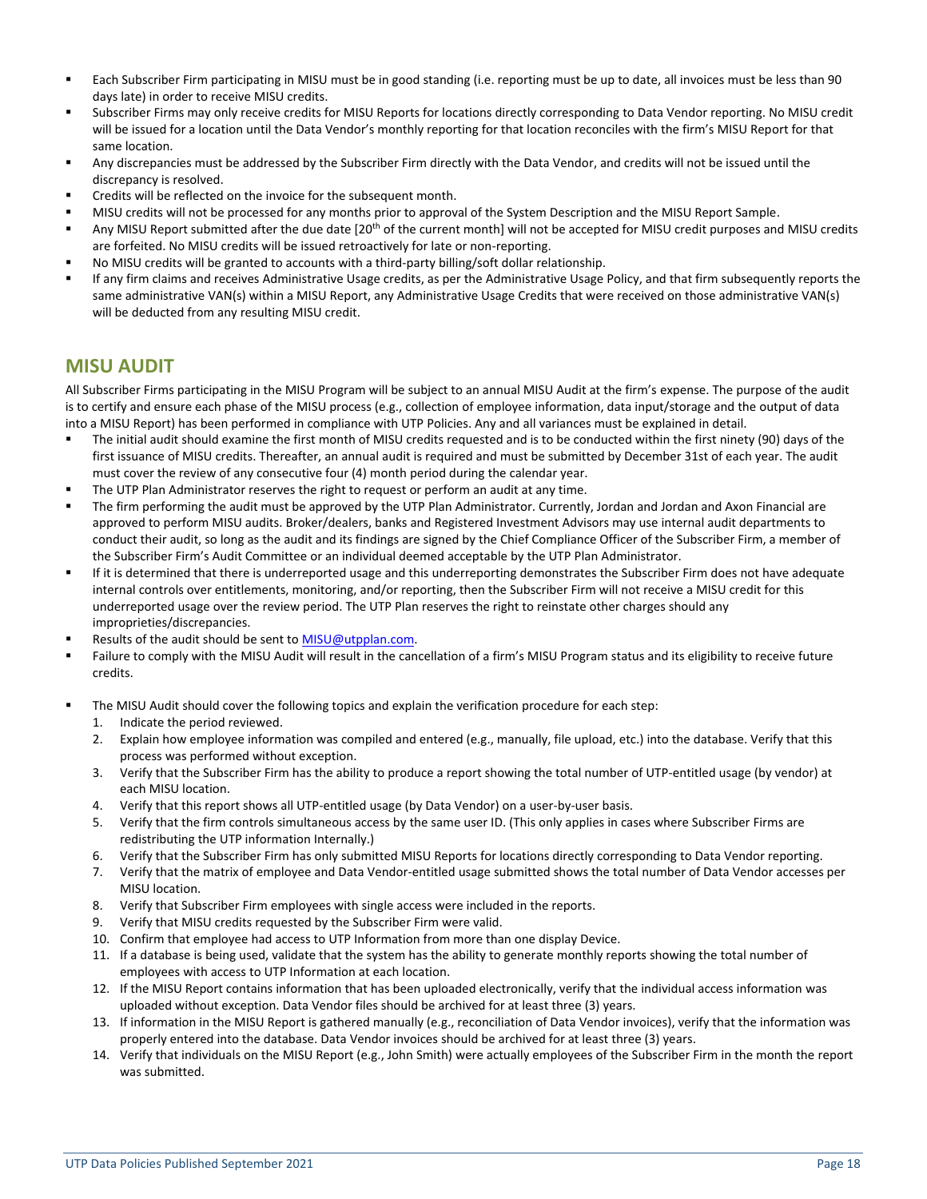- Each Subscriber Firm participating in MISU must be in good standing (i.e. reporting must be up to date, all invoices must be less than 90 days late) in order to receive MISU credits.
- Subscriber Firms may only receive credits for MISU Reports for locations directly corresponding to Data Vendor reporting. No MISU credit will be issued for a location until the Data Vendor's monthly reporting for that location reconciles with the firm's MISU Report for that same location.
- Any discrepancies must be addressed by the Subscriber Firm directly with the Data Vendor, and credits will not be issued until the discrepancy is resolved.
- Credits will be reflected on the invoice for the subsequent month.
- MISU credits will not be processed for any months prior to approval of the System Description and the MISU Report Sample.
- Any MISU Report submitted after the due date [20<sup>th</sup> of the current month] will not be accepted for MISU credit purposes and MISU credits are forfeited. No MISU credits will be issued retroactively for late or non-reporting.
- No MISU credits will be granted to accounts with a third-party billing/soft dollar relationship.
- If any firm claims and receives Administrative Usage credits, as per the Administrative Usage Policy, and that firm subsequently reports the same administrative VAN(s) within a MISU Report, any Administrative Usage Credits that were received on those administrative VAN(s) will be deducted from any resulting MISU credit.

### **MISU AUDIT**

All Subscriber Firms participating in the MISU Program will be subject to an annual MISU Audit at the firm's expense. The purpose of the audit is to certify and ensure each phase of the MISU process (e.g., collection of employee information, data input/storage and the output of data into a MISU Report) has been performed in compliance with UTP Policies. Any and all variances must be explained in detail.

- The initial audit should examine the first month of MISU credits requested and is to be conducted within the first ninety (90) days of the first issuance of MISU credits. Thereafter, an annual audit is required and must be submitted by December 31st of each year. The audit must cover the review of any consecutive four (4) month period during the calendar year.
- The UTP Plan Administrator reserves the right to request or perform an audit at any time.
- The firm performing the audit must be approved by the UTP Plan Administrator. Currently, Jordan and Jordan and Axon Financial are approved to perform MISU audits. Broker/dealers, banks and Registered Investment Advisors may use internal audit departments to conduct their audit, so long as the audit and its findings are signed by the Chief Compliance Officer of the Subscriber Firm, a member of the Subscriber Firm's Audit Committee or an individual deemed acceptable by the UTP Plan Administrator.
- If it is determined that there is underreported usage and this underreporting demonstrates the Subscriber Firm does not have adequate internal controls over entitlements, monitoring, and/or reporting, then the Subscriber Firm will not receive a MISU credit for this underreported usage over the review period. The UTP Plan reserves the right to reinstate other charges should any improprieties/discrepancies.
- Results of the audit should be sent t[o MISU@utpplan.com.](mailto:MISU@utpplan.com)
- Failure to comply with the MISU Audit will result in the cancellation of a firm's MISU Program status and its eligibility to receive future credits.
- The MISU Audit should cover the following topics and explain the verification procedure for each step:
	- 1. Indicate the period reviewed.
	- 2. Explain how employee information was compiled and entered (e.g., manually, file upload, etc.) into the database. Verify that this process was performed without exception.
	- 3. Verify that the Subscriber Firm has the ability to produce a report showing the total number of UTP-entitled usage (by vendor) at each MISU location.
	- 4. Verify that this report shows all UTP-entitled usage (by Data Vendor) on a user-by-user basis.
	- 5. Verify that the firm controls simultaneous access by the same user ID. (This only applies in cases where Subscriber Firms are redistributing the UTP information Internally.)
	- 6. Verify that the Subscriber Firm has only submitted MISU Reports for locations directly corresponding to Data Vendor reporting.
	- 7. Verify that the matrix of employee and Data Vendor-entitled usage submitted shows the total number of Data Vendor accesses per MISU location.
	- 8. Verify that Subscriber Firm employees with single access were included in the reports.
	- 9. Verify that MISU credits requested by the Subscriber Firm were valid.
	- 10. Confirm that employee had access to UTP Information from more than one display Device.
	- 11. If a database is being used, validate that the system has the ability to generate monthly reports showing the total number of employees with access to UTP Information at each location.
	- 12. If the MISU Report contains information that has been uploaded electronically, verify that the individual access information was uploaded without exception. Data Vendor files should be archived for at least three (3) years.
	- 13. If information in the MISU Report is gathered manually (e.g., reconciliation of Data Vendor invoices), verify that the information was properly entered into the database. Data Vendor invoices should be archived for at least three (3) years.
	- 14. Verify that individuals on the MISU Report (e.g., John Smith) were actually employees of the Subscriber Firm in the month the report was submitted.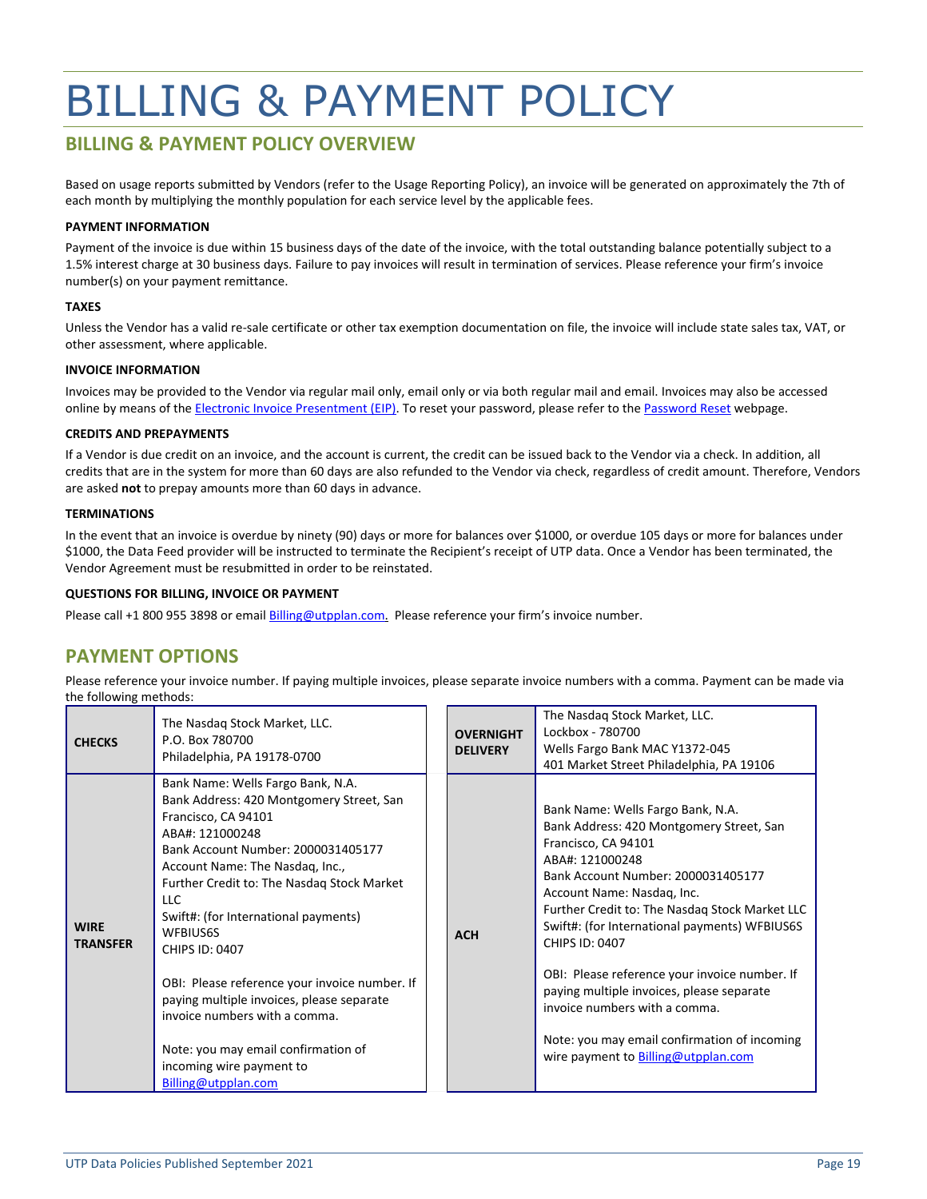## <span id="page-18-0"></span>BILLING & PAYMENT POLICY

### **BILLING & PAYMENT POLICY OVERVIEW**

Based on usage reports submitted by Vendors (refer to the Usage Reporting Policy), an invoice will be generated on approximately the 7th of each month by multiplying the monthly population for each service level by the applicable fees.

#### **PAYMENT INFORMATION**

Payment of the invoice is due within 15 business days of the date of the invoice, with the total outstanding balance potentially subject to a 1.5% interest charge at 30 business days. Failure to pay invoices will result in termination of services. Please reference your firm's invoice number(s) on your payment remittance.

#### **TAXES**

Unless the Vendor has a valid re-sale certificate or other tax exemption documentation on file, the invoice will include state sales tax, VAT, or other assessment, where applicable.

#### **INVOICE INFORMATION**

Invoices may be provided to the Vendor via regular mail only, email only or via both regular mail and email. Invoices may also be accessed online by means of the [Electronic Invoice Presentment \(EIP\).](https://eippx.nasdaq.com/) To reset your password, please refer to th[e Password Reset](https://security.nasdaq.com/remindme/) webpage.

#### **CREDITS AND PREPAYMENTS**

If a Vendor is due credit on an invoice, and the account is current, the credit can be issued back to the Vendor via a check. In addition, all credits that are in the system for more than 60 days are also refunded to the Vendor via check, regardless of credit amount. Therefore, Vendors are asked **not** to prepay amounts more than 60 days in advance.

#### **TERMINATIONS**

In the event that an invoice is overdue by ninety (90) days or more for balances over \$1000, or overdue 105 days or more for balances under \$1000, the Data Feed provider will be instructed to terminate the Recipient's receipt of UTP data. Once a Vendor has been terminated, the Vendor Agreement must be resubmitted in order to be reinstated.

#### **QUESTIONS FOR BILLING, INVOICE OR PAYMENT**

Please call +1 800 955 3898 or email [Billing@utpplan.com.](mailto:Billing@utpplan.com) Please reference your firm's invoice number.

### **PAYMENT OPTIONS**

Please reference your invoice number. If paying multiple invoices, please separate invoice numbers with a comma. Payment can be made via the following methods:

| <b>CHECKS</b>                  | The Nasdag Stock Market, LLC.<br>P.O. Box 780700<br>Philadelphia, PA 19178-0700                                                                                                                                                                                                                                                                                                                                                                                                                                                                                           | <b>OVERNIGHT</b><br><b>DELIVERY</b> | The Nasdag Stock Market, LLC.<br>Lockbox - 780700<br>Wells Fargo Bank MAC Y1372-045<br>401 Market Street Philadelphia, PA 19106                                                                                                                                                                                                                                                                                                                                                                                                               |
|--------------------------------|---------------------------------------------------------------------------------------------------------------------------------------------------------------------------------------------------------------------------------------------------------------------------------------------------------------------------------------------------------------------------------------------------------------------------------------------------------------------------------------------------------------------------------------------------------------------------|-------------------------------------|-----------------------------------------------------------------------------------------------------------------------------------------------------------------------------------------------------------------------------------------------------------------------------------------------------------------------------------------------------------------------------------------------------------------------------------------------------------------------------------------------------------------------------------------------|
| <b>WIRE</b><br><b>TRANSFER</b> | Bank Name: Wells Fargo Bank, N.A.<br>Bank Address: 420 Montgomery Street, San<br>Francisco, CA 94101<br>ABA#: 121000248<br>Bank Account Number: 2000031405177<br>Account Name: The Nasdaq, Inc.,<br>Further Credit to: The Nasdag Stock Market<br><b>LLC</b><br>Swift#: (for International payments)<br><b>WFBIUS6S</b><br><b>CHIPS ID: 0407</b><br>OBI: Please reference your invoice number. If<br>paying multiple invoices, please separate<br>invoice numbers with a comma.<br>Note: you may email confirmation of<br>incoming wire payment to<br>Billing@utpplan.com | <b>ACH</b>                          | Bank Name: Wells Fargo Bank, N.A.<br>Bank Address: 420 Montgomery Street, San<br>Francisco, CA 94101<br>ABA#: 121000248<br>Bank Account Number: 2000031405177<br>Account Name: Nasdag, Inc.<br>Further Credit to: The Nasdaq Stock Market LLC<br>Swift#: (for International payments) WFBIUS6S<br>CHIPS ID: 0407<br>OBI: Please reference your invoice number. If<br>paying multiple invoices, please separate<br>invoice numbers with a comma.<br>Note: you may email confirmation of incoming<br>wire payment to <b>Billing@utpplan.com</b> |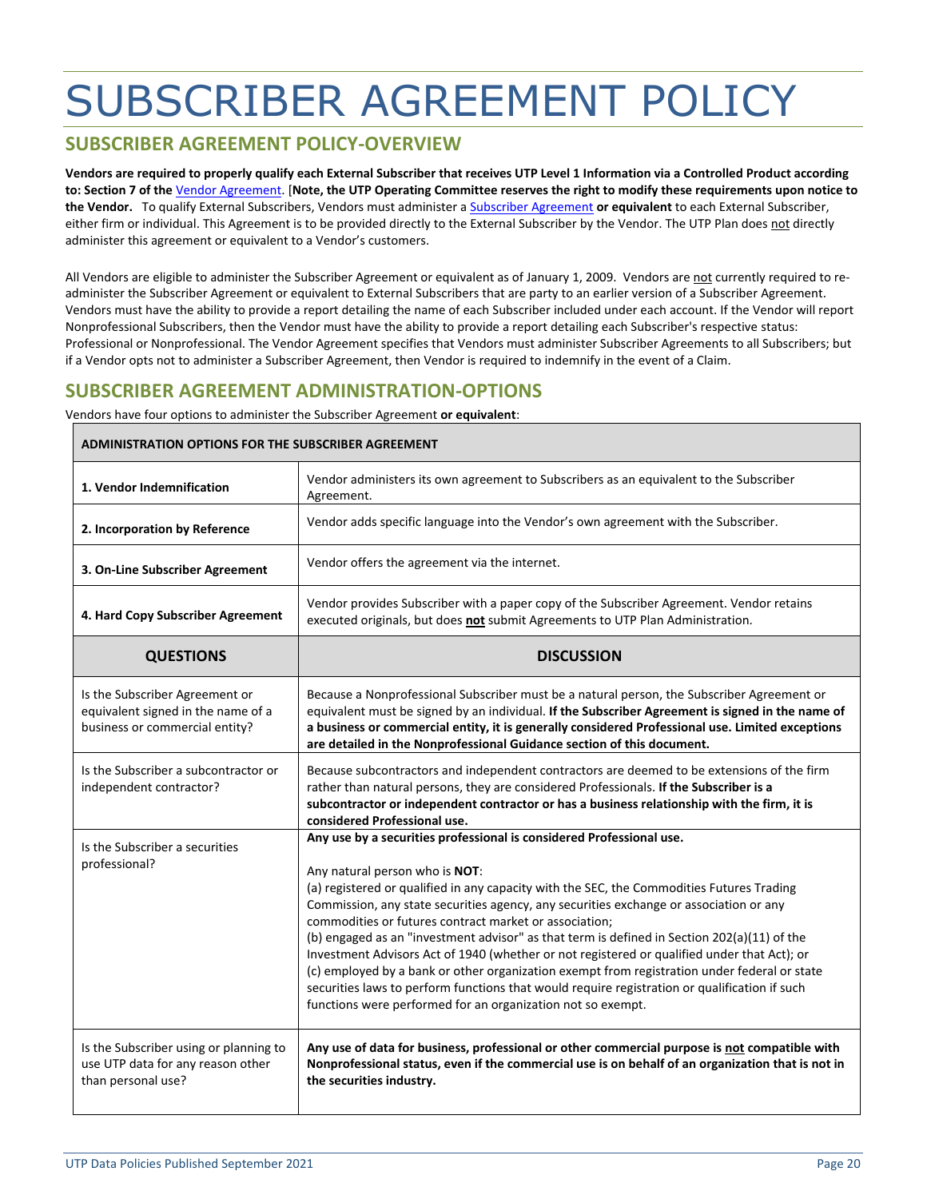## <span id="page-19-0"></span>SUBSCRIBER AGREEMENT POLICY

### **SUBSCRIBER AGREEMENT POLICY-OVERVIEW**

**Vendors are required to properly qualify each External Subscriber that receives UTP Level 1 Information via a Controlled Product according to: Section 7 of the** [Vendor Agreement.](http://www.utpplan.com/DOC/VendorAgreement.pdf) [**Note, the UTP Operating Committee reserves the right to modify these requirements upon notice to the Vendor.** To qualify External Subscribers, Vendors must administer a [Subscriber Agreement](https://www.utpplan.com/DOC/subagreement.pdf) **or equivalent** to each External Subscriber, either firm or individual. This Agreement is to be provided directly to the External Subscriber by the Vendor. The UTP Plan does not directly administer this agreement or equivalent to a Vendor's customers.

All Vendors are eligible to administer the Subscriber Agreement or equivalent as of January 1, 2009. Vendors are not currently required to readminister the Subscriber Agreement or equivalent to External Subscribers that are party to an earlier version of a Subscriber Agreement. Vendors must have the ability to provide a report detailing the name of each Subscriber included under each account. If the Vendor will report Nonprofessional Subscribers, then the Vendor must have the ability to provide a report detailing each Subscriber's respective status: Professional or Nonprofessional. The Vendor Agreement specifies that Vendors must administer Subscriber Agreements to all Subscribers; but if a Vendor opts not to administer a Subscriber Agreement, then Vendor is required to indemnify in the event of a Claim.

## **SUBSCRIBER AGREEMENT ADMINISTRATION-OPTIONS**

Vendors have four options to administer the Subscriber Agreement **or equivalent**:

| <b>ADMINISTRATION OPTIONS FOR THE SUBSCRIBER AGREEMENT</b>                                             |                                                                                                                                                                                                                                                                                                                                                                                                                                                                                                                                                                                                                                                                                                                                                                                                                       |  |  |  |
|--------------------------------------------------------------------------------------------------------|-----------------------------------------------------------------------------------------------------------------------------------------------------------------------------------------------------------------------------------------------------------------------------------------------------------------------------------------------------------------------------------------------------------------------------------------------------------------------------------------------------------------------------------------------------------------------------------------------------------------------------------------------------------------------------------------------------------------------------------------------------------------------------------------------------------------------|--|--|--|
| 1. Vendor Indemnification                                                                              | Vendor administers its own agreement to Subscribers as an equivalent to the Subscriber<br>Agreement.                                                                                                                                                                                                                                                                                                                                                                                                                                                                                                                                                                                                                                                                                                                  |  |  |  |
| 2. Incorporation by Reference                                                                          | Vendor adds specific language into the Vendor's own agreement with the Subscriber.                                                                                                                                                                                                                                                                                                                                                                                                                                                                                                                                                                                                                                                                                                                                    |  |  |  |
| 3. On-Line Subscriber Agreement                                                                        | Vendor offers the agreement via the internet.                                                                                                                                                                                                                                                                                                                                                                                                                                                                                                                                                                                                                                                                                                                                                                         |  |  |  |
| 4. Hard Copy Subscriber Agreement                                                                      | Vendor provides Subscriber with a paper copy of the Subscriber Agreement. Vendor retains<br>executed originals, but does not submit Agreements to UTP Plan Administration.                                                                                                                                                                                                                                                                                                                                                                                                                                                                                                                                                                                                                                            |  |  |  |
| <b>QUESTIONS</b>                                                                                       | <b>DISCUSSION</b>                                                                                                                                                                                                                                                                                                                                                                                                                                                                                                                                                                                                                                                                                                                                                                                                     |  |  |  |
| Is the Subscriber Agreement or<br>equivalent signed in the name of a<br>business or commercial entity? | Because a Nonprofessional Subscriber must be a natural person, the Subscriber Agreement or<br>equivalent must be signed by an individual. If the Subscriber Agreement is signed in the name of<br>a business or commercial entity, it is generally considered Professional use. Limited exceptions<br>are detailed in the Nonprofessional Guidance section of this document.                                                                                                                                                                                                                                                                                                                                                                                                                                          |  |  |  |
| Is the Subscriber a subcontractor or<br>independent contractor?                                        | Because subcontractors and independent contractors are deemed to be extensions of the firm<br>rather than natural persons, they are considered Professionals. If the Subscriber is a<br>subcontractor or independent contractor or has a business relationship with the firm, it is<br>considered Professional use.                                                                                                                                                                                                                                                                                                                                                                                                                                                                                                   |  |  |  |
| Is the Subscriber a securities<br>professional?                                                        | Any use by a securities professional is considered Professional use.<br>Any natural person who is NOT:<br>(a) registered or qualified in any capacity with the SEC, the Commodities Futures Trading<br>Commission, any state securities agency, any securities exchange or association or any<br>commodities or futures contract market or association;<br>(b) engaged as an "investment advisor" as that term is defined in Section 202(a)(11) of the<br>Investment Advisors Act of 1940 (whether or not registered or qualified under that Act); or<br>(c) employed by a bank or other organization exempt from registration under federal or state<br>securities laws to perform functions that would require registration or qualification if such<br>functions were performed for an organization not so exempt. |  |  |  |
| Is the Subscriber using or planning to<br>use UTP data for any reason other<br>than personal use?      | Any use of data for business, professional or other commercial purpose is not compatible with<br>Nonprofessional status, even if the commercial use is on behalf of an organization that is not in<br>the securities industry.                                                                                                                                                                                                                                                                                                                                                                                                                                                                                                                                                                                        |  |  |  |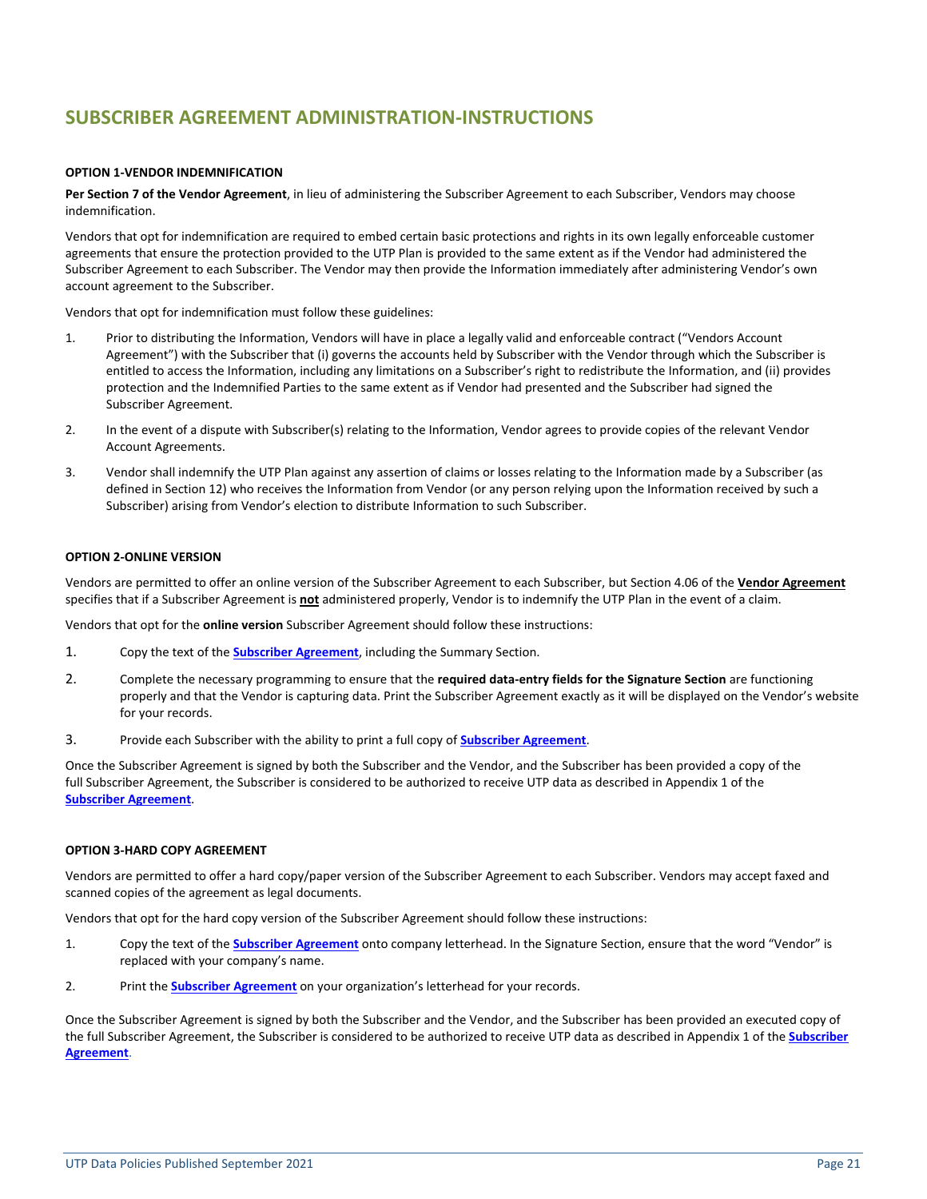## **SUBSCRIBER AGREEMENT ADMINISTRATION-INSTRUCTIONS**

#### **OPTION 1-VENDOR INDEMNIFICATION**

**Per Section 7 of the Vendor Agreement**, in lieu of administering the Subscriber Agreement to each Subscriber, Vendors may choose indemnification.

Vendors that opt for indemnification are required to embed certain basic protections and rights in its own legally enforceable customer agreements that ensure the protection provided to the UTP Plan is provided to the same extent as if the Vendor had administered the Subscriber Agreement to each Subscriber. The Vendor may then provide the Information immediately after administering Vendor's own account agreement to the Subscriber.

Vendors that opt for indemnification must follow these guidelines:

- 1. Prior to distributing the Information, Vendors will have in place a legally valid and enforceable contract ("Vendors Account Agreement") with the Subscriber that (i) governs the accounts held by Subscriber with the Vendor through which the Subscriber is entitled to access the Information, including any limitations on a Subscriber's right to redistribute the Information, and (ii) provides protection and the Indemnified Parties to the same extent as if Vendor had presented and the Subscriber had signed the Subscriber Agreement.
- 2. In the event of a dispute with Subscriber(s) relating to the Information, Vendor agrees to provide copies of the relevant Vendor Account Agreements.
- 3. Vendor shall indemnify the UTP Plan against any assertion of claims or losses relating to the Information made by a Subscriber (as defined in Section 12) who receives the Information from Vendor (or any person relying upon the Information received by such a Subscriber) arising from Vendor's election to distribute Information to such Subscriber.

#### **OPTION 2-ONLINE VERSION**

Vendors are permitted to offer an online version of the Subscriber Agreement to each Subscriber, but Section 4.06 of the **[Vendor Agreement](http://www.nasdaqtrader.com/Content/AdministrationSupport/AgreementsData/globaldataagreement.pdf)** specifies that if a Subscriber Agreement is **not** administered properly, Vendor is to indemnify the UTP Plan in the event of a claim.

Vendors that opt for the **online version** Subscriber Agreement should follow these instructions:

- 1. Copy the text of the **[Subscriber Agreement](http://www.utpplan.com/DOC/SubAgreement.pdf)**, including the Summary Section.
- 2. Complete the necessary programming to ensure that the **required data-entry fields for the Signature Section** are functioning properly and that the Vendor is capturing data. Print the Subscriber Agreement exactly as it will be displayed on the Vendor's website for your records.
- 3. Provide each Subscriber with the ability to print a full copy of **[Subscriber Agreement](http://www.utpplan.com/DOC/SubAgreement.pdf)**.

Once the Subscriber Agreement is signed by both the Subscriber and the Vendor, and the Subscriber has been provided a copy of the full Subscriber Agreement, the Subscriber is considered to be authorized to receive UTP data as described in Appendix 1 of the **[Subscriber Agreement](http://www.utpplan.com/DOC/SubAgreement.pdf)**.

#### **OPTION 3-HARD COPY AGREEMENT**

Vendors are permitted to offer a hard copy/paper version of the Subscriber Agreement to each Subscriber. Vendors may accept faxed and scanned copies of the agreement as legal documents.

Vendors that opt for the hard copy version of the Subscriber Agreement should follow these instructions:

- 1. Copy the text of the **[Subscriber Agreement](http://www.utpplan.com/DOC/subagreement.pdf)** onto company letterhead. In the Signature Section, ensure that the word "Vendor" is replaced with your company's name.
- 2. Print the **[Subscriber Agreement](http://www.utpplan.com/DOC/SubAgreement.pdf)** on your organization's letterhead for your records.

Once the Subscriber Agreement is signed by both the Subscriber and the Vendor, and the Subscriber has been provided an executed copy of the full Subscriber Agreement, the Subscriber is considered to be authorized to receive UTP data as described in Appendix 1 of the **[Subscriber](http://www.utpplan.com/DOC/SubAgreement.pdf)  [Agreement](http://www.utpplan.com/DOC/SubAgreement.pdf)**.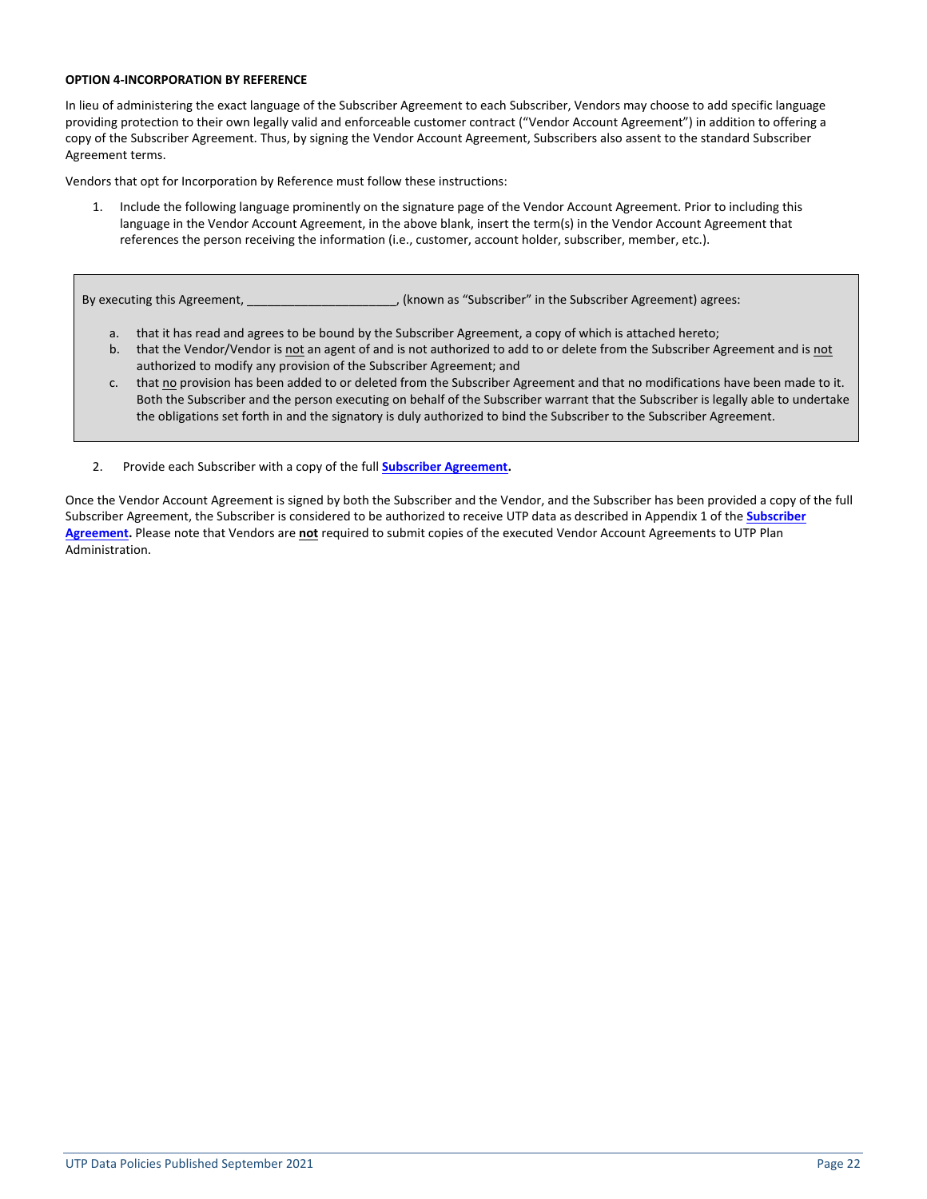#### **OPTION 4-INCORPORATION BY REFERENCE**

In lieu of administering the exact language of the Subscriber Agreement to each Subscriber, Vendors may choose to add specific language providing protection to their own legally valid and enforceable customer contract ("Vendor Account Agreement") in addition to offering a copy of the Subscriber Agreement. Thus, by signing the Vendor Account Agreement, Subscribers also assent to the standard Subscriber Agreement terms.

Vendors that opt for Incorporation by Reference must follow these instructions:

1. Include the following language prominently on the signature page of the Vendor Account Agreement. Prior to including this language in the Vendor Account Agreement, in the above blank, insert the term(s) in the Vendor Account Agreement that references the person receiving the information (i.e., customer, account holder, subscriber, member, etc.).

By executing this Agreement, \_\_\_\_\_\_\_\_\_\_\_\_\_\_\_\_\_\_\_\_\_\_, (known as "Subscriber" in the Subscriber Agreement) agrees:

- a. that it has read and agrees to be bound by the Subscriber Agreement, a copy of which is attached hereto;
- b. that the Vendor/Vendor is not an agent of and is not authorized to add to or delete from the Subscriber Agreement and is not authorized to modify any provision of the Subscriber Agreement; and
- c. that no provision has been added to or deleted from the Subscriber Agreement and that no modifications have been made to it. Both the Subscriber and the person executing on behalf of the Subscriber warrant that the Subscriber is legally able to undertake the obligations set forth in and the signatory is duly authorized to bind the Subscriber to the Subscriber Agreement.
- 2. Provide each Subscriber with a copy of the full **[Subscriber Agreement.](http://www.utpplan.com/DOC/SubAgreement.pdf)**

Once the Vendor Account Agreement is signed by both the Subscriber and the Vendor, and the Subscriber has been provided a copy of the full Subscriber Agreement, the Subscriber is considered to be authorized to receive UTP data as described in Appendix 1 of the **[Subscriber](http://www.utpplan.com/DOC/SubAgreement.pdf)  [Agreement.](http://www.utpplan.com/DOC/SubAgreement.pdf)** Please note that Vendors are **not** required to submit copies of the executed Vendor Account Agreements to UTP Plan Administration.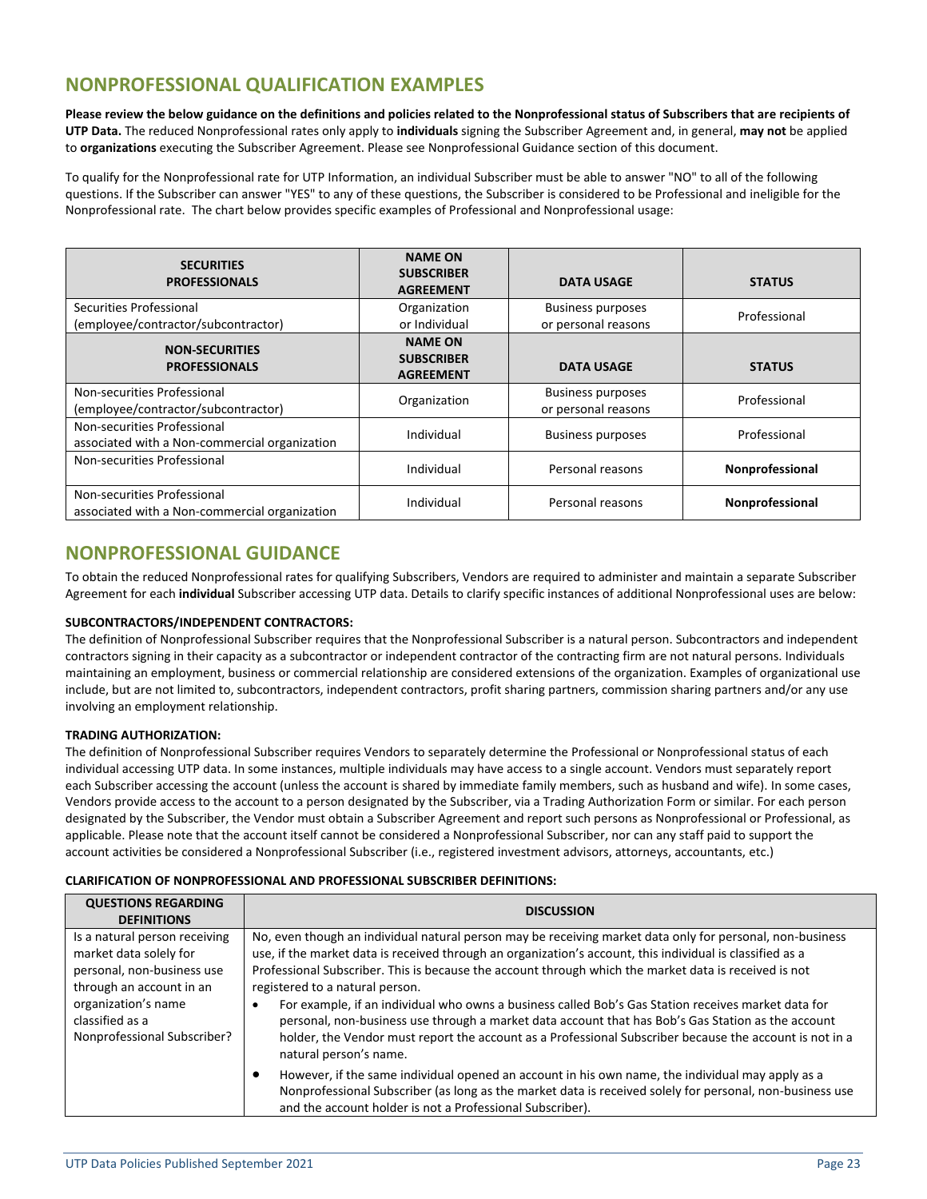## **NONPROFESSIONAL QUALIFICATION EXAMPLES**

**Please review the below guidance on the definitions and policies related to the Nonprofessional status of Subscribers that are recipients of UTP Data.** The reduced Nonprofessional rates only apply to **individuals** signing the Subscriber Agreement and, in general, **may not** be applied to **organizations** executing the Subscriber Agreement. Please see Nonprofessional Guidance section of this document.

To qualify for the Nonprofessional rate for UTP Information, an individual Subscriber must be able to answer "NO" to all of the following questions. If the Subscriber can answer "YES" to any of these questions, the Subscriber is considered to be Professional and ineligible for the Nonprofessional rate. The chart below provides specific examples of Professional and Nonprofessional usage:

| <b>SECURITIES</b><br><b>PROFESSIONALS</b>                                    | <b>NAME ON</b><br><b>SUBSCRIBER</b><br><b>AGREEMENT</b> | <b>DATA USAGE</b>                               | <b>STATUS</b>          |
|------------------------------------------------------------------------------|---------------------------------------------------------|-------------------------------------------------|------------------------|
| Securities Professional<br>(employee/contractor/subcontractor)               | Organization<br>or Individual                           | <b>Business purposes</b><br>or personal reasons | Professional           |
| <b>NON-SECURITIES</b><br><b>PROFESSIONALS</b>                                | <b>NAME ON</b><br><b>SUBSCRIBER</b><br><b>AGREEMENT</b> | <b>DATA USAGE</b>                               | <b>STATUS</b>          |
| Non-securities Professional<br>(employee/contractor/subcontractor)           | Organization                                            | <b>Business purposes</b><br>or personal reasons | Professional           |
| Non-securities Professional<br>associated with a Non-commercial organization | Individual                                              | <b>Business purposes</b>                        | Professional           |
| Non-securities Professional                                                  | Individual                                              | Personal reasons                                | Nonprofessional        |
| Non-securities Professional<br>associated with a Non-commercial organization | Individual                                              | Personal reasons                                | <b>Nonprofessional</b> |

### **NONPROFESSIONAL GUIDANCE**

To obtain the reduced Nonprofessional rates for qualifying Subscribers, Vendors are required to administer and maintain a separate Subscriber Agreement for each **individual** Subscriber accessing UTP data. Details to clarify specific instances of additional Nonprofessional uses are below:

#### **SUBCONTRACTORS/INDEPENDENT CONTRACTORS:**

The definition of Nonprofessional Subscriber requires that the Nonprofessional Subscriber is a natural person. Subcontractors and independent contractors signing in their capacity as a subcontractor or independent contractor of the contracting firm are not natural persons. Individuals maintaining an employment, business or commercial relationship are considered extensions of the organization. Examples of organizational use include, but are not limited to, subcontractors, independent contractors, profit sharing partners, commission sharing partners and/or any use involving an employment relationship.

#### **TRADING AUTHORIZATION:**

The definition of Nonprofessional Subscriber requires Vendors to separately determine the Professional or Nonprofessional status of each individual accessing UTP data. In some instances, multiple individuals may have access to a single account. Vendors must separately report each Subscriber accessing the account (unless the account is shared by immediate family members, such as husband and wife). In some cases, Vendors provide access to the account to a person designated by the Subscriber, via a Trading Authorization Form or similar. For each person designated by the Subscriber, the Vendor must obtain a Subscriber Agreement and report such persons as Nonprofessional or Professional, as applicable. Please note that the account itself cannot be considered a Nonprofessional Subscriber, nor can any staff paid to support the account activities be considered a Nonprofessional Subscriber (i.e., registered investment advisors, attorneys, accountants, etc.)

#### **CLARIFICATION OF NONPROFESSIONAL AND PROFESSIONAL SUBSCRIBER DEFINITIONS:**

| <b>QUESTIONS REGARDING</b><br><b>DEFINITIONS</b>                                                                                                                                           | <b>DISCUSSION</b>                                                                                                                                                                                                                                                                                                                                                                                                                                                                                                                                                                                                                                                                                                    |
|--------------------------------------------------------------------------------------------------------------------------------------------------------------------------------------------|----------------------------------------------------------------------------------------------------------------------------------------------------------------------------------------------------------------------------------------------------------------------------------------------------------------------------------------------------------------------------------------------------------------------------------------------------------------------------------------------------------------------------------------------------------------------------------------------------------------------------------------------------------------------------------------------------------------------|
| Is a natural person receiving<br>market data solely for<br>personal, non-business use<br>through an account in an<br>organization's name<br>classified as a<br>Nonprofessional Subscriber? | No, even though an individual natural person may be receiving market data only for personal, non-business<br>use, if the market data is received through an organization's account, this individual is classified as a<br>Professional Subscriber. This is because the account through which the market data is received is not<br>registered to a natural person.<br>For example, if an individual who owns a business called Bob's Gas Station receives market data for<br>personal, non-business use through a market data account that has Bob's Gas Station as the account<br>holder, the Vendor must report the account as a Professional Subscriber because the account is not in a<br>natural person's name. |
|                                                                                                                                                                                            | However, if the same individual opened an account in his own name, the individual may apply as a<br>٠<br>Nonprofessional Subscriber (as long as the market data is received solely for personal, non-business use<br>and the account holder is not a Professional Subscriber).                                                                                                                                                                                                                                                                                                                                                                                                                                       |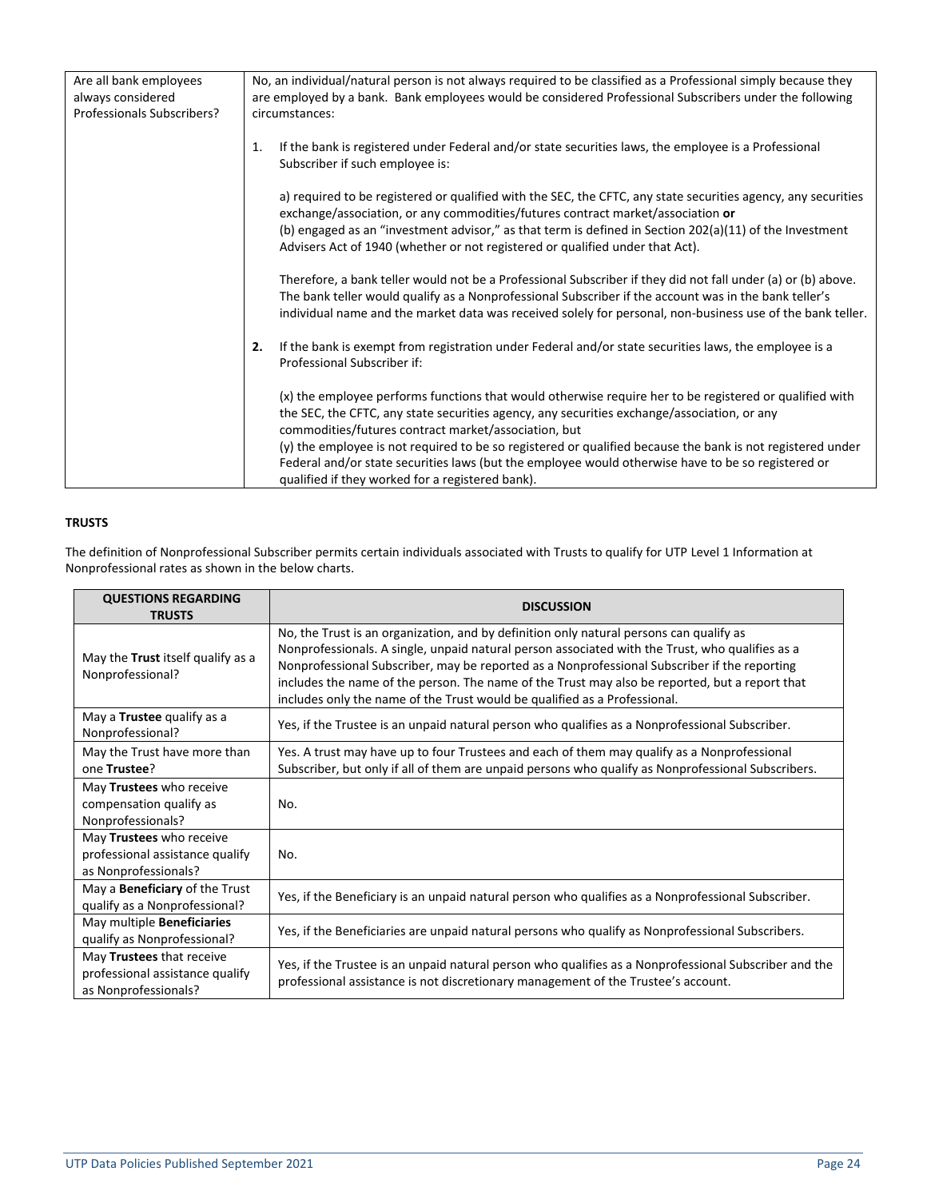| Are all bank employees     | No, an individual/natural person is not always required to be classified as a Professional simply because they                                                                                                                                                                                                                                                                               |
|----------------------------|----------------------------------------------------------------------------------------------------------------------------------------------------------------------------------------------------------------------------------------------------------------------------------------------------------------------------------------------------------------------------------------------|
| always considered          | are employed by a bank. Bank employees would be considered Professional Subscribers under the following                                                                                                                                                                                                                                                                                      |
| Professionals Subscribers? | circumstances:                                                                                                                                                                                                                                                                                                                                                                               |
|                            |                                                                                                                                                                                                                                                                                                                                                                                              |
|                            | If the bank is registered under Federal and/or state securities laws, the employee is a Professional<br>1.<br>Subscriber if such employee is:                                                                                                                                                                                                                                                |
|                            | a) required to be registered or qualified with the SEC, the CFTC, any state securities agency, any securities<br>exchange/association, or any commodities/futures contract market/association or<br>(b) engaged as an "investment advisor," as that term is defined in Section 202(a)(11) of the Investment<br>Advisers Act of 1940 (whether or not registered or qualified under that Act). |
|                            | Therefore, a bank teller would not be a Professional Subscriber if they did not fall under (a) or (b) above.<br>The bank teller would qualify as a Nonprofessional Subscriber if the account was in the bank teller's<br>individual name and the market data was received solely for personal, non-business use of the bank teller.                                                          |
|                            | If the bank is exempt from registration under Federal and/or state securities laws, the employee is a<br>2.<br>Professional Subscriber if:                                                                                                                                                                                                                                                   |
|                            | (x) the employee performs functions that would otherwise require her to be registered or qualified with<br>the SEC, the CFTC, any state securities agency, any securities exchange/association, or any<br>commodities/futures contract market/association, but                                                                                                                               |
|                            | (y) the employee is not required to be so registered or qualified because the bank is not registered under<br>Federal and/or state securities laws (but the employee would otherwise have to be so registered or<br>qualified if they worked for a registered bank).                                                                                                                         |

#### **TRUSTS**

The definition of Nonprofessional Subscriber permits certain individuals associated with Trusts to qualify for UTP Level 1 Information at Nonprofessional rates as shown in the below charts.

| <b>QUESTIONS REGARDING</b><br><b>TRUSTS</b>                                          | <b>DISCUSSION</b>                                                                                                                                                                                                                                                                                                                                                                                                                                                         |
|--------------------------------------------------------------------------------------|---------------------------------------------------------------------------------------------------------------------------------------------------------------------------------------------------------------------------------------------------------------------------------------------------------------------------------------------------------------------------------------------------------------------------------------------------------------------------|
| May the Trust itself qualify as a<br>Nonprofessional?                                | No, the Trust is an organization, and by definition only natural persons can qualify as<br>Nonprofessionals. A single, unpaid natural person associated with the Trust, who qualifies as a<br>Nonprofessional Subscriber, may be reported as a Nonprofessional Subscriber if the reporting<br>includes the name of the person. The name of the Trust may also be reported, but a report that<br>includes only the name of the Trust would be qualified as a Professional. |
| May a Trustee qualify as a<br>Nonprofessional?                                       | Yes, if the Trustee is an unpaid natural person who qualifies as a Nonprofessional Subscriber.                                                                                                                                                                                                                                                                                                                                                                            |
| May the Trust have more than<br>one Trustee?                                         | Yes. A trust may have up to four Trustees and each of them may qualify as a Nonprofessional<br>Subscriber, but only if all of them are unpaid persons who qualify as Nonprofessional Subscribers.                                                                                                                                                                                                                                                                         |
| May Trustees who receive<br>compensation qualify as<br>Nonprofessionals?             | No.                                                                                                                                                                                                                                                                                                                                                                                                                                                                       |
| May Trustees who receive<br>professional assistance qualify<br>as Nonprofessionals?  | No.                                                                                                                                                                                                                                                                                                                                                                                                                                                                       |
| May a <b>Beneficiary</b> of the Trust<br>qualify as a Nonprofessional?               | Yes, if the Beneficiary is an unpaid natural person who qualifies as a Nonprofessional Subscriber.                                                                                                                                                                                                                                                                                                                                                                        |
| May multiple Beneficiaries<br>qualify as Nonprofessional?                            | Yes, if the Beneficiaries are unpaid natural persons who qualify as Nonprofessional Subscribers.                                                                                                                                                                                                                                                                                                                                                                          |
| May Trustees that receive<br>professional assistance qualify<br>as Nonprofessionals? | Yes, if the Trustee is an unpaid natural person who qualifies as a Nonprofessional Subscriber and the<br>professional assistance is not discretionary management of the Trustee's account.                                                                                                                                                                                                                                                                                |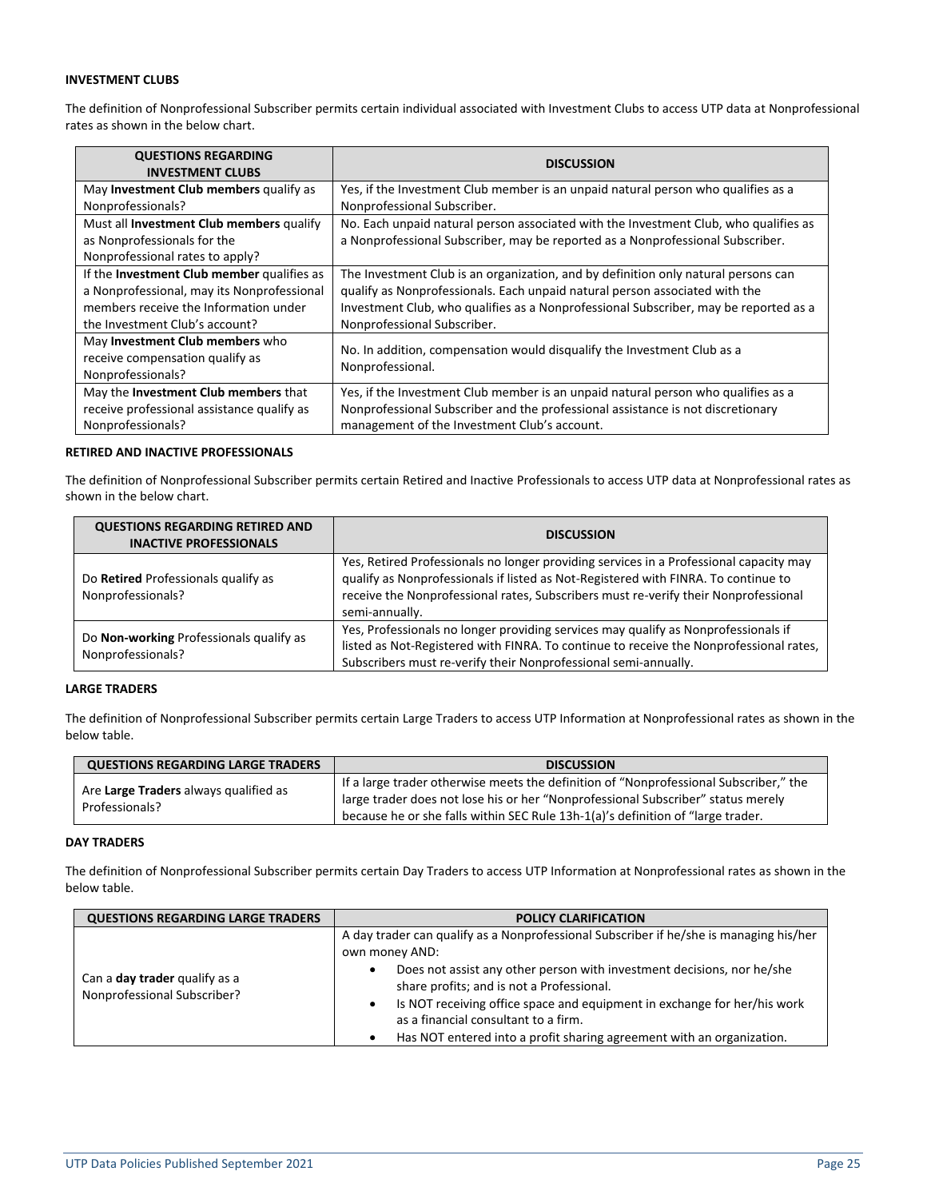#### **INVESTMENT CLUBS**

The definition of Nonprofessional Subscriber permits certain individual associated with Investment Clubs to access UTP data at Nonprofessional rates as shown in the below chart.

| <b>QUESTIONS REGARDING</b><br><b>INVESTMENT CLUBS</b>                                                                                                                      | <b>DISCUSSION</b>                                                                                                                                                                                                                                                                        |
|----------------------------------------------------------------------------------------------------------------------------------------------------------------------------|------------------------------------------------------------------------------------------------------------------------------------------------------------------------------------------------------------------------------------------------------------------------------------------|
| May Investment Club members qualify as                                                                                                                                     | Yes, if the Investment Club member is an unpaid natural person who qualifies as a                                                                                                                                                                                                        |
| Nonprofessionals?                                                                                                                                                          | Nonprofessional Subscriber.                                                                                                                                                                                                                                                              |
| Must all Investment Club members qualify                                                                                                                                   | No. Each unpaid natural person associated with the Investment Club, who qualifies as                                                                                                                                                                                                     |
| as Nonprofessionals for the                                                                                                                                                | a Nonprofessional Subscriber, may be reported as a Nonprofessional Subscriber.                                                                                                                                                                                                           |
| Nonprofessional rates to apply?                                                                                                                                            |                                                                                                                                                                                                                                                                                          |
| If the <b>Investment Club member</b> qualifies as<br>a Nonprofessional, may its Nonprofessional<br>members receive the Information under<br>the Investment Club's account? | The Investment Club is an organization, and by definition only natural persons can<br>qualify as Nonprofessionals. Each unpaid natural person associated with the<br>Investment Club, who qualifies as a Nonprofessional Subscriber, may be reported as a<br>Nonprofessional Subscriber. |
| May Investment Club members who<br>receive compensation qualify as<br>Nonprofessionals?                                                                                    | No. In addition, compensation would disqualify the Investment Club as a<br>Nonprofessional.                                                                                                                                                                                              |
| May the <b>Investment Club members</b> that                                                                                                                                | Yes, if the Investment Club member is an unpaid natural person who qualifies as a                                                                                                                                                                                                        |
| receive professional assistance qualify as                                                                                                                                 | Nonprofessional Subscriber and the professional assistance is not discretionary                                                                                                                                                                                                          |
| Nonprofessionals?                                                                                                                                                          | management of the Investment Club's account.                                                                                                                                                                                                                                             |

#### **RETIRED AND INACTIVE PROFESSIONALS**

The definition of Nonprofessional Subscriber permits certain Retired and Inactive Professionals to access UTP data at Nonprofessional rates as shown in the below chart.

| <b>QUESTIONS REGARDING RETIRED AND</b><br><b>INACTIVE PROFESSIONALS</b> | <b>DISCUSSION</b>                                                                                                                                                                                                                                                                     |
|-------------------------------------------------------------------------|---------------------------------------------------------------------------------------------------------------------------------------------------------------------------------------------------------------------------------------------------------------------------------------|
| Do Retired Professionals qualify as<br>Nonprofessionals?                | Yes, Retired Professionals no longer providing services in a Professional capacity may<br>qualify as Nonprofessionals if listed as Not-Registered with FINRA. To continue to<br>receive the Nonprofessional rates, Subscribers must re-verify their Nonprofessional<br>semi-annually. |
| Do Non-working Professionals qualify as<br>Nonprofessionals?            | Yes, Professionals no longer providing services may qualify as Nonprofessionals if<br>listed as Not-Registered with FINRA. To continue to receive the Nonprofessional rates,<br>Subscribers must re-verify their Nonprofessional semi-annually.                                       |

#### **LARGE TRADERS**

The definition of Nonprofessional Subscriber permits certain Large Traders to access UTP Information at Nonprofessional rates as shown in the below table.

| <b>QUESTIONS REGARDING LARGE TRADERS</b>                | <b>DISCUSSION</b>                                                                                                                                                                                                                                            |
|---------------------------------------------------------|--------------------------------------------------------------------------------------------------------------------------------------------------------------------------------------------------------------------------------------------------------------|
| Are Large Traders always qualified as<br>Professionals? | If a large trader otherwise meets the definition of "Nonprofessional Subscriber," the<br>large trader does not lose his or her "Nonprofessional Subscriber" status merely<br>because he or she falls within SEC Rule 13h-1(a)'s definition of "large trader. |

#### **DAY TRADERS**

The definition of Nonprofessional Subscriber permits certain Day Traders to access UTP Information at Nonprofessional rates as shown in the below table.

| <b>QUESTIONS REGARDING LARGE TRADERS</b>                            | <b>POLICY CLARIFICATION</b>                                                                                                                                                                                                                                                                                                                                                                                                       |  |  |
|---------------------------------------------------------------------|-----------------------------------------------------------------------------------------------------------------------------------------------------------------------------------------------------------------------------------------------------------------------------------------------------------------------------------------------------------------------------------------------------------------------------------|--|--|
| Can a <b>day trader</b> qualify as a<br>Nonprofessional Subscriber? | A day trader can qualify as a Nonprofessional Subscriber if he/she is managing his/her<br>own money AND:<br>Does not assist any other person with investment decisions, nor he/she<br>٠<br>share profits; and is not a Professional.<br>Is NOT receiving office space and equipment in exchange for her/his work<br>as a financial consultant to a firm.<br>Has NOT entered into a profit sharing agreement with an organization. |  |  |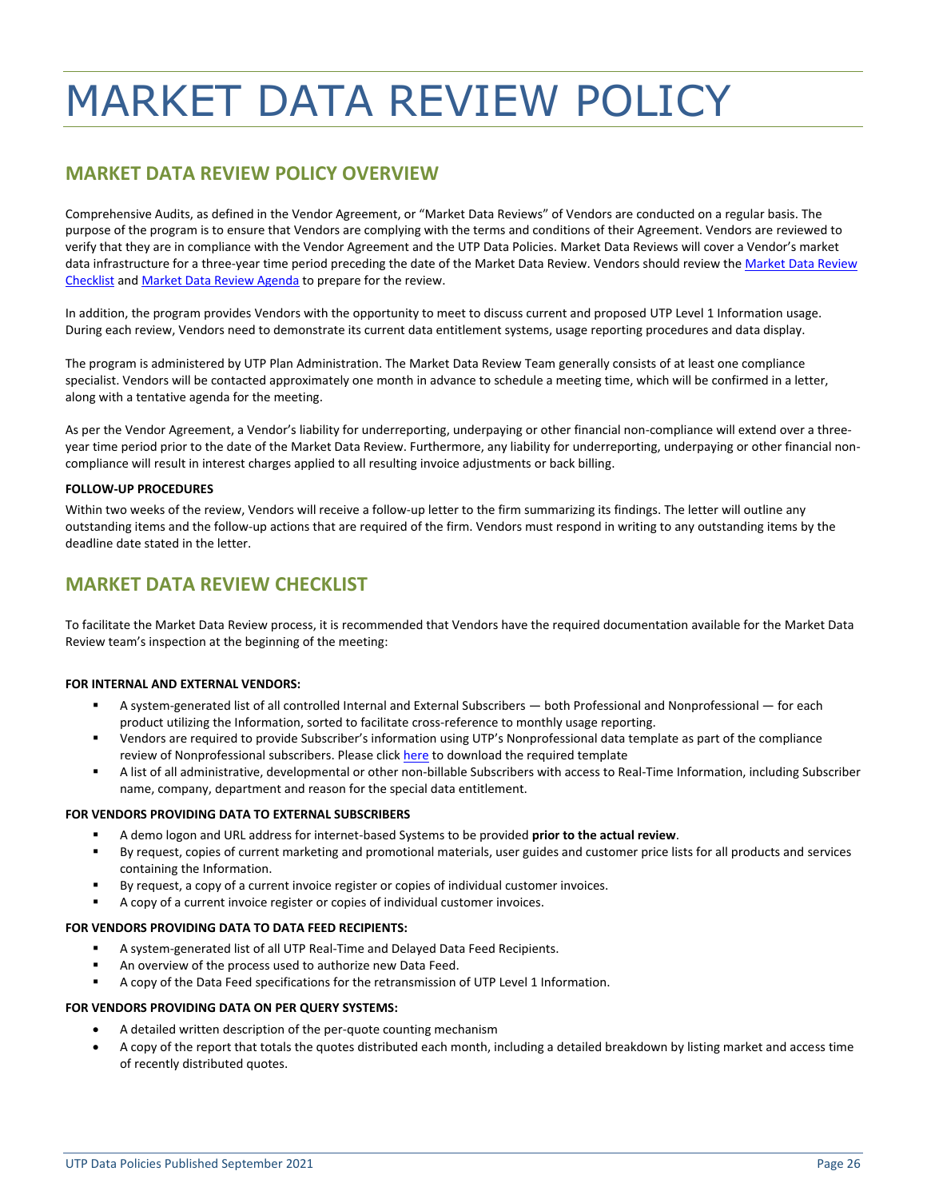## <span id="page-25-0"></span>MARKET DATA REVIEW POLICY

## **MARKET DATA REVIEW POLICY OVERVIEW**

Comprehensive Audits, as defined in the Vendor Agreement, or "Market Data Reviews" of Vendors are conducted on a regular basis. The purpose of the program is to ensure that Vendors are complying with the terms and conditions of their Agreement. Vendors are reviewed to verify that they are in compliance with the Vendor Agreement and the UTP Data Policies. Market Data Reviews will cover a Vendor's market data infrastructure for a three-year time period preceding the date of the Market Data Review. Vendors should review the Market Data Review [Checklist](#page-25-1) and [Market Data Review Agenda](#page-26-0) to prepare for the review.

In addition, the program provides Vendors with the opportunity to meet to discuss current and proposed UTP Level 1 Information usage. During each review, Vendors need to demonstrate its current data entitlement systems, usage reporting procedures and data display.

The program is administered by UTP Plan Administration. The Market Data Review Team generally consists of at least one compliance specialist. Vendors will be contacted approximately one month in advance to schedule a meeting time, which will be confirmed in a letter, along with a tentative agenda for the meeting.

As per the Vendor Agreement, a Vendor's liability for underreporting, underpaying or other financial non-compliance will extend over a threeyear time period prior to the date of the Market Data Review. Furthermore, any liability for underreporting, underpaying or other financial noncompliance will result in interest charges applied to all resulting invoice adjustments or back billing.

#### **FOLLOW-UP PROCEDURES**

Within two weeks of the review, Vendors will receive a follow-up letter to the firm summarizing its findings. The letter will outline any outstanding items and the follow-up actions that are required of the firm. Vendors must respond in writing to any outstanding items by the deadline date stated in the letter.

## <span id="page-25-1"></span>**MARKET DATA REVIEW CHECKLIST**

To facilitate the Market Data Review process, it is recommended that Vendors have the required documentation available for the Market Data Review team's inspection at the beginning of the meeting:

#### **FOR INTERNAL AND EXTERNAL VENDORS:**

- A system-generated list of all controlled Internal and External Subscribers both Professional and Nonprofessional for each product utilizing the Information, sorted to facilitate cross-reference to monthly usage reporting.
- Vendors are required to provide Subscriber's information using UTP's Nonprofessional data template as part of the compliance review of Nonprofessional subscribers. Please clic[k here](http://www.utpplan.com/DOC/UTP_Pro_NonPro_Template.xlsx) to download the required template
- A list of all administrative, developmental or other non-billable Subscribers with access to Real-Time Information, including Subscriber name, company, department and reason for the special data entitlement.

#### **FOR VENDORS PROVIDING DATA TO EXTERNAL SUBSCRIBERS**

- A demo logon and URL address for internet-based Systems to be provided **prior to the actual review**.
- By request, copies of current marketing and promotional materials, user guides and customer price lists for all products and services containing the Information.
- By request, a copy of a current invoice register or copies of individual customer invoices.
- A copy of a current invoice register or copies of individual customer invoices.

#### **FOR VENDORS PROVIDING DATA TO DATA FEED RECIPIENTS:**

- A system-generated list of all UTP Real-Time and Delayed Data Feed Recipients.
- An overview of the process used to authorize new Data Feed.
- A copy of the Data Feed specifications for the retransmission of UTP Level 1 Information.

#### **FOR VENDORS PROVIDING DATA ON PER QUERY SYSTEMS:**

- A detailed written description of the per-quote counting mechanism
- A copy of the report that totals the quotes distributed each month, including a detailed breakdown by listing market and access time of recently distributed quotes.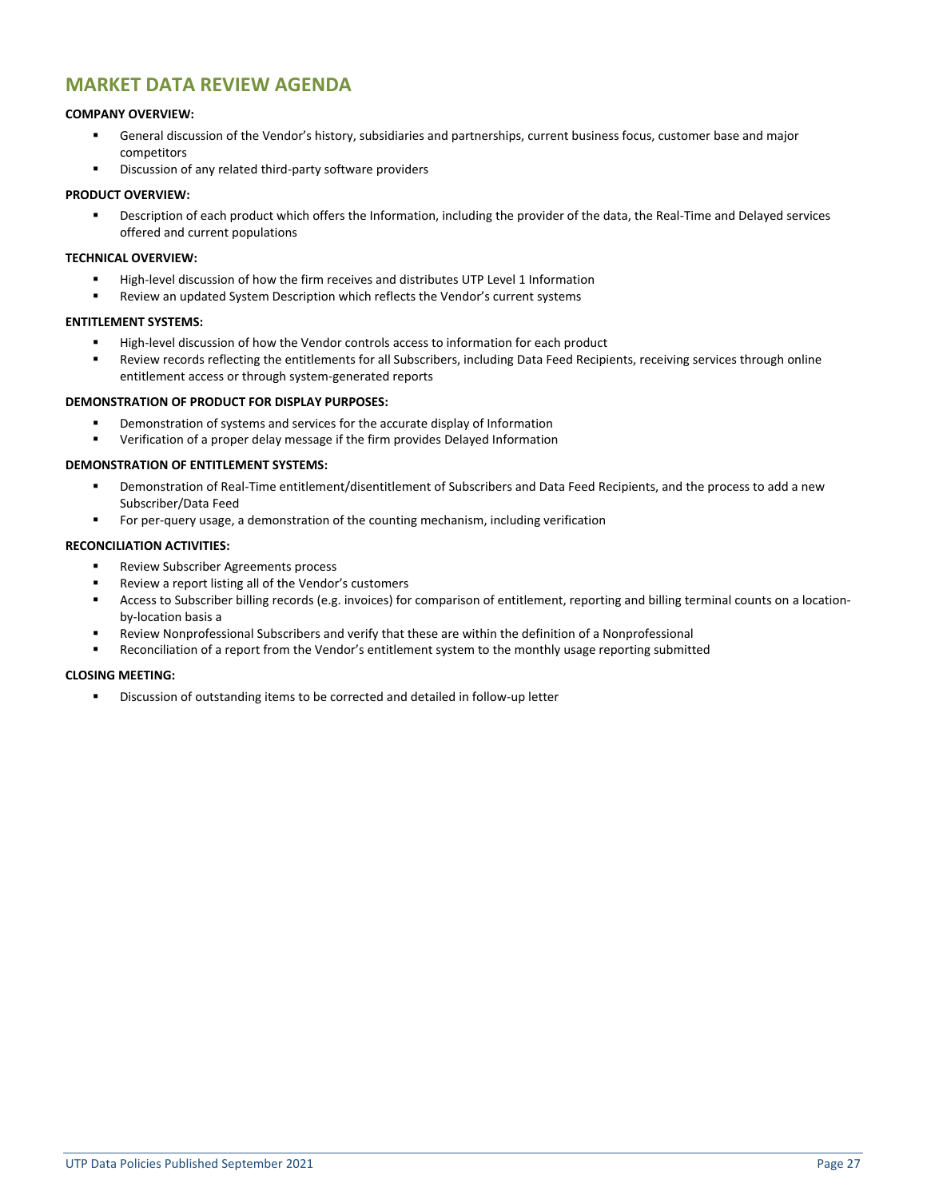### <span id="page-26-0"></span>**MARKET DATA REVIEW AGENDA**

#### **COMPANY OVERVIEW:**

- General discussion of the Vendor's history, subsidiaries and partnerships, current business focus, customer base and major competitors
- Discussion of any related third-party software providers

#### **PRODUCT OVERVIEW:**

Description of each product which offers the Information, including the provider of the data, the Real-Time and Delayed services offered and current populations

#### **TECHNICAL OVERVIEW:**

- High-level discussion of how the firm receives and distributes UTP Level 1 Information
- Review an updated System Description which reflects the Vendor's current systems

#### **ENTITLEMENT SYSTEMS:**

- High-level discussion of how the Vendor controls access to information for each product
- Review records reflecting the entitlements for all Subscribers, including Data Feed Recipients, receiving services through online entitlement access or through system-generated reports

#### **DEMONSTRATION OF PRODUCT FOR DISPLAY PURPOSES:**

- Demonstration of systems and services for the accurate display of Information
- Verification of a proper delay message if the firm provides Delayed Information

#### **DEMONSTRATION OF ENTITLEMENT SYSTEMS:**

- Demonstration of Real-Time entitlement/disentitlement of Subscribers and Data Feed Recipients, and the process to add a new Subscriber/Data Feed
- **•** For per-query usage, a demonstration of the counting mechanism, including verification

#### **RECONCILIATION ACTIVITIES:**

- Review Subscriber Agreements process
- Review a report listing all of the Vendor's customers
- Access to Subscriber billing records (e.g. invoices) for comparison of entitlement, reporting and billing terminal counts on a locationby-location basis a
- Review Nonprofessional Subscribers and verify that these are within the definition of a Nonprofessional
- Reconciliation of a report from the Vendor's entitlement system to the monthly usage reporting submitted

#### **CLOSING MEETING:**

▪ Discussion of outstanding items to be corrected and detailed in follow-up letter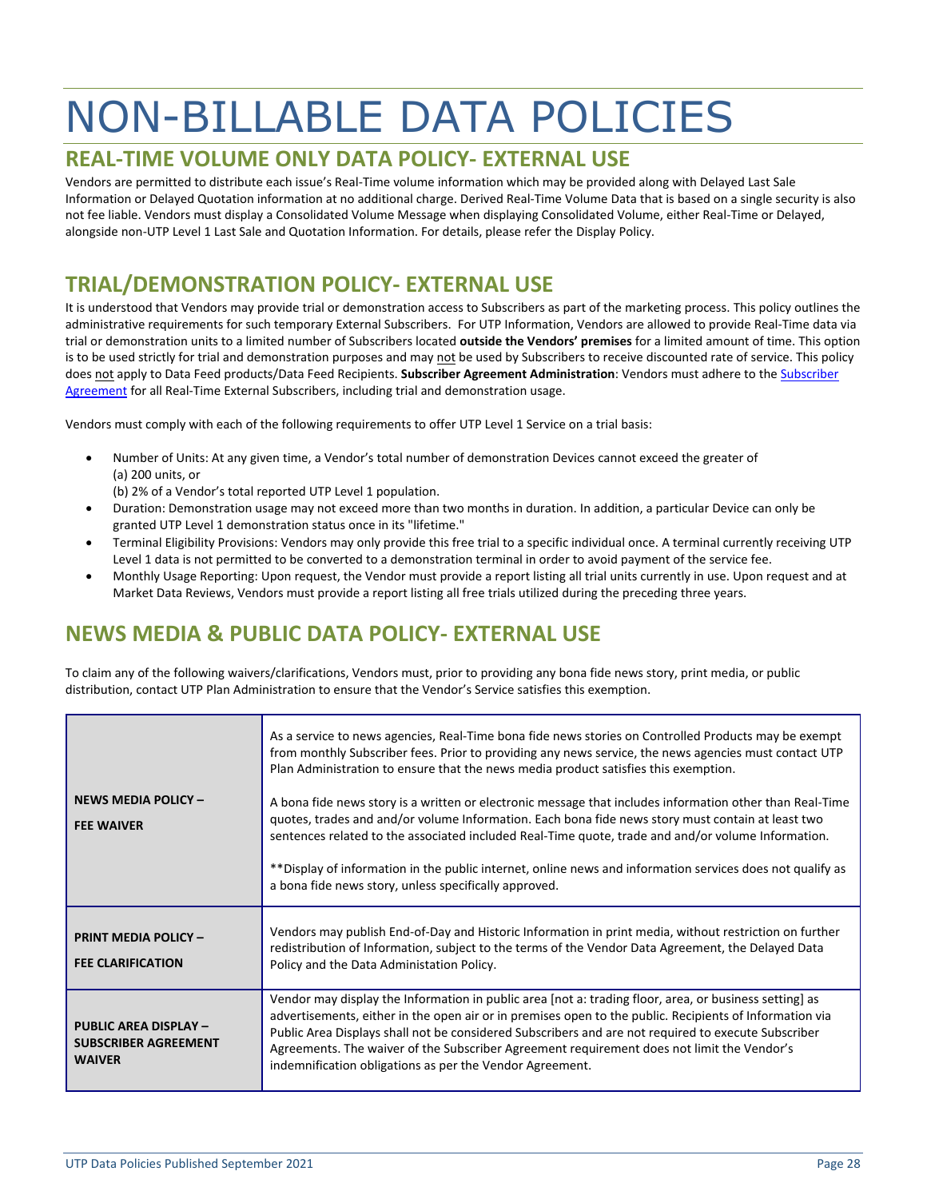## <span id="page-27-0"></span>NON-BILLABLE DATA POLICIES

## <span id="page-27-1"></span>**REAL-TIME VOLUME ONLY DATA POLICY- EXTERNAL USE**

Vendors are permitted to distribute each issue's Real-Time volume information which may be provided along with Delayed Last Sale Information or Delayed Quotation information at no additional charge. Derived Real-Time Volume Data that is based on a single security is also not fee liable. Vendors must display a Consolidated Volume Message when displaying Consolidated Volume, either Real-Time or Delayed, alongside non-UTP Level 1 Last Sale and Quotation Information. For details, please refer the Display Policy.

## <span id="page-27-2"></span>**TRIAL/DEMONSTRATION POLICY- EXTERNAL USE**

It is understood that Vendors may provide trial or demonstration access to Subscribers as part of the marketing process. This policy outlines the administrative requirements for such temporary External Subscribers. For UTP Information, Vendors are allowed to provide Real-Time data via trial or demonstration units to a limited number of Subscribers located **outside the Vendors' premises** for a limited amount of time. This option is to be used strictly for trial and demonstration purposes and may not be used by Subscribers to receive discounted rate of service. This policy does not apply to Data Feed products/Data Feed Recipients. **Subscriber Agreement Administration**: Vendors must adhere to th[e Subscriber](http://www.utpplan.com/DOC/SubAgreement.pdf)  [Agreement](http://www.utpplan.com/DOC/SubAgreement.pdf) for all Real-Time External Subscribers, including trial and demonstration usage.

Vendors must comply with each of the following requirements to offer UTP Level 1 Service on a trial basis:

- Number of Units: At any given time, a Vendor's total number of demonstration Devices cannot exceed the greater of (a) 200 units, or
	- (b) 2% of a Vendor's total reported UTP Level 1 population.
- Duration: Demonstration usage may not exceed more than two months in duration. In addition, a particular Device can only be granted UTP Level 1 demonstration status once in its "lifetime."
- Terminal Eligibility Provisions: Vendors may only provide this free trial to a specific individual once. A terminal currently receiving UTP Level 1 data is not permitted to be converted to a demonstration terminal in order to avoid payment of the service fee.
- Monthly Usage Reporting: Upon request, the Vendor must provide a report listing all trial units currently in use. Upon request and at Market Data Reviews, Vendors must provide a report listing all free trials utilized during the preceding three years.

## <span id="page-27-3"></span>**NEWS MEDIA & PUBLIC DATA POLICY- EXTERNAL USE**

To claim any of the following waivers/clarifications, Vendors must, prior to providing any bona fide news story, print media, or public distribution, contact UTP Plan Administration to ensure that the Vendor's Service satisfies this exemption.

|                                                                              | As a service to news agencies, Real-Time bona fide news stories on Controlled Products may be exempt<br>from monthly Subscriber fees. Prior to providing any news service, the news agencies must contact UTP<br>Plan Administration to ensure that the news media product satisfies this exemption.                                                                                                                                                                                       |
|------------------------------------------------------------------------------|--------------------------------------------------------------------------------------------------------------------------------------------------------------------------------------------------------------------------------------------------------------------------------------------------------------------------------------------------------------------------------------------------------------------------------------------------------------------------------------------|
| <b>NEWS MEDIA POLICY -</b><br><b>FEE WAIVER</b>                              | A bona fide news story is a written or electronic message that includes information other than Real-Time<br>quotes, trades and and/or volume Information. Each bona fide news story must contain at least two<br>sentences related to the associated included Real-Time quote, trade and and/or volume Information.<br>** Display of information in the public internet, online news and information services does not qualify as<br>a bona fide news story, unless specifically approved. |
| <b>PRINT MEDIA POLICY -</b><br><b>FEE CLARIFICATION</b>                      | Vendors may publish End-of-Day and Historic Information in print media, without restriction on further<br>redistribution of Information, subject to the terms of the Vendor Data Agreement, the Delayed Data<br>Policy and the Data Administation Policy.                                                                                                                                                                                                                                  |
| <b>PUBLIC AREA DISPLAY -</b><br><b>SUBSCRIBER AGREEMENT</b><br><b>WAIVER</b> | Vendor may display the Information in public area [not a: trading floor, area, or business setting] as<br>advertisements, either in the open air or in premises open to the public. Recipients of Information via<br>Public Area Displays shall not be considered Subscribers and are not required to execute Subscriber<br>Agreements. The waiver of the Subscriber Agreement requirement does not limit the Vendor's<br>indemnification obligations as per the Vendor Agreement.         |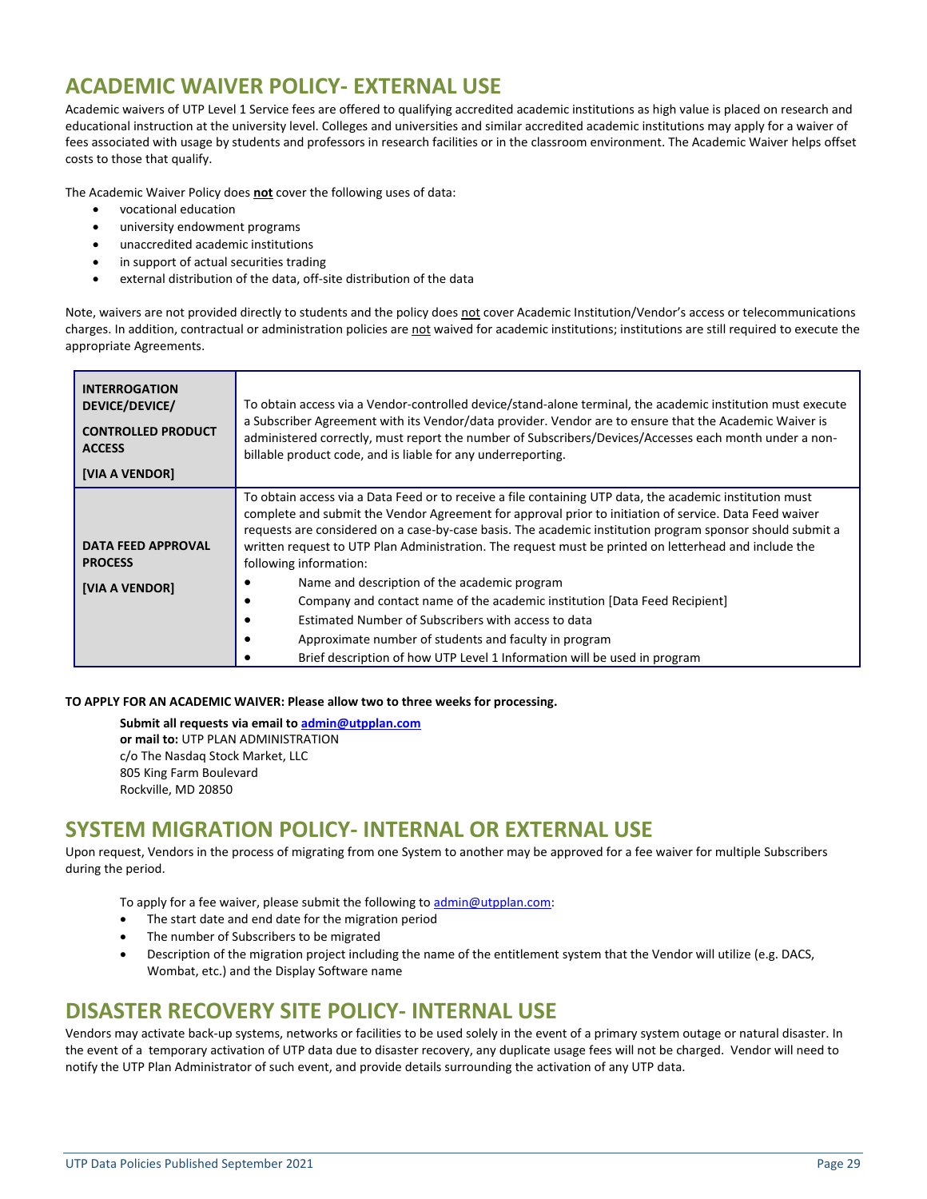## <span id="page-28-0"></span>**ACADEMIC WAIVER POLICY- EXTERNAL USE**

Academic waivers of UTP Level 1 Service fees are offered to qualifying accredited academic institutions as high value is placed on research and educational instruction at the university level. Colleges and universities and similar accredited academic institutions may apply for a waiver of fees associated with usage by students and professors in research facilities or in the classroom environment. The Academic Waiver helps offset costs to those that qualify.

The Academic Waiver Policy does **not** cover the following uses of data:

- vocational education
- university endowment programs
- unaccredited academic institutions
- in support of actual securities trading
- external distribution of the data, off-site distribution of the data

Note, waivers are not provided directly to students and the policy does not cover Academic Institution/Vendor's access or telecommunications charges. In addition, contractual or administration policies are not waived for academic institutions; institutions are still required to execute the appropriate Agreements.

| <b>INTERROGATION</b><br>DEVICE/DEVICE/<br><b>CONTROLLED PRODUCT</b><br><b>ACCESS</b><br>[VIA A VENDOR] | To obtain access via a Vendor-controlled device/stand-alone terminal, the academic institution must execute<br>a Subscriber Agreement with its Vendor/data provider. Vendor are to ensure that the Academic Waiver is<br>administered correctly, must report the number of Subscribers/Devices/Accesses each month under a non-<br>billable product code, and is liable for any underreporting.                                                                                                                                                                                                                                                                                                                                                                                              |
|--------------------------------------------------------------------------------------------------------|----------------------------------------------------------------------------------------------------------------------------------------------------------------------------------------------------------------------------------------------------------------------------------------------------------------------------------------------------------------------------------------------------------------------------------------------------------------------------------------------------------------------------------------------------------------------------------------------------------------------------------------------------------------------------------------------------------------------------------------------------------------------------------------------|
| <b>DATA FEED APPROVAL</b><br><b>PROCESS</b><br>[VIA A VENDOR]                                          | To obtain access via a Data Feed or to receive a file containing UTP data, the academic institution must<br>complete and submit the Vendor Agreement for approval prior to initiation of service. Data Feed waiver<br>requests are considered on a case-by-case basis. The academic institution program sponsor should submit a<br>written request to UTP Plan Administration. The request must be printed on letterhead and include the<br>following information:<br>Name and description of the academic program<br>Company and contact name of the academic institution [Data Feed Recipient]<br>Estimated Number of Subscribers with access to data<br>Approximate number of students and faculty in program<br>Brief description of how UTP Level 1 Information will be used in program |

#### **TO APPLY FOR AN ACADEMIC WAIVER: Please allow two to three weeks for processing.**

**Submit all requests via email to [admin@utpplan.com](mailto:admin@utpplan.com) or mail to:** UTP PLAN ADMINISTRATION c/o The Nasdaq Stock Market, LLC 805 King Farm Boulevard Rockville, MD 20850

## <span id="page-28-1"></span>**SYSTEM MIGRATION POLICY- INTERNAL OR EXTERNAL USE**

Upon request, Vendors in the process of migrating from one System to another may be approved for a fee waiver for multiple Subscribers during the period.

To apply for a fee waiver, please submit the following t[o admin@utpplan.com:](mailto:admin@utpplan.com)

- The start date and end date for the migration period
- The number of Subscribers to be migrated
- Description of the migration project including the name of the entitlement system that the Vendor will utilize (e.g. DACS, Wombat, etc.) and the Display Software name

## <span id="page-28-2"></span>**DISASTER RECOVERY SITE POLICY- INTERNAL USE**

Vendors may activate back-up systems, networks or facilities to be used solely in the event of a primary system outage or natural disaster. In the event of a temporary activation of UTP data due to disaster recovery, any duplicate usage fees will not be charged. Vendor will need to notify the UTP Plan Administrator of such event, and provide details surrounding the activation of any UTP data.